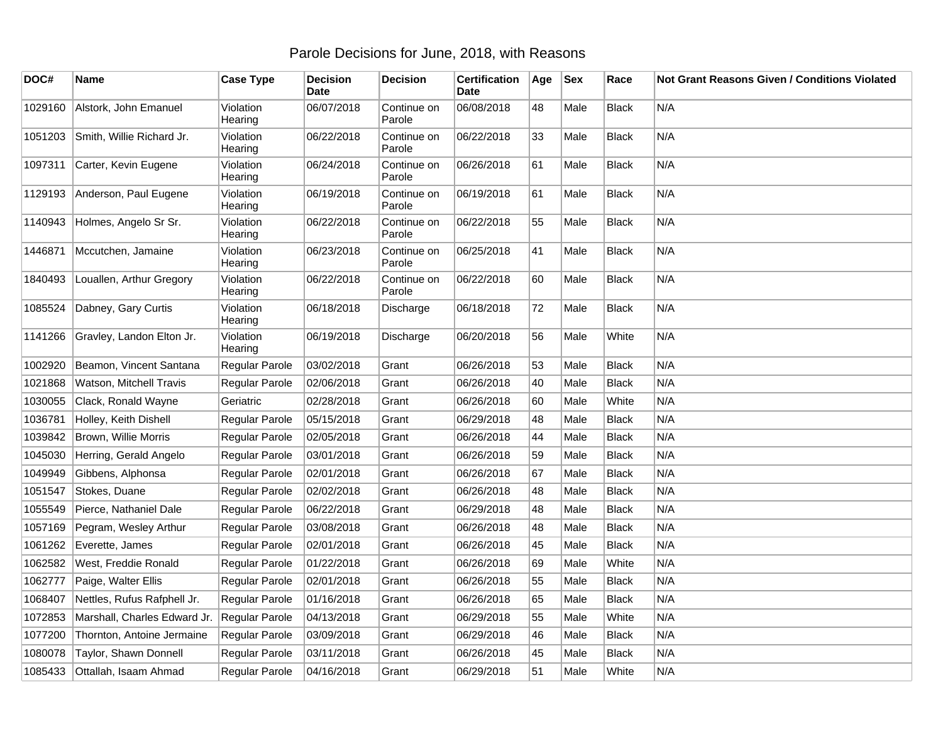## Parole Decisions for June, 2018, with Reasons

| DOC#    | <b>Name</b>                  | <b>Case Type</b>      | <b>Decision</b><br><b>Date</b> | <b>Decision</b>       | <b>Certification</b><br>Date | Age | <b>Sex</b> | Race         | Not Grant Reasons Given / Conditions Violated |
|---------|------------------------------|-----------------------|--------------------------------|-----------------------|------------------------------|-----|------------|--------------|-----------------------------------------------|
| 1029160 | Alstork, John Emanuel        | Violation<br>Hearing  | 06/07/2018                     | Continue on<br>Parole | 06/08/2018                   | 48  | Male       | <b>Black</b> | N/A                                           |
| 1051203 | Smith, Willie Richard Jr.    | Violation<br>Hearing  | 06/22/2018                     | Continue on<br>Parole | 06/22/2018                   | 33  | Male       | <b>Black</b> | N/A                                           |
| 1097311 | Carter, Kevin Eugene         | Violation<br>Hearing  | 06/24/2018                     | Continue on<br>Parole | 06/26/2018                   | 61  | Male       | <b>Black</b> | N/A                                           |
| 1129193 | Anderson, Paul Eugene        | Violation<br>Hearing  | 06/19/2018                     | Continue on<br>Parole | 06/19/2018                   | 61  | Male       | Black        | N/A                                           |
| 1140943 | Holmes, Angelo Sr Sr.        | Violation<br>Hearing  | 06/22/2018                     | Continue on<br>Parole | 06/22/2018                   | 55  | Male       | <b>Black</b> | N/A                                           |
| 1446871 | Mccutchen, Jamaine           | Violation<br>Hearing  | 06/23/2018                     | Continue on<br>Parole | 06/25/2018                   | 41  | Male       | <b>Black</b> | N/A                                           |
| 1840493 | Louallen, Arthur Gregory     | Violation<br>Hearing  | 06/22/2018                     | Continue on<br>Parole | 06/22/2018                   | 60  | Male       | <b>Black</b> | N/A                                           |
| 1085524 | Dabney, Gary Curtis          | Violation<br>Hearing  | 06/18/2018                     | Discharge             | 06/18/2018                   | 72  | Male       | Black        | N/A                                           |
| 1141266 | Gravley, Landon Elton Jr.    | Violation<br>Hearing  | 06/19/2018                     | Discharge             | 06/20/2018                   | 56  | Male       | White        | N/A                                           |
| 1002920 | Beamon, Vincent Santana      | Regular Parole        | 03/02/2018                     | Grant                 | 06/26/2018                   | 53  | Male       | <b>Black</b> | N/A                                           |
| 1021868 | Watson, Mitchell Travis      | Regular Parole        | 02/06/2018                     | Grant                 | 06/26/2018                   | 40  | Male       | <b>Black</b> | N/A                                           |
| 1030055 | Clack, Ronald Wayne          | Geriatric             | 02/28/2018                     | Grant                 | 06/26/2018                   | 60  | Male       | White        | N/A                                           |
| 1036781 | Holley, Keith Dishell        | Regular Parole        | 05/15/2018                     | Grant                 | 06/29/2018                   | 48  | Male       | <b>Black</b> | N/A                                           |
| 1039842 | Brown, Willie Morris         | Regular Parole        | 02/05/2018                     | Grant                 | 06/26/2018                   | 44  | Male       | <b>Black</b> | N/A                                           |
| 1045030 | Herring, Gerald Angelo       | Regular Parole        | 03/01/2018                     | Grant                 | 06/26/2018                   | 59  | Male       | <b>Black</b> | N/A                                           |
| 1049949 | Gibbens, Alphonsa            | Regular Parole        | 02/01/2018                     | Grant                 | 06/26/2018                   | 67  | Male       | <b>Black</b> | N/A                                           |
| 1051547 | Stokes, Duane                | Regular Parole        | 02/02/2018                     | Grant                 | 06/26/2018                   | 48  | Male       | <b>Black</b> | N/A                                           |
| 1055549 | Pierce, Nathaniel Dale       | Regular Parole        | 06/22/2018                     | Grant                 | 06/29/2018                   | 48  | Male       | Black        | N/A                                           |
| 1057169 | Pegram, Wesley Arthur        | Regular Parole        | 03/08/2018                     | Grant                 | 06/26/2018                   | 48  | Male       | <b>Black</b> | N/A                                           |
| 1061262 | Everette, James              | Regular Parole        | 02/01/2018                     | Grant                 | 06/26/2018                   | 45  | Male       | Black        | N/A                                           |
| 1062582 | West, Freddie Ronald         | Regular Parole        | 01/22/2018                     | Grant                 | 06/26/2018                   | 69  | Male       | White        | N/A                                           |
| 1062777 | Paige, Walter Ellis          | Regular Parole        | 02/01/2018                     | Grant                 | 06/26/2018                   | 55  | Male       | <b>Black</b> | N/A                                           |
| 1068407 | Nettles, Rufus Rafphell Jr.  | Regular Parole        | 01/16/2018                     | Grant                 | 06/26/2018                   | 65  | Male       | <b>Black</b> | N/A                                           |
| 1072853 | Marshall, Charles Edward Jr. | Regular Parole        | 04/13/2018                     | Grant                 | 06/29/2018                   | 55  | Male       | White        | N/A                                           |
| 1077200 | Thornton, Antoine Jermaine   | Regular Parole        | 03/09/2018                     | Grant                 | 06/29/2018                   | 46  | Male       | <b>Black</b> | N/A                                           |
| 1080078 | Taylor, Shawn Donnell        | Regular Parole        | 03/11/2018                     | Grant                 | 06/26/2018                   | 45  | Male       | <b>Black</b> | N/A                                           |
| 1085433 | Ottallah, Isaam Ahmad        | <b>Regular Parole</b> | 04/16/2018                     | Grant                 | 06/29/2018                   | 51  | Male       | White        | N/A                                           |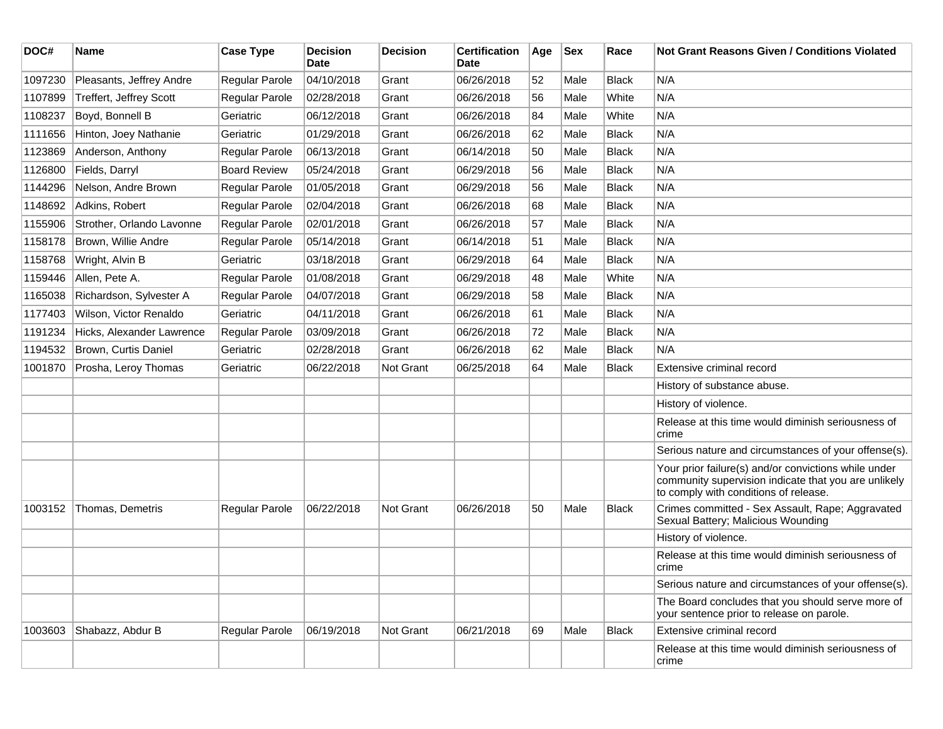| DOC#    | <b>Name</b>                    | <b>Case Type</b>      | <b>Decision</b><br><b>Date</b> | <b>Decision</b> | <b>Certification</b><br>Date | Age | <b>Sex</b> | Race         | <b>Not Grant Reasons Given / Conditions Violated</b>                                                                                                  |
|---------|--------------------------------|-----------------------|--------------------------------|-----------------|------------------------------|-----|------------|--------------|-------------------------------------------------------------------------------------------------------------------------------------------------------|
| 1097230 | Pleasants, Jeffrey Andre       | Regular Parole        | 04/10/2018                     | Grant           | 06/26/2018                   | 52  | Male       | <b>Black</b> | N/A                                                                                                                                                   |
| 1107899 | <b>Treffert, Jeffrey Scott</b> | Regular Parole        | 02/28/2018                     | Grant           | 06/26/2018                   | 56  | Male       | White        | N/A                                                                                                                                                   |
| 1108237 | Boyd, Bonnell B                | Geriatric             | 06/12/2018                     | Grant           | 06/26/2018                   | 84  | Male       | White        | N/A                                                                                                                                                   |
| 1111656 | Hinton, Joey Nathanie          | Geriatric             | 01/29/2018                     | Grant           | 06/26/2018                   | 62  | Male       | <b>Black</b> | N/A                                                                                                                                                   |
| 1123869 | Anderson, Anthony              | <b>Regular Parole</b> | 06/13/2018                     | Grant           | 06/14/2018                   | 50  | Male       | <b>Black</b> | N/A                                                                                                                                                   |
| 1126800 | Fields, Darryl                 | <b>Board Review</b>   | 05/24/2018                     | Grant           | 06/29/2018                   | 56  | Male       | <b>Black</b> | N/A                                                                                                                                                   |
| 1144296 | Nelson, Andre Brown            | Regular Parole        | 01/05/2018                     | Grant           | 06/29/2018                   | 56  | Male       | <b>Black</b> | N/A                                                                                                                                                   |
| 1148692 | Adkins, Robert                 | Regular Parole        | 02/04/2018                     | Grant           | 06/26/2018                   | 68  | Male       | <b>Black</b> | N/A                                                                                                                                                   |
| 1155906 | Strother, Orlando Lavonne      | Regular Parole        | 02/01/2018                     | Grant           | 06/26/2018                   | 57  | Male       | <b>Black</b> | N/A                                                                                                                                                   |
| 1158178 | Brown, Willie Andre            | Regular Parole        | 05/14/2018                     | Grant           | 06/14/2018                   | 51  | Male       | <b>Black</b> | N/A                                                                                                                                                   |
| 1158768 | Wright, Alvin B                | Geriatric             | 03/18/2018                     | Grant           | 06/29/2018                   | 64  | Male       | <b>Black</b> | N/A                                                                                                                                                   |
| 1159446 | Allen, Pete A.                 | Regular Parole        | 01/08/2018                     | Grant           | 06/29/2018                   | 48  | Male       | White        | N/A                                                                                                                                                   |
| 1165038 | Richardson, Sylvester A        | Regular Parole        | 04/07/2018                     | Grant           | 06/29/2018                   | 58  | Male       | <b>Black</b> | N/A                                                                                                                                                   |
| 1177403 | Wilson, Victor Renaldo         | Geriatric             | 04/11/2018                     | Grant           | 06/26/2018                   | 61  | Male       | <b>Black</b> | N/A                                                                                                                                                   |
| 1191234 | Hicks, Alexander Lawrence      | Regular Parole        | 03/09/2018                     | Grant           | 06/26/2018                   | 72  | Male       | <b>Black</b> | N/A                                                                                                                                                   |
| 1194532 | Brown, Curtis Daniel           | Geriatric             | 02/28/2018                     | Grant           | 06/26/2018                   | 62  | Male       | <b>Black</b> | N/A                                                                                                                                                   |
| 1001870 | Prosha, Leroy Thomas           | Geriatric             | 06/22/2018                     | Not Grant       | 06/25/2018                   | 64  | Male       | <b>Black</b> | Extensive criminal record                                                                                                                             |
|         |                                |                       |                                |                 |                              |     |            |              | History of substance abuse.                                                                                                                           |
|         |                                |                       |                                |                 |                              |     |            |              | History of violence.                                                                                                                                  |
|         |                                |                       |                                |                 |                              |     |            |              | Release at this time would diminish seriousness of<br>crime                                                                                           |
|         |                                |                       |                                |                 |                              |     |            |              | Serious nature and circumstances of your offense(s).                                                                                                  |
|         |                                |                       |                                |                 |                              |     |            |              | Your prior failure(s) and/or convictions while under<br>community supervision indicate that you are unlikely<br>to comply with conditions of release. |
| 1003152 | Thomas, Demetris               | Regular Parole        | 06/22/2018                     | Not Grant       | 06/26/2018                   | 50  | Male       | <b>Black</b> | Crimes committed - Sex Assault, Rape; Aggravated<br>Sexual Battery; Malicious Wounding                                                                |
|         |                                |                       |                                |                 |                              |     |            |              | History of violence.                                                                                                                                  |
|         |                                |                       |                                |                 |                              |     |            |              | Release at this time would diminish seriousness of<br>crime                                                                                           |
|         |                                |                       |                                |                 |                              |     |            |              | Serious nature and circumstances of your offense(s).                                                                                                  |
|         |                                |                       |                                |                 |                              |     |            |              | The Board concludes that you should serve more of<br>your sentence prior to release on parole.                                                        |
| 1003603 | Shabazz, Abdur B               | Regular Parole        | 06/19/2018                     | Not Grant       | 06/21/2018                   | 69  | Male       | <b>Black</b> | Extensive criminal record                                                                                                                             |
|         |                                |                       |                                |                 |                              |     |            |              | Release at this time would diminish seriousness of<br>crime                                                                                           |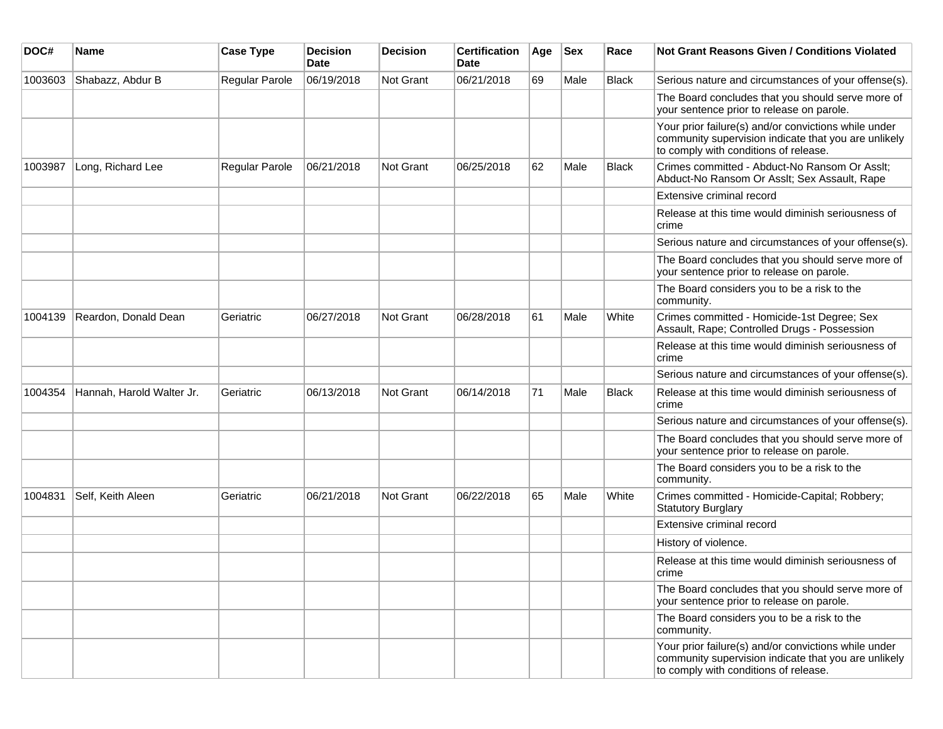| DOC#    | <b>Name</b>               | <b>Case Type</b> | <b>Decision</b><br><b>Date</b> | <b>Decision</b> | <b>Certification</b><br>Date | Age | <b>Sex</b> | Race         | <b>Not Grant Reasons Given / Conditions Violated</b>                                                                                                  |
|---------|---------------------------|------------------|--------------------------------|-----------------|------------------------------|-----|------------|--------------|-------------------------------------------------------------------------------------------------------------------------------------------------------|
| 1003603 | Shabazz, Abdur B          | Regular Parole   | 06/19/2018                     | Not Grant       | 06/21/2018                   | 69  | Male       | <b>Black</b> | Serious nature and circumstances of your offense(s).                                                                                                  |
|         |                           |                  |                                |                 |                              |     |            |              | The Board concludes that you should serve more of<br>your sentence prior to release on parole.                                                        |
|         |                           |                  |                                |                 |                              |     |            |              | Your prior failure(s) and/or convictions while under<br>community supervision indicate that you are unlikely<br>to comply with conditions of release. |
| 1003987 | Long, Richard Lee         | Regular Parole   | 06/21/2018                     | Not Grant       | 06/25/2018                   | 62  | Male       | <b>Black</b> | Crimes committed - Abduct-No Ransom Or Asslt;<br>Abduct-No Ransom Or Asslt; Sex Assault, Rape                                                         |
|         |                           |                  |                                |                 |                              |     |            |              | Extensive criminal record                                                                                                                             |
|         |                           |                  |                                |                 |                              |     |            |              | Release at this time would diminish seriousness of<br>crime                                                                                           |
|         |                           |                  |                                |                 |                              |     |            |              | Serious nature and circumstances of your offense(s).                                                                                                  |
|         |                           |                  |                                |                 |                              |     |            |              | The Board concludes that you should serve more of<br>your sentence prior to release on parole.                                                        |
|         |                           |                  |                                |                 |                              |     |            |              | The Board considers you to be a risk to the<br>community.                                                                                             |
| 1004139 | Reardon, Donald Dean      | Geriatric        | 06/27/2018                     | Not Grant       | 06/28/2018                   | 61  | Male       | White        | Crimes committed - Homicide-1st Degree; Sex<br>Assault, Rape; Controlled Drugs - Possession                                                           |
|         |                           |                  |                                |                 |                              |     |            |              | Release at this time would diminish seriousness of<br>crime                                                                                           |
|         |                           |                  |                                |                 |                              |     |            |              | Serious nature and circumstances of your offense(s).                                                                                                  |
| 1004354 | Hannah, Harold Walter Jr. | Geriatric        | 06/13/2018                     | Not Grant       | 06/14/2018                   | 71  | Male       | <b>Black</b> | Release at this time would diminish seriousness of<br>crime                                                                                           |
|         |                           |                  |                                |                 |                              |     |            |              | Serious nature and circumstances of your offense(s).                                                                                                  |
|         |                           |                  |                                |                 |                              |     |            |              | The Board concludes that you should serve more of<br>your sentence prior to release on parole.                                                        |
|         |                           |                  |                                |                 |                              |     |            |              | The Board considers you to be a risk to the<br>community.                                                                                             |
| 1004831 | Self, Keith Aleen         | Geriatric        | 06/21/2018                     | Not Grant       | 06/22/2018                   | 65  | Male       | White        | Crimes committed - Homicide-Capital; Robbery;<br><b>Statutory Burglary</b>                                                                            |
|         |                           |                  |                                |                 |                              |     |            |              | Extensive criminal record                                                                                                                             |
|         |                           |                  |                                |                 |                              |     |            |              | History of violence.                                                                                                                                  |
|         |                           |                  |                                |                 |                              |     |            |              | Release at this time would diminish seriousness of<br>crime                                                                                           |
|         |                           |                  |                                |                 |                              |     |            |              | The Board concludes that you should serve more of<br>your sentence prior to release on parole.                                                        |
|         |                           |                  |                                |                 |                              |     |            |              | The Board considers you to be a risk to the<br>community.                                                                                             |
|         |                           |                  |                                |                 |                              |     |            |              | Your prior failure(s) and/or convictions while under<br>community supervision indicate that you are unlikely<br>to comply with conditions of release. |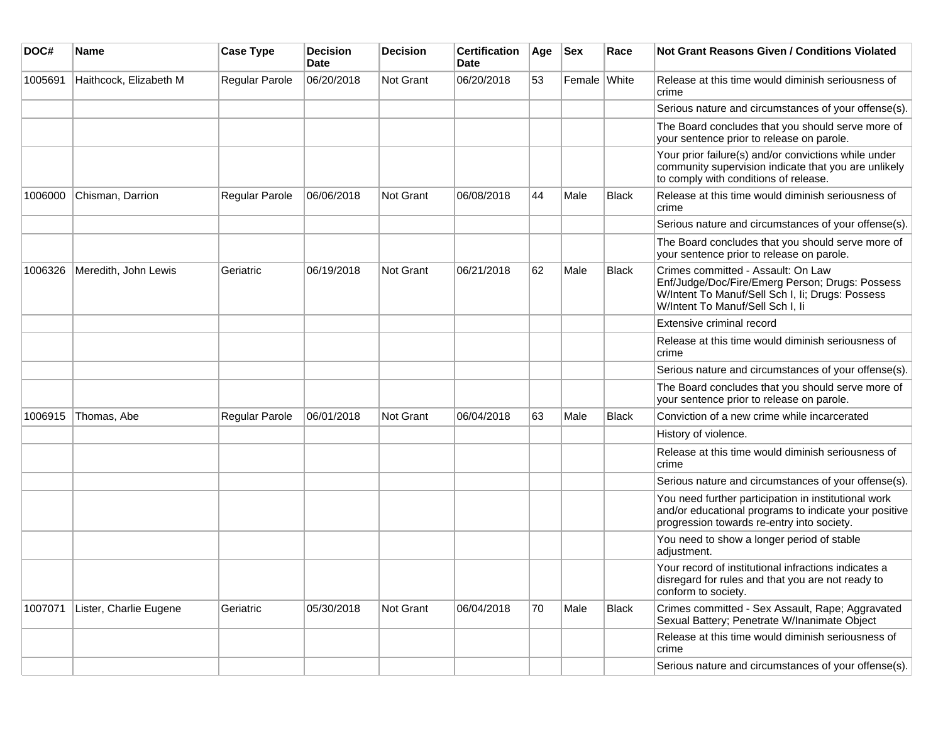| DOC#    | Name                   | <b>Case Type</b> | <b>Decision</b><br>Date | <b>Decision</b> | <b>Certification</b><br>Date | Age | <b>Sex</b>   | Race         | Not Grant Reasons Given / Conditions Violated                                                                                                                                 |
|---------|------------------------|------------------|-------------------------|-----------------|------------------------------|-----|--------------|--------------|-------------------------------------------------------------------------------------------------------------------------------------------------------------------------------|
| 1005691 | Haithcock, Elizabeth M | Regular Parole   | 06/20/2018              | Not Grant       | 06/20/2018                   | 53  | Female White |              | Release at this time would diminish seriousness of<br>crime                                                                                                                   |
|         |                        |                  |                         |                 |                              |     |              |              | Serious nature and circumstances of your offense(s).                                                                                                                          |
|         |                        |                  |                         |                 |                              |     |              |              | The Board concludes that you should serve more of<br>your sentence prior to release on parole.                                                                                |
|         |                        |                  |                         |                 |                              |     |              |              | Your prior failure(s) and/or convictions while under<br>community supervision indicate that you are unlikely<br>to comply with conditions of release.                         |
| 1006000 | Chisman, Darrion       | Regular Parole   | 06/06/2018              | Not Grant       | 06/08/2018                   | 44  | Male         | <b>Black</b> | Release at this time would diminish seriousness of<br>crime                                                                                                                   |
|         |                        |                  |                         |                 |                              |     |              |              | Serious nature and circumstances of your offense(s).                                                                                                                          |
|         |                        |                  |                         |                 |                              |     |              |              | The Board concludes that you should serve more of<br>your sentence prior to release on parole.                                                                                |
| 1006326 | Meredith, John Lewis   | Geriatric        | 06/19/2018              | Not Grant       | 06/21/2018                   | 62  | Male         | Black        | Crimes committed - Assault: On Law<br>Enf/Judge/Doc/Fire/Emerg Person; Drugs: Possess<br>W/Intent To Manuf/Sell Sch I, Ii; Drugs: Possess<br>W/Intent To Manuf/Sell Sch I, li |
|         |                        |                  |                         |                 |                              |     |              |              | Extensive criminal record                                                                                                                                                     |
|         |                        |                  |                         |                 |                              |     |              |              | Release at this time would diminish seriousness of<br>crime                                                                                                                   |
|         |                        |                  |                         |                 |                              |     |              |              | Serious nature and circumstances of your offense(s).                                                                                                                          |
|         |                        |                  |                         |                 |                              |     |              |              | The Board concludes that you should serve more of<br>your sentence prior to release on parole.                                                                                |
| 1006915 | Thomas, Abe            | Regular Parole   | 06/01/2018              | Not Grant       | 06/04/2018                   | 63  | Male         | <b>Black</b> | Conviction of a new crime while incarcerated                                                                                                                                  |
|         |                        |                  |                         |                 |                              |     |              |              | History of violence.                                                                                                                                                          |
|         |                        |                  |                         |                 |                              |     |              |              | Release at this time would diminish seriousness of<br>crime                                                                                                                   |
|         |                        |                  |                         |                 |                              |     |              |              | Serious nature and circumstances of your offense(s).                                                                                                                          |
|         |                        |                  |                         |                 |                              |     |              |              | You need further participation in institutional work<br>and/or educational programs to indicate your positive<br>progression towards re-entry into society.                   |
|         |                        |                  |                         |                 |                              |     |              |              | You need to show a longer period of stable<br>adjustment.                                                                                                                     |
|         |                        |                  |                         |                 |                              |     |              |              | Your record of institutional infractions indicates a<br>disregard for rules and that you are not ready to<br>conform to society.                                              |
| 1007071 | Lister, Charlie Eugene | Geriatric        | 05/30/2018              | Not Grant       | 06/04/2018                   | 70  | Male         | <b>Black</b> | Crimes committed - Sex Assault, Rape; Aggravated<br>Sexual Battery; Penetrate W/Inanimate Object                                                                              |
|         |                        |                  |                         |                 |                              |     |              |              | Release at this time would diminish seriousness of<br>crime                                                                                                                   |
|         |                        |                  |                         |                 |                              |     |              |              | Serious nature and circumstances of your offense(s).                                                                                                                          |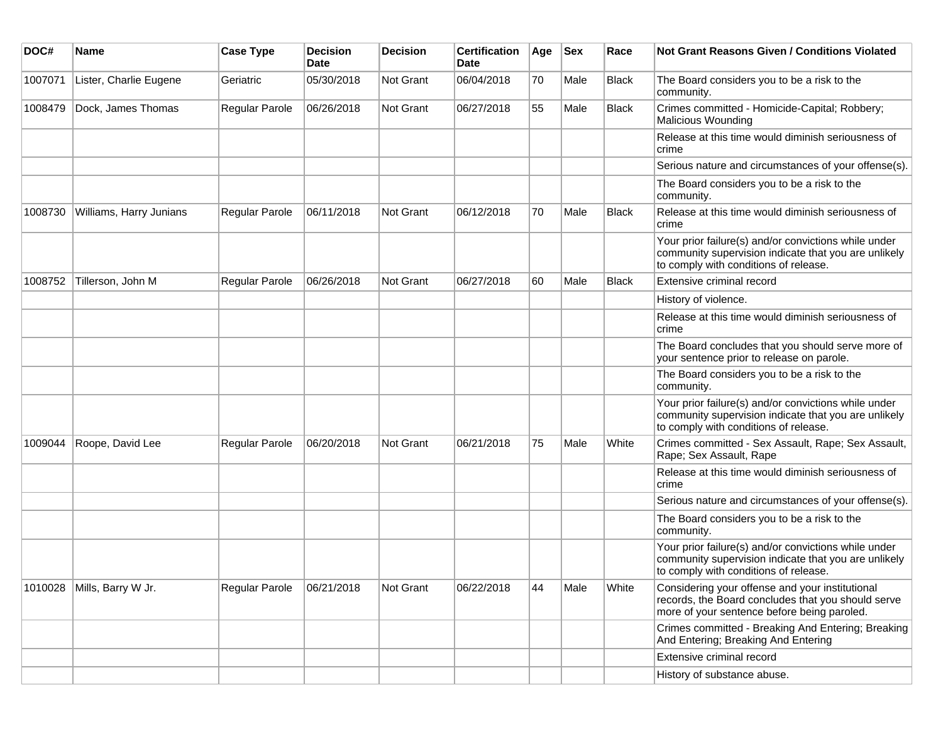| DOC#    | Name                    | <b>Case Type</b>      | <b>Decision</b><br><b>Date</b> | <b>Decision</b>  | <b>Certification</b><br>Date | Age | <b>Sex</b> | Race         | <b>Not Grant Reasons Given / Conditions Violated</b>                                                                                                  |
|---------|-------------------------|-----------------------|--------------------------------|------------------|------------------------------|-----|------------|--------------|-------------------------------------------------------------------------------------------------------------------------------------------------------|
| 1007071 | Lister, Charlie Eugene  | Geriatric             | 05/30/2018                     | Not Grant        | 06/04/2018                   | 70  | Male       | Black        | The Board considers you to be a risk to the<br>community.                                                                                             |
| 1008479 | Dock, James Thomas      | Regular Parole        | 06/26/2018                     | Not Grant        | 06/27/2018                   | 55  | Male       | <b>Black</b> | Crimes committed - Homicide-Capital; Robbery;<br>Malicious Wounding                                                                                   |
|         |                         |                       |                                |                  |                              |     |            |              | Release at this time would diminish seriousness of<br>crime                                                                                           |
|         |                         |                       |                                |                  |                              |     |            |              | Serious nature and circumstances of your offense(s).                                                                                                  |
|         |                         |                       |                                |                  |                              |     |            |              | The Board considers you to be a risk to the<br>community.                                                                                             |
| 1008730 | Williams, Harry Junians | <b>Regular Parole</b> | 06/11/2018                     | <b>Not Grant</b> | 06/12/2018                   | 70  | Male       | Black        | Release at this time would diminish seriousness of<br>crime                                                                                           |
|         |                         |                       |                                |                  |                              |     |            |              | Your prior failure(s) and/or convictions while under<br>community supervision indicate that you are unlikely<br>to comply with conditions of release. |
| 1008752 | Tillerson, John M       | Regular Parole        | 06/26/2018                     | Not Grant        | 06/27/2018                   | 60  | Male       | <b>Black</b> | Extensive criminal record                                                                                                                             |
|         |                         |                       |                                |                  |                              |     |            |              | History of violence.                                                                                                                                  |
|         |                         |                       |                                |                  |                              |     |            |              | Release at this time would diminish seriousness of<br>crime                                                                                           |
|         |                         |                       |                                |                  |                              |     |            |              | The Board concludes that you should serve more of<br>your sentence prior to release on parole.                                                        |
|         |                         |                       |                                |                  |                              |     |            |              | The Board considers you to be a risk to the<br>community.                                                                                             |
|         |                         |                       |                                |                  |                              |     |            |              | Your prior failure(s) and/or convictions while under<br>community supervision indicate that you are unlikely<br>to comply with conditions of release. |
| 1009044 | Roope, David Lee        | Regular Parole        | 06/20/2018                     | <b>Not Grant</b> | 06/21/2018                   | 75  | Male       | White        | Crimes committed - Sex Assault, Rape; Sex Assault,<br>Rape; Sex Assault, Rape                                                                         |
|         |                         |                       |                                |                  |                              |     |            |              | Release at this time would diminish seriousness of<br>crime                                                                                           |
|         |                         |                       |                                |                  |                              |     |            |              | Serious nature and circumstances of your offense(s).                                                                                                  |
|         |                         |                       |                                |                  |                              |     |            |              | The Board considers you to be a risk to the<br>community.                                                                                             |
|         |                         |                       |                                |                  |                              |     |            |              | Your prior failure(s) and/or convictions while under<br>community supervision indicate that you are unlikely<br>to comply with conditions of release. |
| 1010028 | Mills, Barry W Jr.      | Regular Parole        | 06/21/2018                     | <b>Not Grant</b> | 06/22/2018                   | 44  | Male       | White        | Considering your offense and your institutional<br>records, the Board concludes that you should serve<br>more of your sentence before being paroled.  |
|         |                         |                       |                                |                  |                              |     |            |              | Crimes committed - Breaking And Entering; Breaking<br>And Entering; Breaking And Entering                                                             |
|         |                         |                       |                                |                  |                              |     |            |              | Extensive criminal record                                                                                                                             |
|         |                         |                       |                                |                  |                              |     |            |              | History of substance abuse.                                                                                                                           |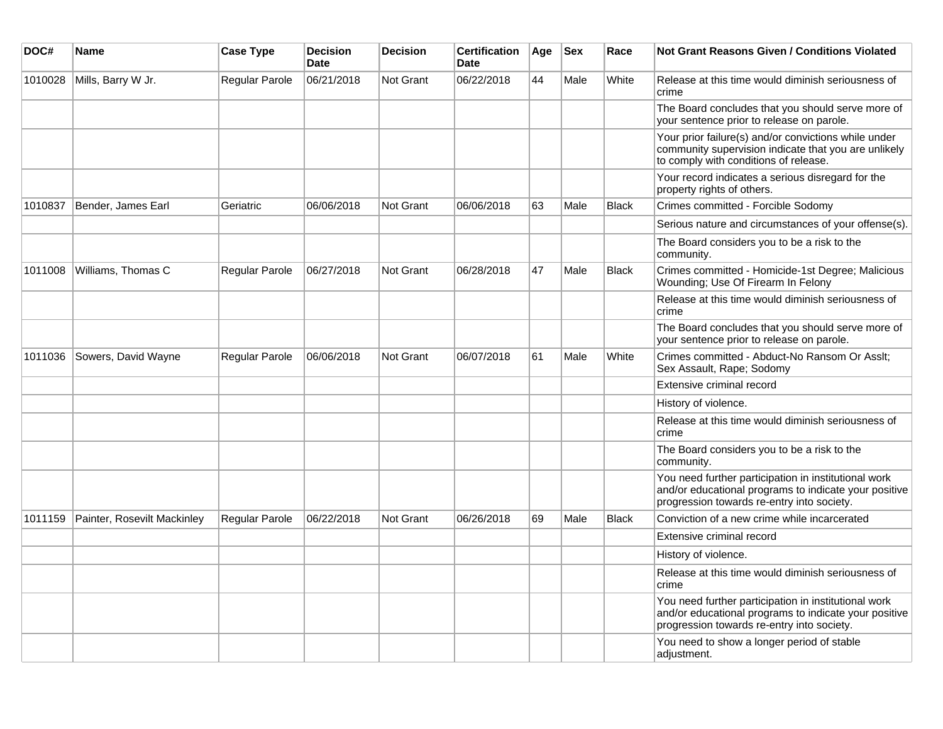| DOC#    | Name                        | <b>Case Type</b>      | <b>Decision</b><br><b>Date</b> | <b>Decision</b>  | <b>Certification</b><br><b>Date</b> | Age | <b>Sex</b> | Race         | <b>Not Grant Reasons Given / Conditions Violated</b>                                                                                                        |
|---------|-----------------------------|-----------------------|--------------------------------|------------------|-------------------------------------|-----|------------|--------------|-------------------------------------------------------------------------------------------------------------------------------------------------------------|
| 1010028 | Mills, Barry W Jr.          | Regular Parole        | 06/21/2018                     | <b>Not Grant</b> | 06/22/2018                          | 44  | Male       | White        | Release at this time would diminish seriousness of<br>crime                                                                                                 |
|         |                             |                       |                                |                  |                                     |     |            |              | The Board concludes that you should serve more of<br>your sentence prior to release on parole.                                                              |
|         |                             |                       |                                |                  |                                     |     |            |              | Your prior failure(s) and/or convictions while under<br>community supervision indicate that you are unlikely<br>to comply with conditions of release.       |
|         |                             |                       |                                |                  |                                     |     |            |              | Your record indicates a serious disregard for the<br>property rights of others.                                                                             |
| 1010837 | Bender, James Earl          | Geriatric             | 06/06/2018                     | <b>Not Grant</b> | 06/06/2018                          | 63  | Male       | <b>Black</b> | Crimes committed - Forcible Sodomy                                                                                                                          |
|         |                             |                       |                                |                  |                                     |     |            |              | Serious nature and circumstances of your offense(s).                                                                                                        |
|         |                             |                       |                                |                  |                                     |     |            |              | The Board considers you to be a risk to the<br>community.                                                                                                   |
| 1011008 | Williams, Thomas C          | Regular Parole        | 06/27/2018                     | <b>Not Grant</b> | 06/28/2018                          | 47  | Male       | <b>Black</b> | Crimes committed - Homicide-1st Degree; Malicious<br>Wounding; Use Of Firearm In Felony                                                                     |
|         |                             |                       |                                |                  |                                     |     |            |              | Release at this time would diminish seriousness of<br>crime                                                                                                 |
|         |                             |                       |                                |                  |                                     |     |            |              | The Board concludes that you should serve more of<br>your sentence prior to release on parole.                                                              |
| 1011036 | Sowers, David Wayne         | <b>Regular Parole</b> | 06/06/2018                     | Not Grant        | 06/07/2018                          | 61  | Male       | White        | Crimes committed - Abduct-No Ransom Or Asslt;<br>Sex Assault, Rape; Sodomy                                                                                  |
|         |                             |                       |                                |                  |                                     |     |            |              | Extensive criminal record                                                                                                                                   |
|         |                             |                       |                                |                  |                                     |     |            |              | History of violence.                                                                                                                                        |
|         |                             |                       |                                |                  |                                     |     |            |              | Release at this time would diminish seriousness of<br>crime                                                                                                 |
|         |                             |                       |                                |                  |                                     |     |            |              | The Board considers you to be a risk to the<br>community.                                                                                                   |
|         |                             |                       |                                |                  |                                     |     |            |              | You need further participation in institutional work<br>and/or educational programs to indicate your positive<br>progression towards re-entry into society. |
| 1011159 | Painter, Rosevilt Mackinley | Regular Parole        | 06/22/2018                     | <b>Not Grant</b> | 06/26/2018                          | 69  | Male       | <b>Black</b> | Conviction of a new crime while incarcerated                                                                                                                |
|         |                             |                       |                                |                  |                                     |     |            |              | Extensive criminal record                                                                                                                                   |
|         |                             |                       |                                |                  |                                     |     |            |              | History of violence.                                                                                                                                        |
|         |                             |                       |                                |                  |                                     |     |            |              | Release at this time would diminish seriousness of<br>crime                                                                                                 |
|         |                             |                       |                                |                  |                                     |     |            |              | You need further participation in institutional work<br>and/or educational programs to indicate your positive<br>progression towards re-entry into society. |
|         |                             |                       |                                |                  |                                     |     |            |              | You need to show a longer period of stable<br>adjustment.                                                                                                   |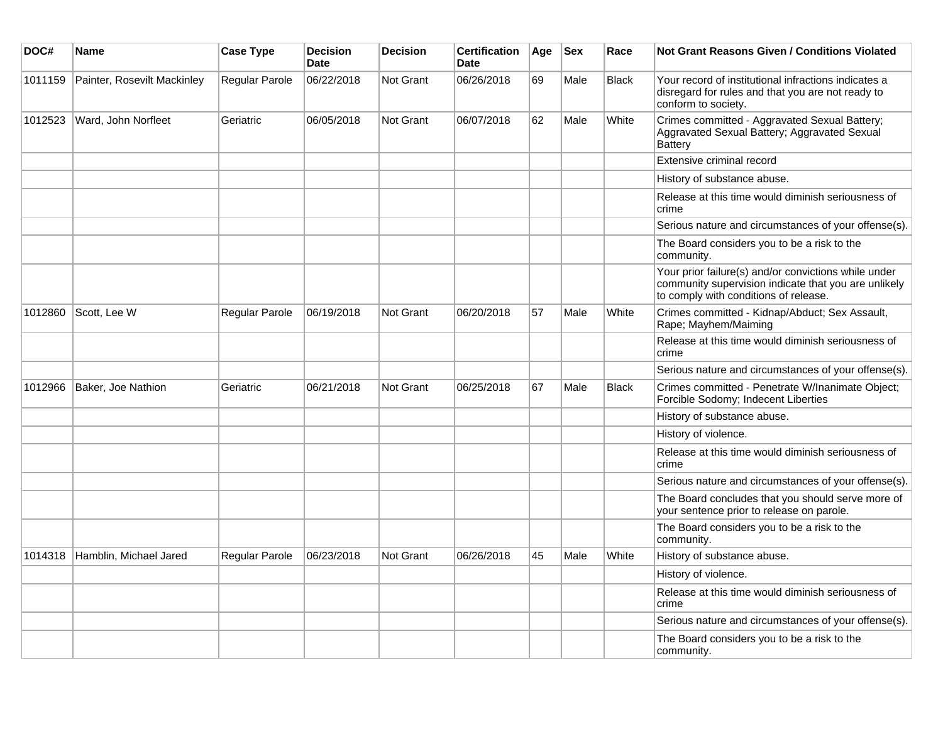| DOC#    | <b>Name</b>                 | <b>Case Type</b> | <b>Decision</b><br><b>Date</b> | <b>Decision</b>  | <b>Certification</b><br><b>Date</b> | Age | <b>Sex</b> | Race         | Not Grant Reasons Given / Conditions Violated                                                                                                         |
|---------|-----------------------------|------------------|--------------------------------|------------------|-------------------------------------|-----|------------|--------------|-------------------------------------------------------------------------------------------------------------------------------------------------------|
| 1011159 | Painter, Rosevilt Mackinley | Regular Parole   | 06/22/2018                     | Not Grant        | 06/26/2018                          | 69  | Male       | <b>Black</b> | Your record of institutional infractions indicates a<br>disregard for rules and that you are not ready to<br>conform to society.                      |
| 1012523 | Ward, John Norfleet         | Geriatric        | 06/05/2018                     | Not Grant        | 06/07/2018                          | 62  | Male       | White        | Crimes committed - Aggravated Sexual Battery;<br>Aggravated Sexual Battery; Aggravated Sexual<br><b>Battery</b>                                       |
|         |                             |                  |                                |                  |                                     |     |            |              | Extensive criminal record                                                                                                                             |
|         |                             |                  |                                |                  |                                     |     |            |              | History of substance abuse.                                                                                                                           |
|         |                             |                  |                                |                  |                                     |     |            |              | Release at this time would diminish seriousness of<br>crime                                                                                           |
|         |                             |                  |                                |                  |                                     |     |            |              | Serious nature and circumstances of your offense(s).                                                                                                  |
|         |                             |                  |                                |                  |                                     |     |            |              | The Board considers you to be a risk to the<br>community.                                                                                             |
|         |                             |                  |                                |                  |                                     |     |            |              | Your prior failure(s) and/or convictions while under<br>community supervision indicate that you are unlikely<br>to comply with conditions of release. |
| 1012860 | Scott, Lee W                | Regular Parole   | 06/19/2018                     | <b>Not Grant</b> | 06/20/2018                          | 57  | Male       | White        | Crimes committed - Kidnap/Abduct; Sex Assault,<br>Rape; Mayhem/Maiming                                                                                |
|         |                             |                  |                                |                  |                                     |     |            |              | Release at this time would diminish seriousness of<br>crime                                                                                           |
|         |                             |                  |                                |                  |                                     |     |            |              | Serious nature and circumstances of your offense(s).                                                                                                  |
| 1012966 | Baker, Joe Nathion          | Geriatric        | 06/21/2018                     | <b>Not Grant</b> | 06/25/2018                          | 67  | Male       | <b>Black</b> | Crimes committed - Penetrate W/Inanimate Object;<br>Forcible Sodomy; Indecent Liberties                                                               |
|         |                             |                  |                                |                  |                                     |     |            |              | History of substance abuse.                                                                                                                           |
|         |                             |                  |                                |                  |                                     |     |            |              | History of violence.                                                                                                                                  |
|         |                             |                  |                                |                  |                                     |     |            |              | Release at this time would diminish seriousness of<br>crime                                                                                           |
|         |                             |                  |                                |                  |                                     |     |            |              | Serious nature and circumstances of your offense(s).                                                                                                  |
|         |                             |                  |                                |                  |                                     |     |            |              | The Board concludes that you should serve more of<br>your sentence prior to release on parole.                                                        |
|         |                             |                  |                                |                  |                                     |     |            |              | The Board considers you to be a risk to the<br>community.                                                                                             |
| 1014318 | Hamblin, Michael Jared      | Regular Parole   | 06/23/2018                     | <b>Not Grant</b> | 06/26/2018                          | 45  | Male       | White        | History of substance abuse.                                                                                                                           |
|         |                             |                  |                                |                  |                                     |     |            |              | History of violence.                                                                                                                                  |
|         |                             |                  |                                |                  |                                     |     |            |              | Release at this time would diminish seriousness of<br>crime                                                                                           |
|         |                             |                  |                                |                  |                                     |     |            |              | Serious nature and circumstances of your offense(s).                                                                                                  |
|         |                             |                  |                                |                  |                                     |     |            |              | The Board considers you to be a risk to the<br>community.                                                                                             |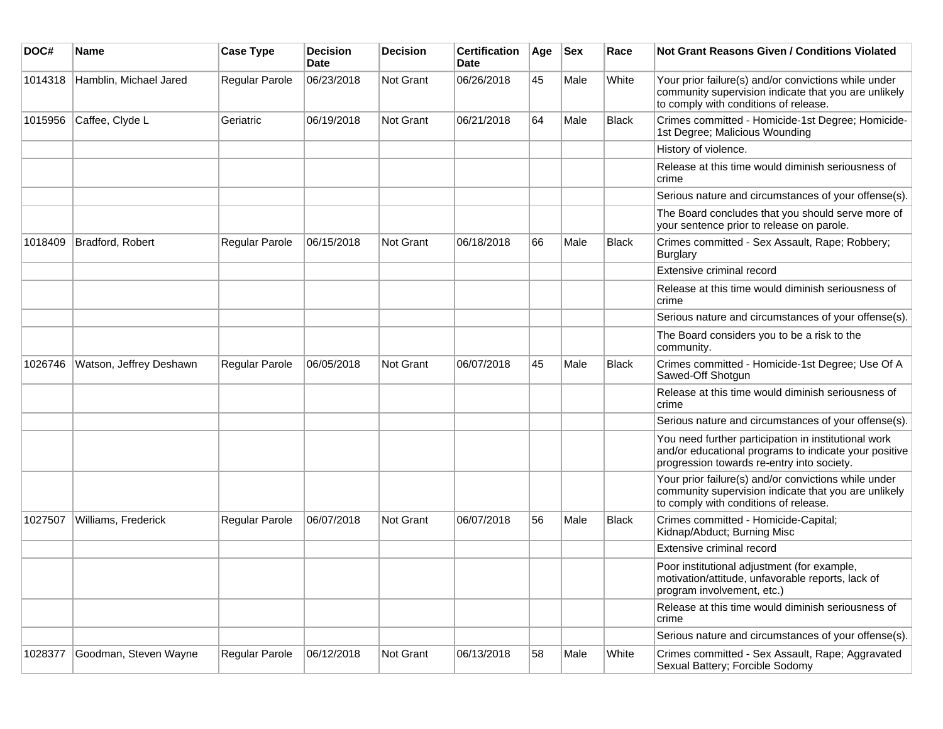| DOC#    | Name                    | <b>Case Type</b> | <b>Decision</b><br>Date | <b>Decision</b> | <b>Certification</b><br>Date | Age | <b>Sex</b> | Race         | Not Grant Reasons Given / Conditions Violated                                                                                                               |
|---------|-------------------------|------------------|-------------------------|-----------------|------------------------------|-----|------------|--------------|-------------------------------------------------------------------------------------------------------------------------------------------------------------|
| 1014318 | Hamblin, Michael Jared  | Regular Parole   | 06/23/2018              | Not Grant       | 06/26/2018                   | 45  | Male       | White        | Your prior failure(s) and/or convictions while under<br>community supervision indicate that you are unlikely<br>to comply with conditions of release.       |
| 1015956 | Caffee, Clyde L         | Geriatric        | 06/19/2018              | Not Grant       | 06/21/2018                   | 64  | Male       | Black        | Crimes committed - Homicide-1st Degree; Homicide-<br>1st Degree; Malicious Wounding                                                                         |
|         |                         |                  |                         |                 |                              |     |            |              | History of violence.                                                                                                                                        |
|         |                         |                  |                         |                 |                              |     |            |              | Release at this time would diminish seriousness of<br>crime                                                                                                 |
|         |                         |                  |                         |                 |                              |     |            |              | Serious nature and circumstances of your offense(s).                                                                                                        |
|         |                         |                  |                         |                 |                              |     |            |              | The Board concludes that you should serve more of<br>your sentence prior to release on parole.                                                              |
| 1018409 | Bradford, Robert        | Regular Parole   | 06/15/2018              | Not Grant       | 06/18/2018                   | 66  | Male       | <b>Black</b> | Crimes committed - Sex Assault, Rape; Robbery;<br><b>Burglary</b>                                                                                           |
|         |                         |                  |                         |                 |                              |     |            |              | Extensive criminal record                                                                                                                                   |
|         |                         |                  |                         |                 |                              |     |            |              | Release at this time would diminish seriousness of<br>crime                                                                                                 |
|         |                         |                  |                         |                 |                              |     |            |              | Serious nature and circumstances of your offense(s).                                                                                                        |
|         |                         |                  |                         |                 |                              |     |            |              | The Board considers you to be a risk to the<br>community.                                                                                                   |
| 1026746 | Watson, Jeffrey Deshawn | Regular Parole   | 06/05/2018              | Not Grant       | 06/07/2018                   | 45  | Male       | <b>Black</b> | Crimes committed - Homicide-1st Degree; Use Of A<br>Sawed-Off Shotgun                                                                                       |
|         |                         |                  |                         |                 |                              |     |            |              | Release at this time would diminish seriousness of<br>crime                                                                                                 |
|         |                         |                  |                         |                 |                              |     |            |              | Serious nature and circumstances of your offense(s).                                                                                                        |
|         |                         |                  |                         |                 |                              |     |            |              | You need further participation in institutional work<br>and/or educational programs to indicate your positive<br>progression towards re-entry into society. |
|         |                         |                  |                         |                 |                              |     |            |              | Your prior failure(s) and/or convictions while under<br>community supervision indicate that you are unlikely<br>to comply with conditions of release.       |
| 1027507 | Williams, Frederick     | Regular Parole   | 06/07/2018              | Not Grant       | 06/07/2018                   | 56  | Male       | Black        | Crimes committed - Homicide-Capital;<br>Kidnap/Abduct; Burning Misc                                                                                         |
|         |                         |                  |                         |                 |                              |     |            |              | Extensive criminal record                                                                                                                                   |
|         |                         |                  |                         |                 |                              |     |            |              | Poor institutional adjustment (for example,<br>motivation/attitude, unfavorable reports, lack of<br>program involvement, etc.)                              |
|         |                         |                  |                         |                 |                              |     |            |              | Release at this time would diminish seriousness of<br>crime                                                                                                 |
|         |                         |                  |                         |                 |                              |     |            |              | Serious nature and circumstances of your offense(s).                                                                                                        |
| 1028377 | Goodman, Steven Wayne   | Regular Parole   | 06/12/2018              | Not Grant       | 06/13/2018                   | 58  | Male       | White        | Crimes committed - Sex Assault, Rape; Aggravated<br>Sexual Battery; Forcible Sodomy                                                                         |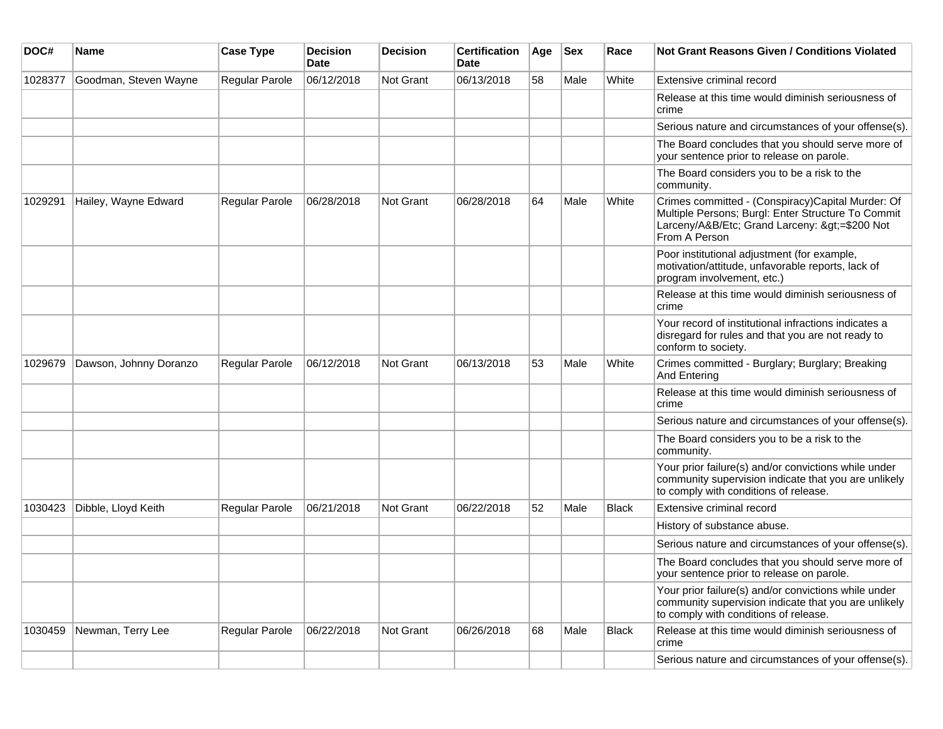| DOC#    | Name                   | <b>Case Type</b>      | <b>Decision</b><br>Date | <b>Decision</b> | <b>Certification</b><br>Date | Age | <b>Sex</b> | Race         | <b>Not Grant Reasons Given / Conditions Violated</b>                                                                                                                    |
|---------|------------------------|-----------------------|-------------------------|-----------------|------------------------------|-----|------------|--------------|-------------------------------------------------------------------------------------------------------------------------------------------------------------------------|
| 1028377 | Goodman, Steven Wayne  | <b>Regular Parole</b> | 06/12/2018              | Not Grant       | 06/13/2018                   | 58  | Male       | White        | Extensive criminal record                                                                                                                                               |
|         |                        |                       |                         |                 |                              |     |            |              | Release at this time would diminish seriousness of<br>crime                                                                                                             |
|         |                        |                       |                         |                 |                              |     |            |              | Serious nature and circumstances of your offense(s).                                                                                                                    |
|         |                        |                       |                         |                 |                              |     |            |              | The Board concludes that you should serve more of<br>your sentence prior to release on parole.                                                                          |
|         |                        |                       |                         |                 |                              |     |            |              | The Board considers you to be a risk to the<br>community.                                                                                                               |
| 1029291 | Hailey, Wayne Edward   | Regular Parole        | 06/28/2018              | Not Grant       | 06/28/2018                   | 64  | Male       | White        | Crimes committed - (Conspiracy)Capital Murder: Of<br>Multiple Persons; Burgl: Enter Structure To Commit<br>Larceny/A&B/Etc; Grand Larceny: >=\$200 Not<br>From A Person |
|         |                        |                       |                         |                 |                              |     |            |              | Poor institutional adjustment (for example,<br>motivation/attitude, unfavorable reports, lack of<br>program involvement, etc.)                                          |
|         |                        |                       |                         |                 |                              |     |            |              | Release at this time would diminish seriousness of<br>crime                                                                                                             |
|         |                        |                       |                         |                 |                              |     |            |              | Your record of institutional infractions indicates a<br>disregard for rules and that you are not ready to<br>conform to society.                                        |
| 1029679 | Dawson, Johnny Doranzo | Regular Parole        | 06/12/2018              | Not Grant       | 06/13/2018                   | 53  | Male       | White        | Crimes committed - Burglary; Burglary; Breaking<br><b>And Entering</b>                                                                                                  |
|         |                        |                       |                         |                 |                              |     |            |              | Release at this time would diminish seriousness of<br>crime                                                                                                             |
|         |                        |                       |                         |                 |                              |     |            |              | Serious nature and circumstances of your offense(s).                                                                                                                    |
|         |                        |                       |                         |                 |                              |     |            |              | The Board considers you to be a risk to the<br>community.                                                                                                               |
|         |                        |                       |                         |                 |                              |     |            |              | Your prior failure(s) and/or convictions while under<br>community supervision indicate that you are unlikely<br>to comply with conditions of release.                   |
| 1030423 | Dibble, Lloyd Keith    | <b>Regular Parole</b> | 06/21/2018              | Not Grant       | 06/22/2018                   | 52  | Male       | Black        | Extensive criminal record                                                                                                                                               |
|         |                        |                       |                         |                 |                              |     |            |              | History of substance abuse.                                                                                                                                             |
|         |                        |                       |                         |                 |                              |     |            |              | Serious nature and circumstances of your offense(s).                                                                                                                    |
|         |                        |                       |                         |                 |                              |     |            |              | The Board concludes that you should serve more of<br>your sentence prior to release on parole.                                                                          |
|         |                        |                       |                         |                 |                              |     |            |              | Your prior failure(s) and/or convictions while under<br>community supervision indicate that you are unlikely<br>to comply with conditions of release.                   |
| 1030459 | Newman, Terry Lee      | Regular Parole        | 06/22/2018              | Not Grant       | 06/26/2018                   | 68  | Male       | <b>Black</b> | Release at this time would diminish seriousness of<br>crime                                                                                                             |
|         |                        |                       |                         |                 |                              |     |            |              | Serious nature and circumstances of your offense(s).                                                                                                                    |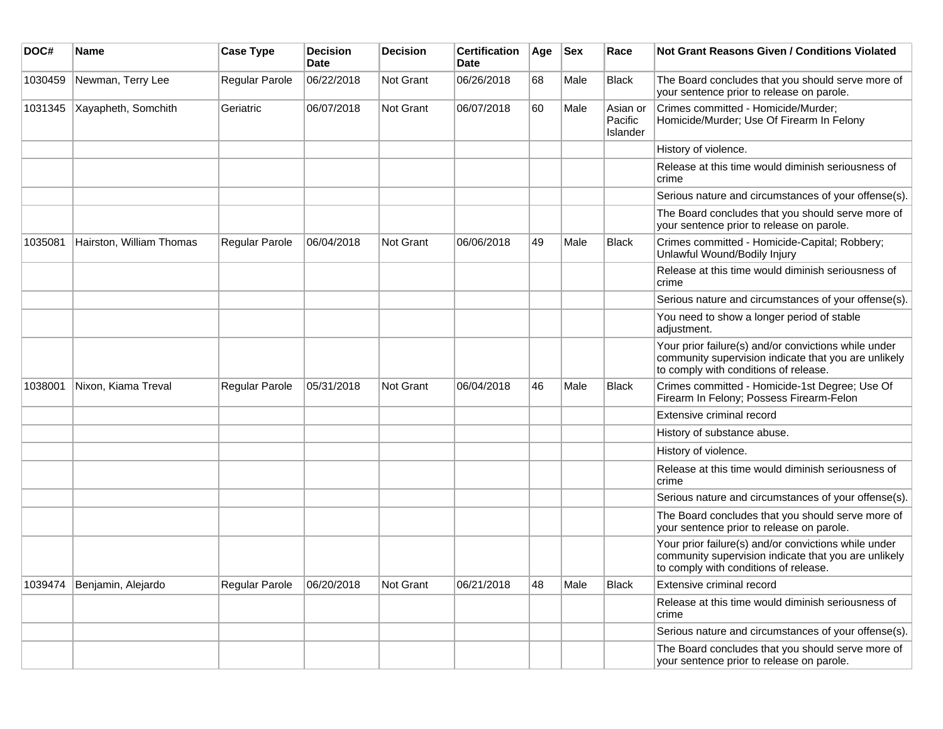| DOC#    | <b>Name</b>                | <b>Case Type</b> | <b>Decision</b><br><b>Date</b> | <b>Decision</b> | <b>Certification</b><br><b>Date</b> | Age | <b>Sex</b> | Race                            | Not Grant Reasons Given / Conditions Violated                                                                                                         |
|---------|----------------------------|------------------|--------------------------------|-----------------|-------------------------------------|-----|------------|---------------------------------|-------------------------------------------------------------------------------------------------------------------------------------------------------|
| 1030459 | Newman, Terry Lee          | Regular Parole   | 06/22/2018                     | Not Grant       | 06/26/2018                          | 68  | Male       | <b>Black</b>                    | The Board concludes that you should serve more of<br>your sentence prior to release on parole.                                                        |
| 1031345 | Xayapheth, Somchith        | Geriatric        | 06/07/2018                     | Not Grant       | 06/07/2018                          | 60  | Male       | Asian or<br>Pacific<br>Islander | Crimes committed - Homicide/Murder;<br>Homicide/Murder; Use Of Firearm In Felony                                                                      |
|         |                            |                  |                                |                 |                                     |     |            |                                 | History of violence.                                                                                                                                  |
|         |                            |                  |                                |                 |                                     |     |            |                                 | Release at this time would diminish seriousness of<br>crime                                                                                           |
|         |                            |                  |                                |                 |                                     |     |            |                                 | Serious nature and circumstances of your offense(s).                                                                                                  |
|         |                            |                  |                                |                 |                                     |     |            |                                 | The Board concludes that you should serve more of<br>your sentence prior to release on parole.                                                        |
| 1035081 | Hairston, William Thomas   | Regular Parole   | 06/04/2018                     | Not Grant       | 06/06/2018                          | 49  | Male       | <b>Black</b>                    | Crimes committed - Homicide-Capital; Robbery;<br>Unlawful Wound/Bodily Injury                                                                         |
|         |                            |                  |                                |                 |                                     |     |            |                                 | Release at this time would diminish seriousness of<br>crime                                                                                           |
|         |                            |                  |                                |                 |                                     |     |            |                                 | Serious nature and circumstances of your offense(s).                                                                                                  |
|         |                            |                  |                                |                 |                                     |     |            |                                 | You need to show a longer period of stable<br>adjustment.                                                                                             |
|         |                            |                  |                                |                 |                                     |     |            |                                 | Your prior failure(s) and/or convictions while under<br>community supervision indicate that you are unlikely<br>to comply with conditions of release. |
| 1038001 | Nixon, Kiama Treval        | Regular Parole   | 05/31/2018                     | Not Grant       | 06/04/2018                          | 46  | Male       | <b>Black</b>                    | Crimes committed - Homicide-1st Degree; Use Of<br>Firearm In Felony; Possess Firearm-Felon                                                            |
|         |                            |                  |                                |                 |                                     |     |            |                                 | Extensive criminal record                                                                                                                             |
|         |                            |                  |                                |                 |                                     |     |            |                                 | History of substance abuse.                                                                                                                           |
|         |                            |                  |                                |                 |                                     |     |            |                                 | History of violence.                                                                                                                                  |
|         |                            |                  |                                |                 |                                     |     |            |                                 | Release at this time would diminish seriousness of<br>crime                                                                                           |
|         |                            |                  |                                |                 |                                     |     |            |                                 | Serious nature and circumstances of your offense(s).                                                                                                  |
|         |                            |                  |                                |                 |                                     |     |            |                                 | The Board concludes that you should serve more of<br>your sentence prior to release on parole.                                                        |
|         |                            |                  |                                |                 |                                     |     |            |                                 | Your prior failure(s) and/or convictions while under<br>community supervision indicate that you are unlikely<br>to comply with conditions of release. |
|         | 1039474 Benjamin, Alejardo | Regular Parole   | 06/20/2018                     | Not Grant       | 06/21/2018                          | 48  | Male       | <b>Black</b>                    | Extensive criminal record                                                                                                                             |
|         |                            |                  |                                |                 |                                     |     |            |                                 | Release at this time would diminish seriousness of<br>crime                                                                                           |
|         |                            |                  |                                |                 |                                     |     |            |                                 | Serious nature and circumstances of your offense(s).                                                                                                  |
|         |                            |                  |                                |                 |                                     |     |            |                                 | The Board concludes that you should serve more of<br>your sentence prior to release on parole.                                                        |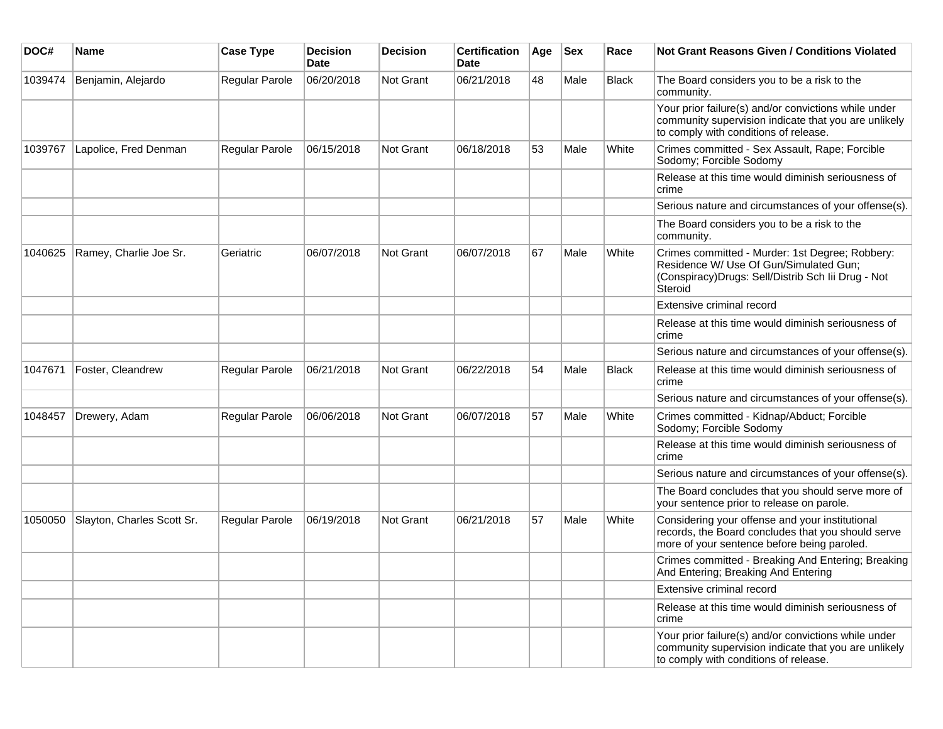| DOC#    | <b>Name</b>                | <b>Case Type</b>      | <b>Decision</b><br><b>Date</b> | <b>Decision</b> | <b>Certification</b><br>Date | Age | <b>Sex</b> | Race         | <b>Not Grant Reasons Given / Conditions Violated</b>                                                                                                        |
|---------|----------------------------|-----------------------|--------------------------------|-----------------|------------------------------|-----|------------|--------------|-------------------------------------------------------------------------------------------------------------------------------------------------------------|
| 1039474 | Benjamin, Alejardo         | Regular Parole        | 06/20/2018                     | Not Grant       | 06/21/2018                   | 48  | Male       | Black        | The Board considers you to be a risk to the<br>community.                                                                                                   |
|         |                            |                       |                                |                 |                              |     |            |              | Your prior failure(s) and/or convictions while under<br>community supervision indicate that you are unlikely<br>to comply with conditions of release.       |
| 1039767 | Lapolice, Fred Denman      | Regular Parole        | 06/15/2018                     | Not Grant       | 06/18/2018                   | 53  | Male       | White        | Crimes committed - Sex Assault, Rape; Forcible<br>Sodomy; Forcible Sodomy                                                                                   |
|         |                            |                       |                                |                 |                              |     |            |              | Release at this time would diminish seriousness of<br>crime                                                                                                 |
|         |                            |                       |                                |                 |                              |     |            |              | Serious nature and circumstances of your offense(s).                                                                                                        |
|         |                            |                       |                                |                 |                              |     |            |              | The Board considers you to be a risk to the<br>community.                                                                                                   |
| 1040625 | Ramey, Charlie Joe Sr.     | Geriatric             | 06/07/2018                     | Not Grant       | 06/07/2018                   | 67  | Male       | White        | Crimes committed - Murder: 1st Degree; Robbery:<br>Residence W/ Use Of Gun/Simulated Gun;<br>(Conspiracy) Drugs: Sell/Distrib Sch lii Drug - Not<br>Steroid |
|         |                            |                       |                                |                 |                              |     |            |              | Extensive criminal record                                                                                                                                   |
|         |                            |                       |                                |                 |                              |     |            |              | Release at this time would diminish seriousness of<br>crime                                                                                                 |
|         |                            |                       |                                |                 |                              |     |            |              | Serious nature and circumstances of your offense(s).                                                                                                        |
| 1047671 | Foster, Cleandrew          | Regular Parole        | 06/21/2018                     | Not Grant       | 06/22/2018                   | 54  | Male       | <b>Black</b> | Release at this time would diminish seriousness of<br>crime                                                                                                 |
|         |                            |                       |                                |                 |                              |     |            |              | Serious nature and circumstances of your offense(s).                                                                                                        |
| 1048457 | Drewery, Adam              | Regular Parole        | 06/06/2018                     | Not Grant       | 06/07/2018                   | 57  | Male       | White        | Crimes committed - Kidnap/Abduct; Forcible<br>Sodomy; Forcible Sodomy                                                                                       |
|         |                            |                       |                                |                 |                              |     |            |              | Release at this time would diminish seriousness of<br>crime                                                                                                 |
|         |                            |                       |                                |                 |                              |     |            |              | Serious nature and circumstances of your offense(s).                                                                                                        |
|         |                            |                       |                                |                 |                              |     |            |              | The Board concludes that you should serve more of<br>your sentence prior to release on parole.                                                              |
| 1050050 | Slayton, Charles Scott Sr. | <b>Regular Parole</b> | 06/19/2018                     | Not Grant       | 06/21/2018                   | 57  | Male       | White        | Considering your offense and your institutional<br>records, the Board concludes that you should serve<br>more of your sentence before being paroled.        |
|         |                            |                       |                                |                 |                              |     |            |              | Crimes committed - Breaking And Entering; Breaking<br>And Entering; Breaking And Entering                                                                   |
|         |                            |                       |                                |                 |                              |     |            |              | Extensive criminal record                                                                                                                                   |
|         |                            |                       |                                |                 |                              |     |            |              | Release at this time would diminish seriousness of<br>crime                                                                                                 |
|         |                            |                       |                                |                 |                              |     |            |              | Your prior failure(s) and/or convictions while under<br>community supervision indicate that you are unlikely<br>to comply with conditions of release.       |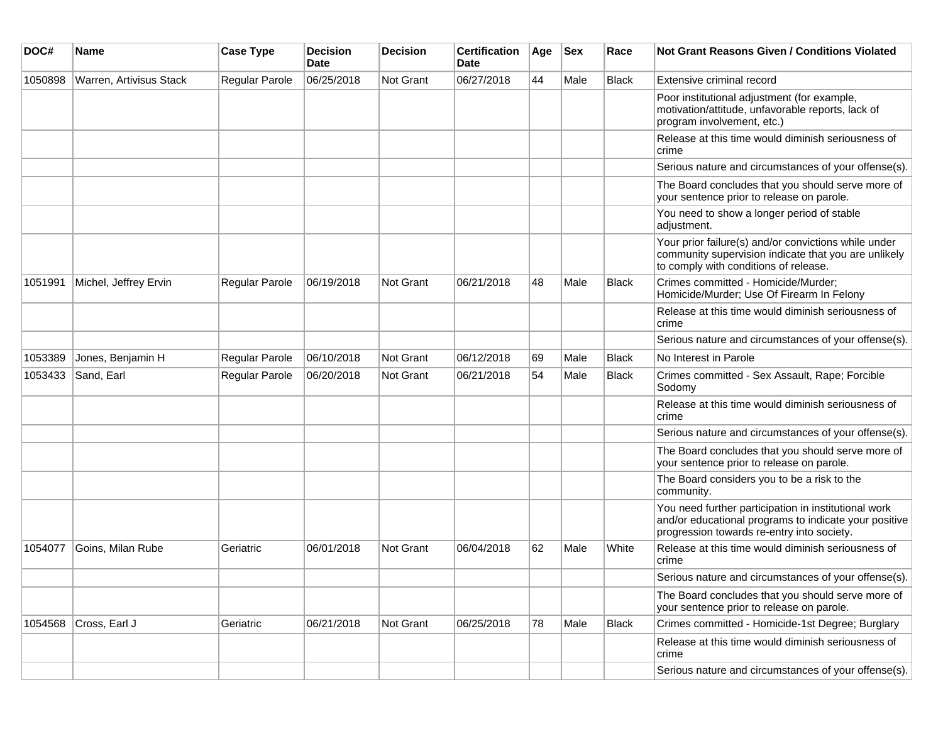| DOC#    | <b>Name</b>             | <b>Case Type</b>      | <b>Decision</b><br><b>Date</b> | <b>Decision</b> | <b>Certification</b><br>Date | Age | <b>Sex</b> | Race  | <b>Not Grant Reasons Given / Conditions Violated</b>                                                                                                        |
|---------|-------------------------|-----------------------|--------------------------------|-----------------|------------------------------|-----|------------|-------|-------------------------------------------------------------------------------------------------------------------------------------------------------------|
| 1050898 | Warren, Artivisus Stack | Regular Parole        | 06/25/2018                     | Not Grant       | 06/27/2018                   | 44  | Male       | Black | Extensive criminal record                                                                                                                                   |
|         |                         |                       |                                |                 |                              |     |            |       | Poor institutional adjustment (for example,<br>motivation/attitude, unfavorable reports, lack of<br>program involvement, etc.)                              |
|         |                         |                       |                                |                 |                              |     |            |       | Release at this time would diminish seriousness of<br>crime                                                                                                 |
|         |                         |                       |                                |                 |                              |     |            |       | Serious nature and circumstances of your offense(s).                                                                                                        |
|         |                         |                       |                                |                 |                              |     |            |       | The Board concludes that you should serve more of<br>your sentence prior to release on parole.                                                              |
|         |                         |                       |                                |                 |                              |     |            |       | You need to show a longer period of stable<br>adjustment.                                                                                                   |
|         |                         |                       |                                |                 |                              |     |            |       | Your prior failure(s) and/or convictions while under<br>community supervision indicate that you are unlikely<br>to comply with conditions of release.       |
| 1051991 | Michel, Jeffrey Ervin   | Regular Parole        | 06/19/2018                     | Not Grant       | 06/21/2018                   | 48  | Male       | Black | Crimes committed - Homicide/Murder;<br>Homicide/Murder; Use Of Firearm In Felony                                                                            |
|         |                         |                       |                                |                 |                              |     |            |       | Release at this time would diminish seriousness of<br>crime                                                                                                 |
|         |                         |                       |                                |                 |                              |     |            |       | Serious nature and circumstances of your offense(s).                                                                                                        |
| 1053389 | Jones, Benjamin H       | <b>Regular Parole</b> | 06/10/2018                     | Not Grant       | 06/12/2018                   | 69  | Male       | Black | No Interest in Parole                                                                                                                                       |
| 1053433 | Sand, Earl              | Regular Parole        | 06/20/2018                     | Not Grant       | 06/21/2018                   | 54  | Male       | Black | Crimes committed - Sex Assault, Rape; Forcible<br>Sodomy                                                                                                    |
|         |                         |                       |                                |                 |                              |     |            |       | Release at this time would diminish seriousness of<br>crime                                                                                                 |
|         |                         |                       |                                |                 |                              |     |            |       | Serious nature and circumstances of your offense(s).                                                                                                        |
|         |                         |                       |                                |                 |                              |     |            |       | The Board concludes that you should serve more of<br>your sentence prior to release on parole.                                                              |
|         |                         |                       |                                |                 |                              |     |            |       | The Board considers you to be a risk to the<br>community.                                                                                                   |
|         |                         |                       |                                |                 |                              |     |            |       | You need further participation in institutional work<br>and/or educational programs to indicate your positive<br>progression towards re-entry into society. |
| 1054077 | Goins, Milan Rube       | Geriatric             | 06/01/2018                     | Not Grant       | 06/04/2018                   | 62  | Male       | White | Release at this time would diminish seriousness of<br>crime                                                                                                 |
|         |                         |                       |                                |                 |                              |     |            |       | Serious nature and circumstances of your offense(s).                                                                                                        |
|         |                         |                       |                                |                 |                              |     |            |       | The Board concludes that you should serve more of<br>your sentence prior to release on parole.                                                              |
| 1054568 | Cross, Earl J           | Geriatric             | 06/21/2018                     | Not Grant       | 06/25/2018                   | 78  | Male       | Black | Crimes committed - Homicide-1st Degree; Burglary                                                                                                            |
|         |                         |                       |                                |                 |                              |     |            |       | Release at this time would diminish seriousness of<br>crime                                                                                                 |
|         |                         |                       |                                |                 |                              |     |            |       | Serious nature and circumstances of your offense(s).                                                                                                        |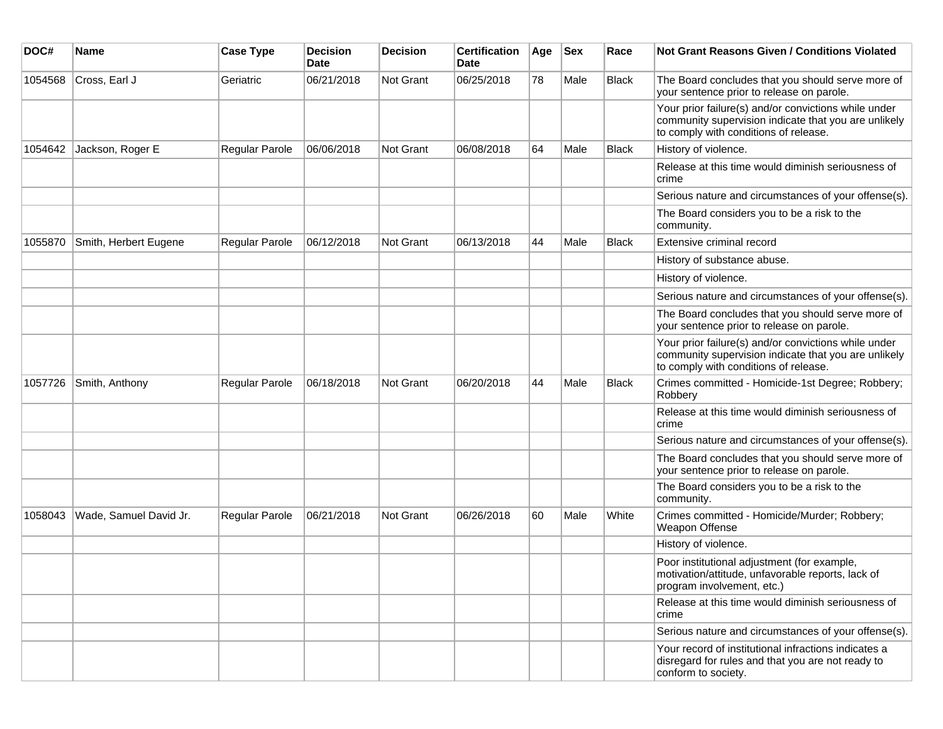| DOC#    | <b>Name</b>            | <b>Case Type</b>      | <b>Decision</b><br><b>Date</b> | <b>Decision</b>  | <b>Certification</b><br>Date | Age | <b>Sex</b> | Race         | <b>Not Grant Reasons Given / Conditions Violated</b>                                                                                                  |
|---------|------------------------|-----------------------|--------------------------------|------------------|------------------------------|-----|------------|--------------|-------------------------------------------------------------------------------------------------------------------------------------------------------|
| 1054568 | Cross, Earl J          | Geriatric             | 06/21/2018                     | Not Grant        | 06/25/2018                   | 78  | Male       | <b>Black</b> | The Board concludes that you should serve more of<br>your sentence prior to release on parole.                                                        |
|         |                        |                       |                                |                  |                              |     |            |              | Your prior failure(s) and/or convictions while under<br>community supervision indicate that you are unlikely<br>to comply with conditions of release. |
| 1054642 | Jackson, Roger E       | Regular Parole        | 06/06/2018                     | <b>Not Grant</b> | 06/08/2018                   | 64  | Male       | Black        | History of violence.                                                                                                                                  |
|         |                        |                       |                                |                  |                              |     |            |              | Release at this time would diminish seriousness of<br>crime                                                                                           |
|         |                        |                       |                                |                  |                              |     |            |              | Serious nature and circumstances of your offense(s).                                                                                                  |
|         |                        |                       |                                |                  |                              |     |            |              | The Board considers you to be a risk to the<br>community.                                                                                             |
| 1055870 | Smith, Herbert Eugene  | Regular Parole        | 06/12/2018                     | <b>Not Grant</b> | 06/13/2018                   | 44  | Male       | <b>Black</b> | Extensive criminal record                                                                                                                             |
|         |                        |                       |                                |                  |                              |     |            |              | History of substance abuse.                                                                                                                           |
|         |                        |                       |                                |                  |                              |     |            |              | History of violence.                                                                                                                                  |
|         |                        |                       |                                |                  |                              |     |            |              | Serious nature and circumstances of your offense(s).                                                                                                  |
|         |                        |                       |                                |                  |                              |     |            |              | The Board concludes that you should serve more of<br>your sentence prior to release on parole.                                                        |
|         |                        |                       |                                |                  |                              |     |            |              | Your prior failure(s) and/or convictions while under<br>community supervision indicate that you are unlikely<br>to comply with conditions of release. |
| 1057726 | Smith, Anthony         | <b>Regular Parole</b> | 06/18/2018                     | <b>Not Grant</b> | 06/20/2018                   | 44  | Male       | <b>Black</b> | Crimes committed - Homicide-1st Degree; Robbery;<br>Robbery                                                                                           |
|         |                        |                       |                                |                  |                              |     |            |              | Release at this time would diminish seriousness of<br>crime                                                                                           |
|         |                        |                       |                                |                  |                              |     |            |              | Serious nature and circumstances of your offense(s).                                                                                                  |
|         |                        |                       |                                |                  |                              |     |            |              | The Board concludes that you should serve more of<br>your sentence prior to release on parole.                                                        |
|         |                        |                       |                                |                  |                              |     |            |              | The Board considers you to be a risk to the<br>community.                                                                                             |
| 1058043 | Wade, Samuel David Jr. | Regular Parole        | 06/21/2018                     | <b>Not Grant</b> | 06/26/2018                   | 60  | Male       | White        | Crimes committed - Homicide/Murder; Robbery;<br>Weapon Offense                                                                                        |
|         |                        |                       |                                |                  |                              |     |            |              | History of violence.                                                                                                                                  |
|         |                        |                       |                                |                  |                              |     |            |              | Poor institutional adjustment (for example,<br>motivation/attitude, unfavorable reports, lack of<br>program involvement, etc.)                        |
|         |                        |                       |                                |                  |                              |     |            |              | Release at this time would diminish seriousness of<br>crime                                                                                           |
|         |                        |                       |                                |                  |                              |     |            |              | Serious nature and circumstances of your offense(s).                                                                                                  |
|         |                        |                       |                                |                  |                              |     |            |              | Your record of institutional infractions indicates a<br>disregard for rules and that you are not ready to<br>conform to society.                      |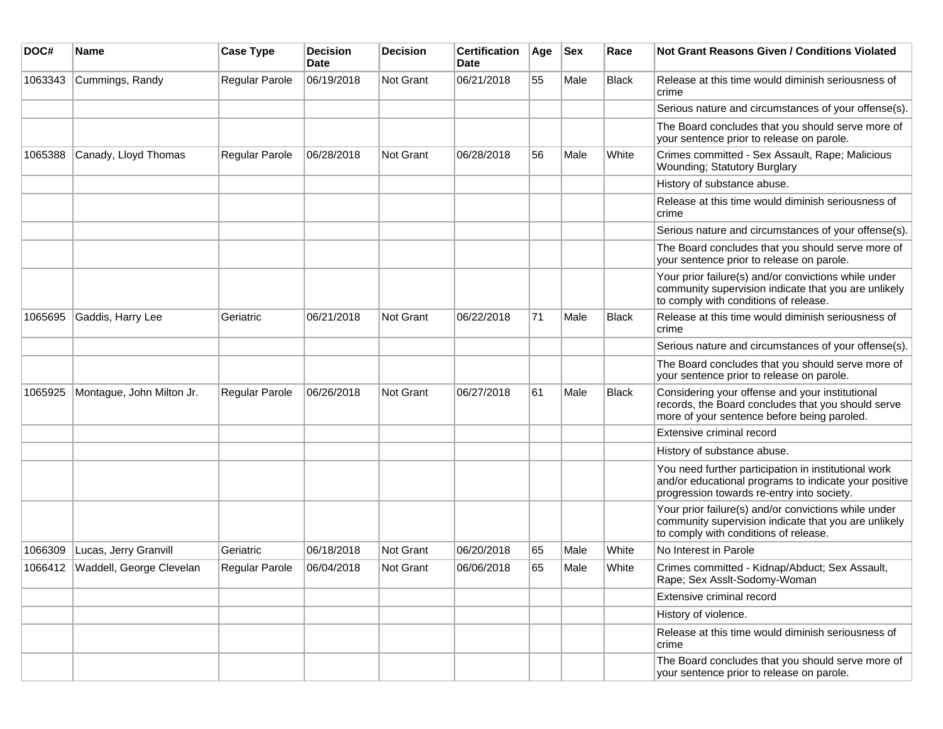| DOC#    | <b>Name</b>                      | <b>Case Type</b>      | <b>Decision</b><br>Date | <b>Decision</b> | <b>Certification</b><br>Date | Age | <b>Sex</b> | Race         | Not Grant Reasons Given / Conditions Violated                                                                                                               |
|---------|----------------------------------|-----------------------|-------------------------|-----------------|------------------------------|-----|------------|--------------|-------------------------------------------------------------------------------------------------------------------------------------------------------------|
| 1063343 | Cummings, Randy                  | Regular Parole        | 06/19/2018              | Not Grant       | 06/21/2018                   | 55  | Male       | Black        | Release at this time would diminish seriousness of<br>crime                                                                                                 |
|         |                                  |                       |                         |                 |                              |     |            |              | Serious nature and circumstances of your offense(s).                                                                                                        |
|         |                                  |                       |                         |                 |                              |     |            |              | The Board concludes that you should serve more of<br>your sentence prior to release on parole.                                                              |
| 1065388 | Canady, Lloyd Thomas             | Regular Parole        | 06/28/2018              | Not Grant       | 06/28/2018                   | 56  | Male       | White        | Crimes committed - Sex Assault, Rape; Malicious<br>Wounding; Statutory Burglary                                                                             |
|         |                                  |                       |                         |                 |                              |     |            |              | History of substance abuse.                                                                                                                                 |
|         |                                  |                       |                         |                 |                              |     |            |              | Release at this time would diminish seriousness of<br>crime                                                                                                 |
|         |                                  |                       |                         |                 |                              |     |            |              | Serious nature and circumstances of your offense(s).                                                                                                        |
|         |                                  |                       |                         |                 |                              |     |            |              | The Board concludes that you should serve more of<br>your sentence prior to release on parole.                                                              |
|         |                                  |                       |                         |                 |                              |     |            |              | Your prior failure(s) and/or convictions while under<br>community supervision indicate that you are unlikely<br>to comply with conditions of release.       |
| 1065695 | Gaddis, Harry Lee                | Geriatric             | 06/21/2018              | Not Grant       | 06/22/2018                   | 71  | Male       | <b>Black</b> | Release at this time would diminish seriousness of<br>crime                                                                                                 |
|         |                                  |                       |                         |                 |                              |     |            |              | Serious nature and circumstances of your offense(s).                                                                                                        |
|         |                                  |                       |                         |                 |                              |     |            |              | The Board concludes that you should serve more of<br>your sentence prior to release on parole.                                                              |
| 1065925 | Montague, John Milton Jr.        | Regular Parole        | 06/26/2018              | Not Grant       | 06/27/2018                   | 61  | Male       | Black        | Considering your offense and your institutional<br>records, the Board concludes that you should serve<br>more of your sentence before being paroled.        |
|         |                                  |                       |                         |                 |                              |     |            |              | Extensive criminal record                                                                                                                                   |
|         |                                  |                       |                         |                 |                              |     |            |              | History of substance abuse.                                                                                                                                 |
|         |                                  |                       |                         |                 |                              |     |            |              | You need further participation in institutional work<br>and/or educational programs to indicate your positive<br>progression towards re-entry into society. |
|         |                                  |                       |                         |                 |                              |     |            |              | Your prior failure(s) and/or convictions while under<br>community supervision indicate that you are unlikely<br>to comply with conditions of release.       |
| 1066309 | Lucas, Jerry Granvill            | Geriatric             | 06/18/2018              | Not Grant       | 06/20/2018                   | 65  | Male       | White        | No Interest in Parole                                                                                                                                       |
|         | 1066412 Waddell, George Clevelan | <b>Regular Parole</b> | 06/04/2018              | Not Grant       | 06/06/2018                   | 65  | Male       | White        | Crimes committed - Kidnap/Abduct; Sex Assault,<br>Rape; Sex Asslt-Sodomy-Woman                                                                              |
|         |                                  |                       |                         |                 |                              |     |            |              | Extensive criminal record                                                                                                                                   |
|         |                                  |                       |                         |                 |                              |     |            |              | History of violence.                                                                                                                                        |
|         |                                  |                       |                         |                 |                              |     |            |              | Release at this time would diminish seriousness of<br>crime                                                                                                 |
|         |                                  |                       |                         |                 |                              |     |            |              | The Board concludes that you should serve more of<br>your sentence prior to release on parole.                                                              |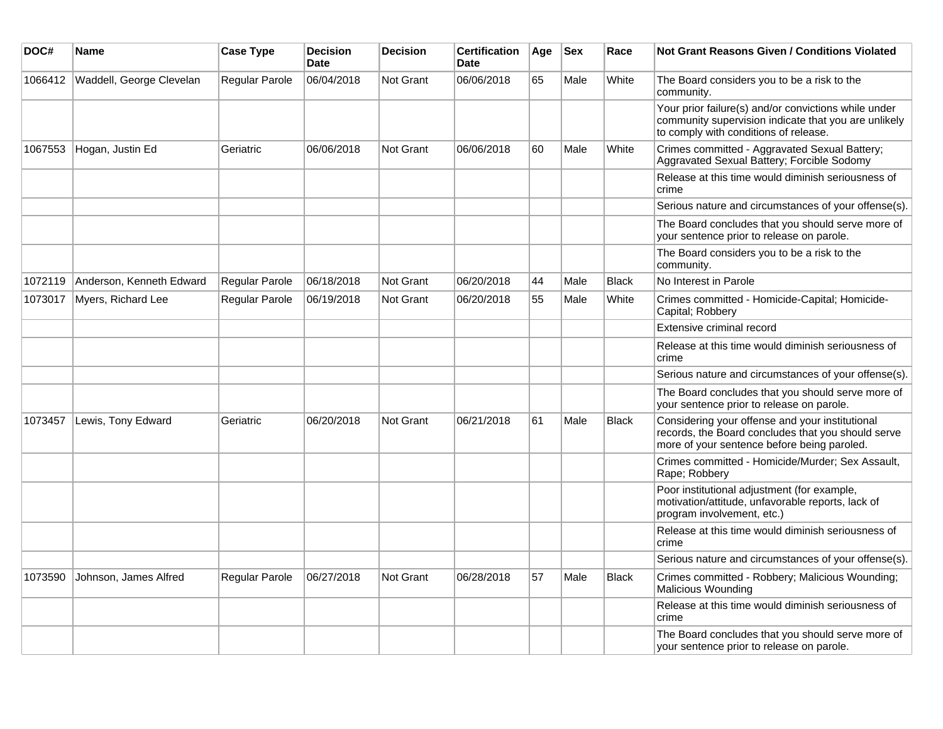| DOC#    | Name                     | <b>Case Type</b>      | <b>Decision</b><br>Date | <b>Decision</b>  | <b>Certification</b><br><b>Date</b> | Age | <b>Sex</b> | Race         | Not Grant Reasons Given / Conditions Violated                                                                                                         |
|---------|--------------------------|-----------------------|-------------------------|------------------|-------------------------------------|-----|------------|--------------|-------------------------------------------------------------------------------------------------------------------------------------------------------|
| 1066412 | Waddell, George Clevelan | <b>Regular Parole</b> | 06/04/2018              | Not Grant        | 06/06/2018                          | 65  | Male       | White        | The Board considers you to be a risk to the<br>community.                                                                                             |
|         |                          |                       |                         |                  |                                     |     |            |              | Your prior failure(s) and/or convictions while under<br>community supervision indicate that you are unlikely<br>to comply with conditions of release. |
| 1067553 | Hogan, Justin Ed         | Geriatric             | 06/06/2018              | <b>Not Grant</b> | 06/06/2018                          | 60  | Male       | White        | Crimes committed - Aggravated Sexual Battery;<br>Aggravated Sexual Battery; Forcible Sodomy                                                           |
|         |                          |                       |                         |                  |                                     |     |            |              | Release at this time would diminish seriousness of<br>crime                                                                                           |
|         |                          |                       |                         |                  |                                     |     |            |              | Serious nature and circumstances of your offense(s).                                                                                                  |
|         |                          |                       |                         |                  |                                     |     |            |              | The Board concludes that you should serve more of<br>your sentence prior to release on parole.                                                        |
|         |                          |                       |                         |                  |                                     |     |            |              | The Board considers you to be a risk to the<br>community.                                                                                             |
| 1072119 | Anderson, Kenneth Edward | Regular Parole        | 06/18/2018              | <b>Not Grant</b> | 06/20/2018                          | 44  | Male       | <b>Black</b> | No Interest in Parole                                                                                                                                 |
| 1073017 | Myers, Richard Lee       | Regular Parole        | 06/19/2018              | <b>Not Grant</b> | 06/20/2018                          | 55  | Male       | White        | Crimes committed - Homicide-Capital; Homicide-<br>Capital; Robbery                                                                                    |
|         |                          |                       |                         |                  |                                     |     |            |              | Extensive criminal record                                                                                                                             |
|         |                          |                       |                         |                  |                                     |     |            |              | Release at this time would diminish seriousness of<br>crime                                                                                           |
|         |                          |                       |                         |                  |                                     |     |            |              | Serious nature and circumstances of your offense(s).                                                                                                  |
|         |                          |                       |                         |                  |                                     |     |            |              | The Board concludes that you should serve more of<br>your sentence prior to release on parole.                                                        |
| 1073457 | Lewis, Tony Edward       | Geriatric             | 06/20/2018              | <b>Not Grant</b> | 06/21/2018                          | 61  | Male       | <b>Black</b> | Considering your offense and your institutional<br>records, the Board concludes that you should serve<br>more of your sentence before being paroled.  |
|         |                          |                       |                         |                  |                                     |     |            |              | Crimes committed - Homicide/Murder; Sex Assault,<br>Rape; Robbery                                                                                     |
|         |                          |                       |                         |                  |                                     |     |            |              | Poor institutional adjustment (for example,<br>motivation/attitude, unfavorable reports, lack of<br>program involvement, etc.)                        |
|         |                          |                       |                         |                  |                                     |     |            |              | Release at this time would diminish seriousness of<br>crime                                                                                           |
|         |                          |                       |                         |                  |                                     |     |            |              | Serious nature and circumstances of your offense(s).                                                                                                  |
| 1073590 | Johnson, James Alfred    | <b>Regular Parole</b> | 06/27/2018              | Not Grant        | 06/28/2018                          | 57  | Male       | <b>Black</b> | Crimes committed - Robbery; Malicious Wounding;<br>Malicious Wounding                                                                                 |
|         |                          |                       |                         |                  |                                     |     |            |              | Release at this time would diminish seriousness of<br>crime                                                                                           |
|         |                          |                       |                         |                  |                                     |     |            |              | The Board concludes that you should serve more of<br>your sentence prior to release on parole.                                                        |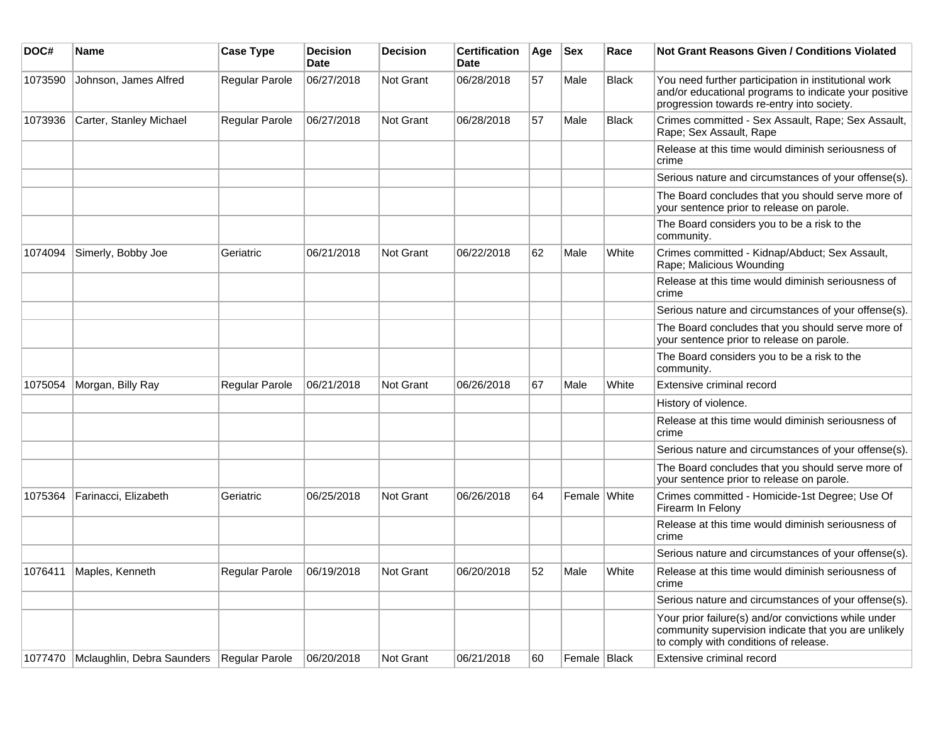| DOC#    | <b>Name</b>                                       | <b>Case Type</b>      | <b>Decision</b><br>Date | <b>Decision</b> | <b>Certification</b><br>Date | Age | <b>Sex</b>   | Race         | <b>Not Grant Reasons Given / Conditions Violated</b>                                                                                                        |
|---------|---------------------------------------------------|-----------------------|-------------------------|-----------------|------------------------------|-----|--------------|--------------|-------------------------------------------------------------------------------------------------------------------------------------------------------------|
| 1073590 | Johnson, James Alfred                             | Regular Parole        | 06/27/2018              | Not Grant       | 06/28/2018                   | 57  | Male         | <b>Black</b> | You need further participation in institutional work<br>and/or educational programs to indicate your positive<br>progression towards re-entry into society. |
| 1073936 | Carter, Stanley Michael                           | Regular Parole        | 06/27/2018              | Not Grant       | 06/28/2018                   | 57  | Male         | <b>Black</b> | Crimes committed - Sex Assault, Rape; Sex Assault,<br>Rape; Sex Assault, Rape                                                                               |
|         |                                                   |                       |                         |                 |                              |     |              |              | Release at this time would diminish seriousness of<br>crime                                                                                                 |
|         |                                                   |                       |                         |                 |                              |     |              |              | Serious nature and circumstances of your offense(s).                                                                                                        |
|         |                                                   |                       |                         |                 |                              |     |              |              | The Board concludes that you should serve more of<br>your sentence prior to release on parole.                                                              |
|         |                                                   |                       |                         |                 |                              |     |              |              | The Board considers you to be a risk to the<br>community.                                                                                                   |
| 1074094 | Simerly, Bobby Joe                                | Geriatric             | 06/21/2018              | Not Grant       | 06/22/2018                   | 62  | Male         | White        | Crimes committed - Kidnap/Abduct; Sex Assault,<br>Rape; Malicious Wounding                                                                                  |
|         |                                                   |                       |                         |                 |                              |     |              |              | Release at this time would diminish seriousness of<br>crime                                                                                                 |
|         |                                                   |                       |                         |                 |                              |     |              |              | Serious nature and circumstances of your offense(s).                                                                                                        |
|         |                                                   |                       |                         |                 |                              |     |              |              | The Board concludes that you should serve more of<br>your sentence prior to release on parole.                                                              |
|         |                                                   |                       |                         |                 |                              |     |              |              | The Board considers you to be a risk to the<br>community.                                                                                                   |
| 1075054 | Morgan, Billy Ray                                 | Regular Parole        | 06/21/2018              | Not Grant       | 06/26/2018                   | 67  | Male         | White        | Extensive criminal record                                                                                                                                   |
|         |                                                   |                       |                         |                 |                              |     |              |              | History of violence.                                                                                                                                        |
|         |                                                   |                       |                         |                 |                              |     |              |              | Release at this time would diminish seriousness of<br>crime                                                                                                 |
|         |                                                   |                       |                         |                 |                              |     |              |              | Serious nature and circumstances of your offense(s).                                                                                                        |
|         |                                                   |                       |                         |                 |                              |     |              |              | The Board concludes that you should serve more of<br>your sentence prior to release on parole.                                                              |
| 1075364 | Farinacci, Elizabeth                              | Geriatric             | 06/25/2018              | Not Grant       | 06/26/2018                   | 64  | Female White |              | Crimes committed - Homicide-1st Degree; Use Of<br>Firearm In Felony                                                                                         |
|         |                                                   |                       |                         |                 |                              |     |              |              | Release at this time would diminish seriousness of<br>crime                                                                                                 |
|         |                                                   |                       |                         |                 |                              |     |              |              | Serious nature and circumstances of your offense(s).                                                                                                        |
| 1076411 | Maples, Kenneth                                   | <b>Regular Parole</b> | 06/19/2018              | Not Grant       | 06/20/2018                   | 52  | Male         | White        | Release at this time would diminish seriousness of<br>crime                                                                                                 |
|         |                                                   |                       |                         |                 |                              |     |              |              | Serious nature and circumstances of your offense(s).                                                                                                        |
|         |                                                   |                       |                         |                 |                              |     |              |              | Your prior failure(s) and/or convictions while under<br>community supervision indicate that you are unlikely<br>to comply with conditions of release.       |
|         | 1077470 Mclaughlin, Debra Saunders Regular Parole |                       | 06/20/2018              | Not Grant       | 06/21/2018                   | 60  | Female Black |              | Extensive criminal record                                                                                                                                   |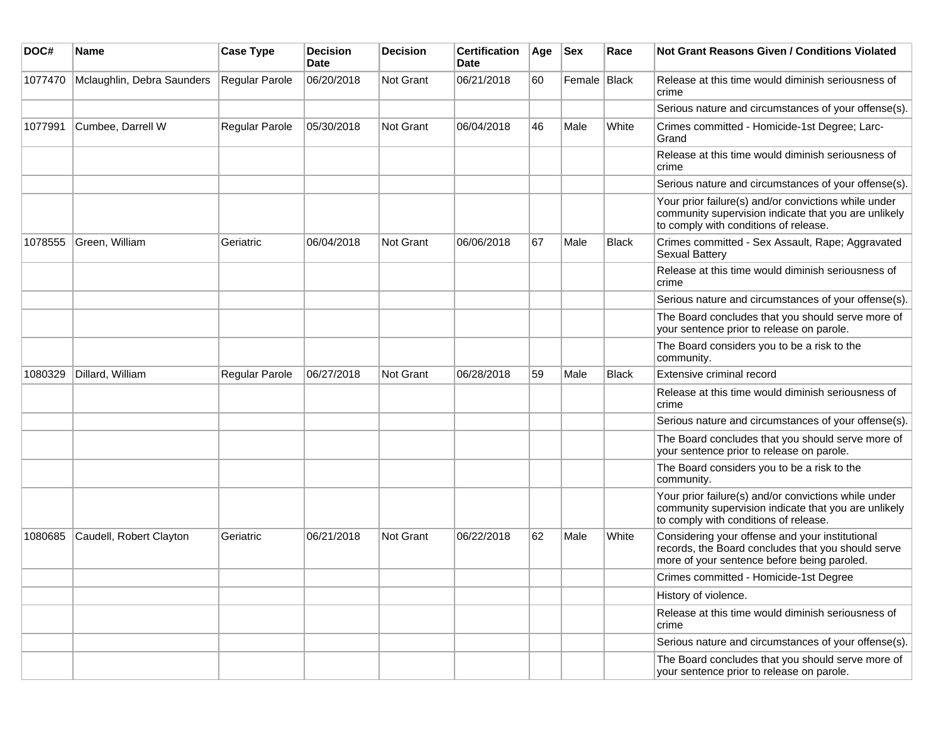| DOC#    | <b>Name</b>                | <b>Case Type</b> | <b>Decision</b><br><b>Date</b> | <b>Decision</b>  | <b>Certification</b><br>Date | Age | <b>Sex</b>   | Race         | Not Grant Reasons Given / Conditions Violated                                                                                                         |
|---------|----------------------------|------------------|--------------------------------|------------------|------------------------------|-----|--------------|--------------|-------------------------------------------------------------------------------------------------------------------------------------------------------|
| 1077470 | Mclaughlin, Debra Saunders | Regular Parole   | 06/20/2018                     | Not Grant        | 06/21/2018                   | 60  | Female Black |              | Release at this time would diminish seriousness of<br>crime                                                                                           |
|         |                            |                  |                                |                  |                              |     |              |              | Serious nature and circumstances of your offense(s).                                                                                                  |
| 1077991 | Cumbee, Darrell W          | Regular Parole   | 05/30/2018                     | <b>Not Grant</b> | 06/04/2018                   | 46  | Male         | White        | Crimes committed - Homicide-1st Degree; Larc-<br>Grand                                                                                                |
|         |                            |                  |                                |                  |                              |     |              |              | Release at this time would diminish seriousness of<br>crime                                                                                           |
|         |                            |                  |                                |                  |                              |     |              |              | Serious nature and circumstances of your offense(s).                                                                                                  |
|         |                            |                  |                                |                  |                              |     |              |              | Your prior failure(s) and/or convictions while under<br>community supervision indicate that you are unlikely<br>to comply with conditions of release. |
| 1078555 | Green, William             | Geriatric        | 06/04/2018                     | <b>Not Grant</b> | 06/06/2018                   | 67  | Male         | Black        | Crimes committed - Sex Assault, Rape; Aggravated<br><b>Sexual Battery</b>                                                                             |
|         |                            |                  |                                |                  |                              |     |              |              | Release at this time would diminish seriousness of<br>crime                                                                                           |
|         |                            |                  |                                |                  |                              |     |              |              | Serious nature and circumstances of your offense(s).                                                                                                  |
|         |                            |                  |                                |                  |                              |     |              |              | The Board concludes that you should serve more of<br>your sentence prior to release on parole.                                                        |
|         |                            |                  |                                |                  |                              |     |              |              | The Board considers you to be a risk to the<br>community.                                                                                             |
| 1080329 | Dillard, William           | Regular Parole   | 06/27/2018                     | <b>Not Grant</b> | 06/28/2018                   | 59  | Male         | <b>Black</b> | Extensive criminal record                                                                                                                             |
|         |                            |                  |                                |                  |                              |     |              |              | Release at this time would diminish seriousness of<br>crime                                                                                           |
|         |                            |                  |                                |                  |                              |     |              |              | Serious nature and circumstances of your offense(s).                                                                                                  |
|         |                            |                  |                                |                  |                              |     |              |              | The Board concludes that you should serve more of<br>your sentence prior to release on parole.                                                        |
|         |                            |                  |                                |                  |                              |     |              |              | The Board considers you to be a risk to the<br>community.                                                                                             |
|         |                            |                  |                                |                  |                              |     |              |              | Your prior failure(s) and/or convictions while under<br>community supervision indicate that you are unlikely<br>to comply with conditions of release. |
| 1080685 | Caudell, Robert Clayton    | Geriatric        | 06/21/2018                     | <b>Not Grant</b> | 06/22/2018                   | 62  | Male         | White        | Considering your offense and your institutional<br>records, the Board concludes that you should serve<br>more of your sentence before being paroled.  |
|         |                            |                  |                                |                  |                              |     |              |              | Crimes committed - Homicide-1st Degree                                                                                                                |
|         |                            |                  |                                |                  |                              |     |              |              | History of violence.                                                                                                                                  |
|         |                            |                  |                                |                  |                              |     |              |              | Release at this time would diminish seriousness of<br>crime                                                                                           |
|         |                            |                  |                                |                  |                              |     |              |              | Serious nature and circumstances of your offense(s).                                                                                                  |
|         |                            |                  |                                |                  |                              |     |              |              | The Board concludes that you should serve more of<br>your sentence prior to release on parole.                                                        |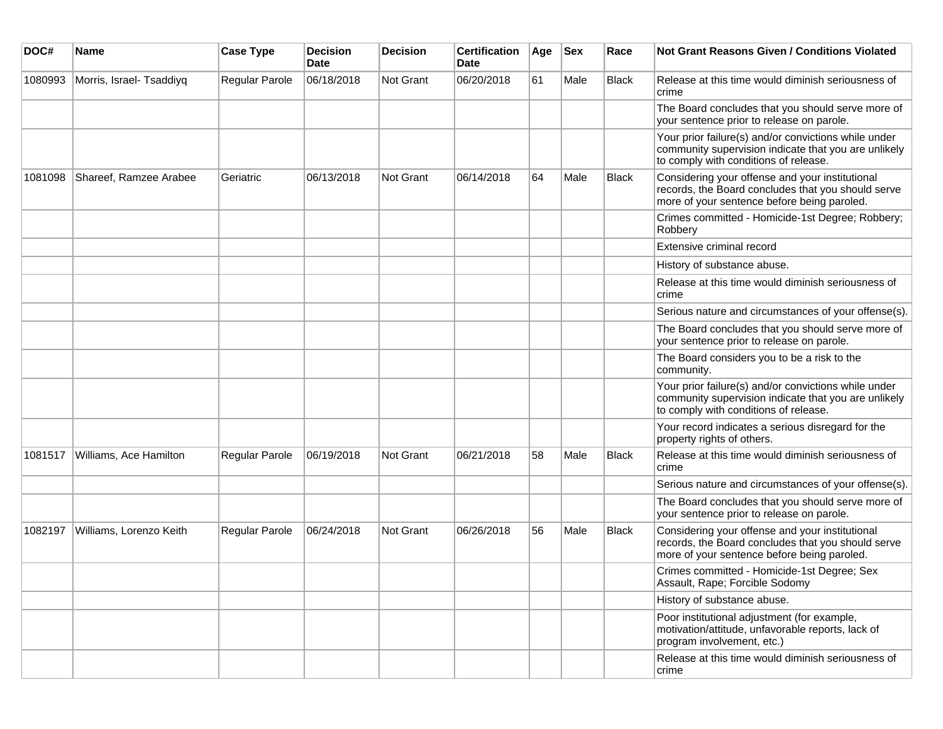| DOC#    | Name                     | <b>Case Type</b>      | <b>Decision</b><br>Date | <b>Decision</b>  | <b>Certification</b><br>Date | Age | Sex  | Race  | Not Grant Reasons Given / Conditions Violated                                                                                                         |
|---------|--------------------------|-----------------------|-------------------------|------------------|------------------------------|-----|------|-------|-------------------------------------------------------------------------------------------------------------------------------------------------------|
| 1080993 | Morris, Israel- Tsaddiyq | Regular Parole        | 06/18/2018              | Not Grant        | 06/20/2018                   | 61  | Male | Black | Release at this time would diminish seriousness of<br>crime                                                                                           |
|         |                          |                       |                         |                  |                              |     |      |       | The Board concludes that you should serve more of<br>your sentence prior to release on parole.                                                        |
|         |                          |                       |                         |                  |                              |     |      |       | Your prior failure(s) and/or convictions while under<br>community supervision indicate that you are unlikely<br>to comply with conditions of release. |
| 1081098 | Shareef, Ramzee Arabee   | Geriatric             | 06/13/2018              | Not Grant        | 06/14/2018                   | 64  | Male | Black | Considering your offense and your institutional<br>records, the Board concludes that you should serve<br>more of your sentence before being paroled.  |
|         |                          |                       |                         |                  |                              |     |      |       | Crimes committed - Homicide-1st Degree; Robbery;<br>Robbery                                                                                           |
|         |                          |                       |                         |                  |                              |     |      |       | Extensive criminal record                                                                                                                             |
|         |                          |                       |                         |                  |                              |     |      |       | History of substance abuse.                                                                                                                           |
|         |                          |                       |                         |                  |                              |     |      |       | Release at this time would diminish seriousness of<br>crime                                                                                           |
|         |                          |                       |                         |                  |                              |     |      |       | Serious nature and circumstances of your offense(s).                                                                                                  |
|         |                          |                       |                         |                  |                              |     |      |       | The Board concludes that you should serve more of<br>your sentence prior to release on parole.                                                        |
|         |                          |                       |                         |                  |                              |     |      |       | The Board considers you to be a risk to the<br>community.                                                                                             |
|         |                          |                       |                         |                  |                              |     |      |       | Your prior failure(s) and/or convictions while under<br>community supervision indicate that you are unlikely<br>to comply with conditions of release. |
|         |                          |                       |                         |                  |                              |     |      |       | Your record indicates a serious disregard for the<br>property rights of others.                                                                       |
| 1081517 | Williams, Ace Hamilton   | Regular Parole        | 06/19/2018              | <b>Not Grant</b> | 06/21/2018                   | 58  | Male | Black | Release at this time would diminish seriousness of<br>crime                                                                                           |
|         |                          |                       |                         |                  |                              |     |      |       | Serious nature and circumstances of your offense(s).                                                                                                  |
|         |                          |                       |                         |                  |                              |     |      |       | The Board concludes that you should serve more of<br>your sentence prior to release on parole.                                                        |
| 1082197 | Williams, Lorenzo Keith  | <b>Regular Parole</b> | 06/24/2018              | <b>Not Grant</b> | 06/26/2018                   | 56  | Male | Black | Considering your offense and your institutional<br>records, the Board concludes that you should serve<br>more of your sentence before being paroled.  |
|         |                          |                       |                         |                  |                              |     |      |       | Crimes committed - Homicide-1st Degree; Sex<br>Assault, Rape; Forcible Sodomy                                                                         |
|         |                          |                       |                         |                  |                              |     |      |       | History of substance abuse.                                                                                                                           |
|         |                          |                       |                         |                  |                              |     |      |       | Poor institutional adjustment (for example,<br>motivation/attitude, unfavorable reports, lack of<br>program involvement, etc.)                        |
|         |                          |                       |                         |                  |                              |     |      |       | Release at this time would diminish seriousness of<br>crime                                                                                           |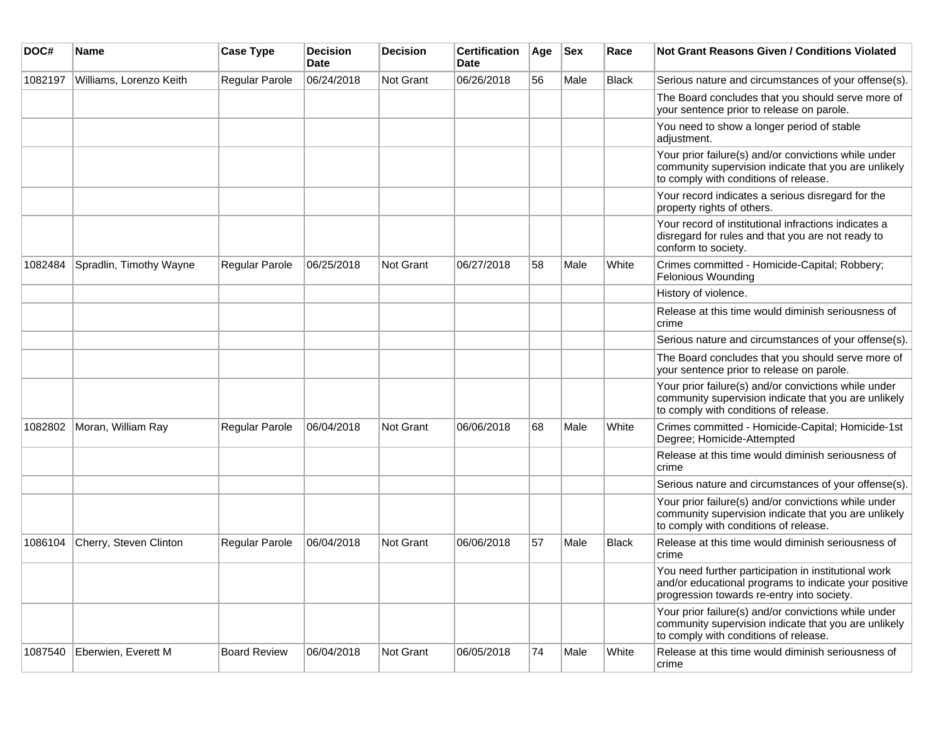| DOC#    | <b>Name</b>             | <b>Case Type</b>    | <b>Decision</b><br><b>Date</b> | <b>Decision</b> | <b>Certification</b><br>Date | Age | <b>Sex</b> | Race         | <b>Not Grant Reasons Given / Conditions Violated</b>                                                                                                        |
|---------|-------------------------|---------------------|--------------------------------|-----------------|------------------------------|-----|------------|--------------|-------------------------------------------------------------------------------------------------------------------------------------------------------------|
| 1082197 | Williams, Lorenzo Keith | Regular Parole      | 06/24/2018                     | Not Grant       | 06/26/2018                   | 56  | Male       | Black        | Serious nature and circumstances of your offense(s).                                                                                                        |
|         |                         |                     |                                |                 |                              |     |            |              | The Board concludes that you should serve more of<br>your sentence prior to release on parole.                                                              |
|         |                         |                     |                                |                 |                              |     |            |              | You need to show a longer period of stable<br>adjustment.                                                                                                   |
|         |                         |                     |                                |                 |                              |     |            |              | Your prior failure(s) and/or convictions while under<br>community supervision indicate that you are unlikely<br>to comply with conditions of release.       |
|         |                         |                     |                                |                 |                              |     |            |              | Your record indicates a serious disregard for the<br>property rights of others.                                                                             |
|         |                         |                     |                                |                 |                              |     |            |              | Your record of institutional infractions indicates a<br>disregard for rules and that you are not ready to<br>conform to society.                            |
| 1082484 | Spradlin, Timothy Wayne | Regular Parole      | 06/25/2018                     | Not Grant       | 06/27/2018                   | 58  | Male       | White        | Crimes committed - Homicide-Capital; Robbery;<br><b>Felonious Wounding</b>                                                                                  |
|         |                         |                     |                                |                 |                              |     |            |              | History of violence.                                                                                                                                        |
|         |                         |                     |                                |                 |                              |     |            |              | Release at this time would diminish seriousness of<br>crime                                                                                                 |
|         |                         |                     |                                |                 |                              |     |            |              | Serious nature and circumstances of your offense(s).                                                                                                        |
|         |                         |                     |                                |                 |                              |     |            |              | The Board concludes that you should serve more of<br>your sentence prior to release on parole.                                                              |
|         |                         |                     |                                |                 |                              |     |            |              | Your prior failure(s) and/or convictions while under<br>community supervision indicate that you are unlikely<br>to comply with conditions of release.       |
| 1082802 | Moran, William Ray      | Regular Parole      | 06/04/2018                     | Not Grant       | 06/06/2018                   | 68  | Male       | White        | Crimes committed - Homicide-Capital; Homicide-1st<br>Degree; Homicide-Attempted                                                                             |
|         |                         |                     |                                |                 |                              |     |            |              | Release at this time would diminish seriousness of<br>crime                                                                                                 |
|         |                         |                     |                                |                 |                              |     |            |              | Serious nature and circumstances of your offense(s).                                                                                                        |
|         |                         |                     |                                |                 |                              |     |            |              | Your prior failure(s) and/or convictions while under<br>community supervision indicate that you are unlikely<br>to comply with conditions of release.       |
| 1086104 | Cherry, Steven Clinton  | Regular Parole      | 06/04/2018                     | Not Grant       | 06/06/2018                   | 57  | Male       | <b>Black</b> | Release at this time would diminish seriousness of<br>crime                                                                                                 |
|         |                         |                     |                                |                 |                              |     |            |              | You need further participation in institutional work<br>and/or educational programs to indicate your positive<br>progression towards re-entry into society. |
|         |                         |                     |                                |                 |                              |     |            |              | Your prior failure(s) and/or convictions while under<br>community supervision indicate that you are unlikely<br>to comply with conditions of release.       |
| 1087540 | Eberwien, Everett M     | <b>Board Review</b> | 06/04/2018                     | Not Grant       | 06/05/2018                   | 74  | Male       | White        | Release at this time would diminish seriousness of<br>crime                                                                                                 |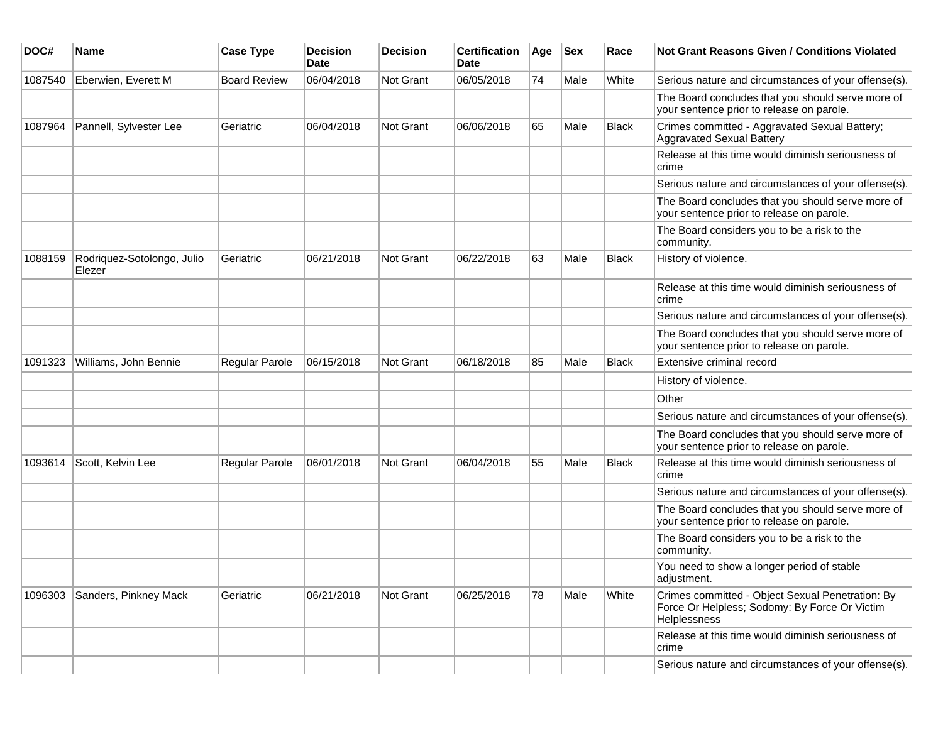| DOC#    | Name                                 | <b>Case Type</b>    | <b>Decision</b><br>Date | <b>Decision</b> | <b>Certification</b><br>Date | Age | <b>Sex</b> | Race         | <b>Not Grant Reasons Given / Conditions Violated</b>                                                              |
|---------|--------------------------------------|---------------------|-------------------------|-----------------|------------------------------|-----|------------|--------------|-------------------------------------------------------------------------------------------------------------------|
| 1087540 | Eberwien, Everett M                  | <b>Board Review</b> | 06/04/2018              | Not Grant       | 06/05/2018                   | 74  | Male       | White        | Serious nature and circumstances of your offense(s).                                                              |
|         |                                      |                     |                         |                 |                              |     |            |              | The Board concludes that you should serve more of<br>your sentence prior to release on parole.                    |
| 1087964 | Pannell, Sylvester Lee               | Geriatric           | 06/04/2018              | Not Grant       | 06/06/2018                   | 65  | Male       | <b>Black</b> | Crimes committed - Aggravated Sexual Battery;<br><b>Aggravated Sexual Battery</b>                                 |
|         |                                      |                     |                         |                 |                              |     |            |              | Release at this time would diminish seriousness of<br>crime                                                       |
|         |                                      |                     |                         |                 |                              |     |            |              | Serious nature and circumstances of your offense(s).                                                              |
|         |                                      |                     |                         |                 |                              |     |            |              | The Board concludes that you should serve more of<br>your sentence prior to release on parole.                    |
|         |                                      |                     |                         |                 |                              |     |            |              | The Board considers you to be a risk to the<br>community.                                                         |
| 1088159 | Rodriquez-Sotolongo, Julio<br>Elezer | Geriatric           | 06/21/2018              | Not Grant       | 06/22/2018                   | 63  | Male       | <b>Black</b> | History of violence.                                                                                              |
|         |                                      |                     |                         |                 |                              |     |            |              | Release at this time would diminish seriousness of<br>crime                                                       |
|         |                                      |                     |                         |                 |                              |     |            |              | Serious nature and circumstances of your offense(s).                                                              |
|         |                                      |                     |                         |                 |                              |     |            |              | The Board concludes that you should serve more of<br>your sentence prior to release on parole.                    |
| 1091323 | Williams, John Bennie                | Regular Parole      | 06/15/2018              | Not Grant       | 06/18/2018                   | 85  | Male       | <b>Black</b> | Extensive criminal record                                                                                         |
|         |                                      |                     |                         |                 |                              |     |            |              | History of violence.                                                                                              |
|         |                                      |                     |                         |                 |                              |     |            |              | Other                                                                                                             |
|         |                                      |                     |                         |                 |                              |     |            |              | Serious nature and circumstances of your offense(s).                                                              |
|         |                                      |                     |                         |                 |                              |     |            |              | The Board concludes that you should serve more of<br>your sentence prior to release on parole.                    |
| 1093614 | Scott, Kelvin Lee                    | Regular Parole      | 06/01/2018              | Not Grant       | 06/04/2018                   | 55  | Male       | <b>Black</b> | Release at this time would diminish seriousness of<br>crime                                                       |
|         |                                      |                     |                         |                 |                              |     |            |              | Serious nature and circumstances of your offense(s).                                                              |
|         |                                      |                     |                         |                 |                              |     |            |              | The Board concludes that you should serve more of<br>your sentence prior to release on parole.                    |
|         |                                      |                     |                         |                 |                              |     |            |              | The Board considers you to be a risk to the<br>community.                                                         |
|         |                                      |                     |                         |                 |                              |     |            |              | You need to show a longer period of stable<br>adjustment.                                                         |
| 1096303 | Sanders, Pinkney Mack                | Geriatric           | 06/21/2018              | Not Grant       | 06/25/2018                   | 78  | Male       | White        | Crimes committed - Object Sexual Penetration: By<br>Force Or Helpless; Sodomy: By Force Or Victim<br>Helplessness |
|         |                                      |                     |                         |                 |                              |     |            |              | Release at this time would diminish seriousness of<br>crime                                                       |
|         |                                      |                     |                         |                 |                              |     |            |              | Serious nature and circumstances of your offense(s).                                                              |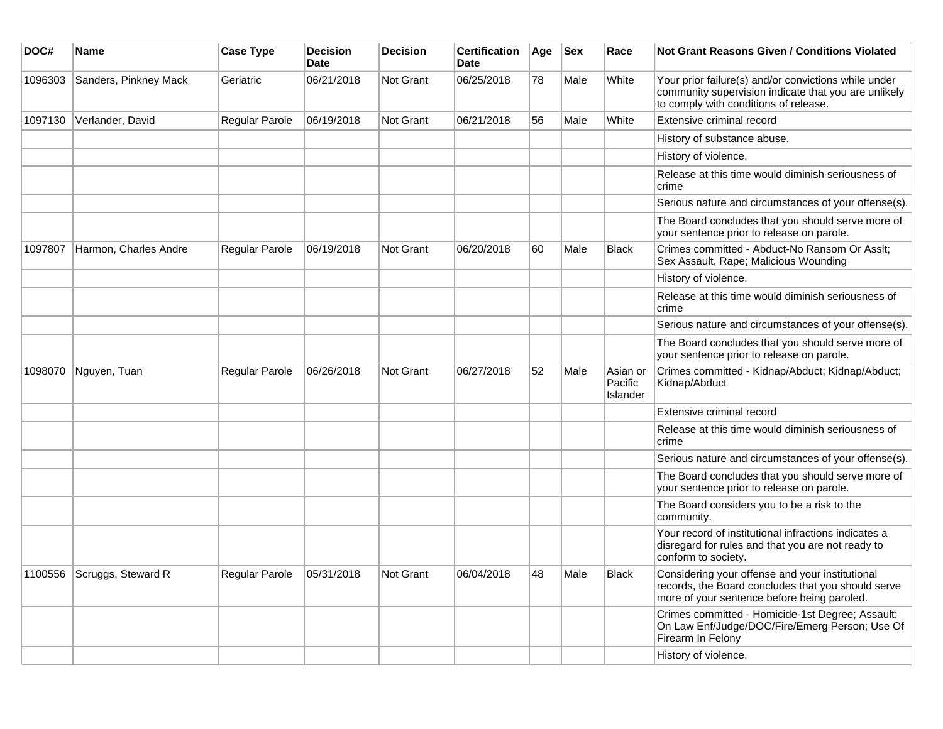| DOC#    | Name                  | <b>Case Type</b> | <b>Decision</b><br><b>Date</b> | <b>Decision</b>  | <b>Certification</b><br><b>Date</b> | Age | <b>Sex</b> | Race                                   | <b>Not Grant Reasons Given / Conditions Violated</b>                                                                                                  |
|---------|-----------------------|------------------|--------------------------------|------------------|-------------------------------------|-----|------------|----------------------------------------|-------------------------------------------------------------------------------------------------------------------------------------------------------|
| 1096303 | Sanders, Pinkney Mack | Geriatric        | 06/21/2018                     | Not Grant        | 06/25/2018                          | 78  | Male       | White                                  | Your prior failure(s) and/or convictions while under<br>community supervision indicate that you are unlikely<br>to comply with conditions of release. |
| 1097130 | Verlander, David      | Regular Parole   | 06/19/2018                     | <b>Not Grant</b> | 06/21/2018                          | 56  | Male       | White                                  | Extensive criminal record                                                                                                                             |
|         |                       |                  |                                |                  |                                     |     |            |                                        | History of substance abuse.                                                                                                                           |
|         |                       |                  |                                |                  |                                     |     |            |                                        | History of violence.                                                                                                                                  |
|         |                       |                  |                                |                  |                                     |     |            |                                        | Release at this time would diminish seriousness of<br>crime                                                                                           |
|         |                       |                  |                                |                  |                                     |     |            |                                        | Serious nature and circumstances of your offense(s).                                                                                                  |
|         |                       |                  |                                |                  |                                     |     |            |                                        | The Board concludes that you should serve more of<br>your sentence prior to release on parole.                                                        |
| 1097807 | Harmon, Charles Andre | Regular Parole   | 06/19/2018                     | Not Grant        | 06/20/2018                          | 60  | Male       | Black                                  | Crimes committed - Abduct-No Ransom Or Asslt;<br>Sex Assault, Rape; Malicious Wounding                                                                |
|         |                       |                  |                                |                  |                                     |     |            |                                        | History of violence.                                                                                                                                  |
|         |                       |                  |                                |                  |                                     |     |            |                                        | Release at this time would diminish seriousness of<br>crime                                                                                           |
|         |                       |                  |                                |                  |                                     |     |            |                                        | Serious nature and circumstances of your offense(s).                                                                                                  |
|         |                       |                  |                                |                  |                                     |     |            |                                        | The Board concludes that you should serve more of<br>your sentence prior to release on parole.                                                        |
| 1098070 | Nguyen, Tuan          | Regular Parole   | 06/26/2018                     | <b>Not Grant</b> | 06/27/2018                          | 52  | Male       | Asian or<br>Pacific<br><b>Islander</b> | Crimes committed - Kidnap/Abduct; Kidnap/Abduct;<br>Kidnap/Abduct                                                                                     |
|         |                       |                  |                                |                  |                                     |     |            |                                        | Extensive criminal record                                                                                                                             |
|         |                       |                  |                                |                  |                                     |     |            |                                        | Release at this time would diminish seriousness of<br>crime                                                                                           |
|         |                       |                  |                                |                  |                                     |     |            |                                        | Serious nature and circumstances of your offense(s).                                                                                                  |
|         |                       |                  |                                |                  |                                     |     |            |                                        | The Board concludes that you should serve more of<br>your sentence prior to release on parole.                                                        |
|         |                       |                  |                                |                  |                                     |     |            |                                        | The Board considers you to be a risk to the<br>community.                                                                                             |
|         |                       |                  |                                |                  |                                     |     |            |                                        | Your record of institutional infractions indicates a<br>disregard for rules and that you are not ready to<br>conform to society.                      |
| 1100556 | Scruggs, Steward R    | Regular Parole   | 05/31/2018                     | <b>Not Grant</b> | 06/04/2018                          | 48  | Male       | <b>Black</b>                           | Considering your offense and your institutional<br>records, the Board concludes that you should serve<br>more of your sentence before being paroled.  |
|         |                       |                  |                                |                  |                                     |     |            |                                        | Crimes committed - Homicide-1st Degree; Assault:<br>On Law Enf/Judge/DOC/Fire/Emerg Person; Use Of<br>Firearm In Felony                               |
|         |                       |                  |                                |                  |                                     |     |            |                                        | History of violence.                                                                                                                                  |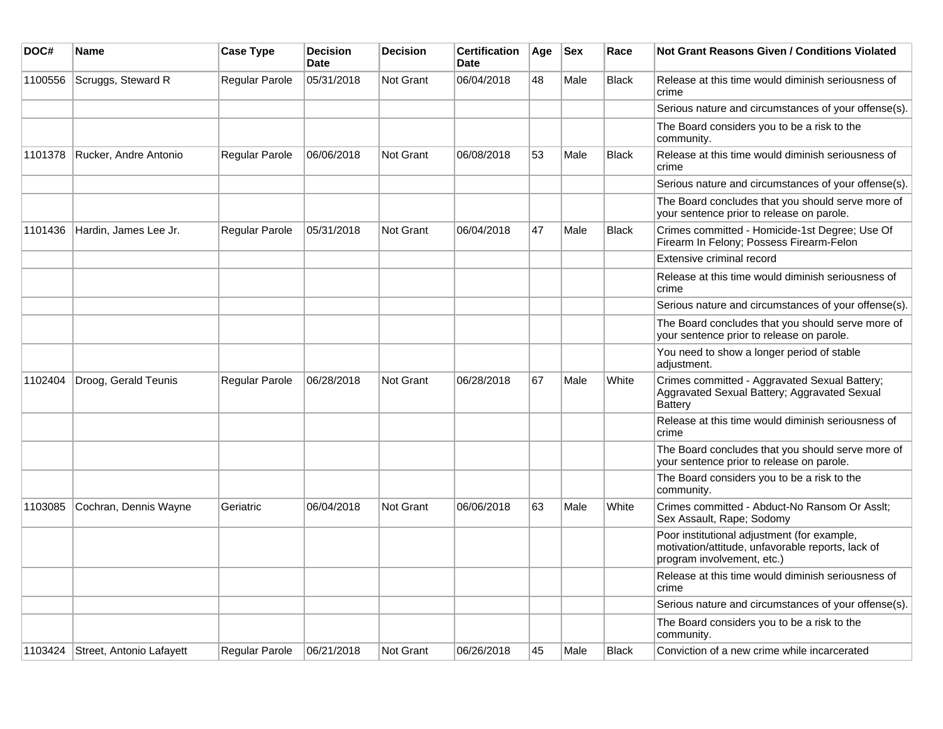| DOC#    | Name                     | <b>Case Type</b>      | <b>Decision</b><br><b>Date</b> | <b>Decision</b>  | <b>Certification</b><br><b>Date</b> | Age | $ $ Sex | Race         | <b>Not Grant Reasons Given / Conditions Violated</b>                                                                           |
|---------|--------------------------|-----------------------|--------------------------------|------------------|-------------------------------------|-----|---------|--------------|--------------------------------------------------------------------------------------------------------------------------------|
| 1100556 | Scruggs, Steward R       | <b>Regular Parole</b> | 05/31/2018                     | Not Grant        | 06/04/2018                          | 48  | Male    | <b>Black</b> | Release at this time would diminish seriousness of<br>crime                                                                    |
|         |                          |                       |                                |                  |                                     |     |         |              | Serious nature and circumstances of your offense(s).                                                                           |
|         |                          |                       |                                |                  |                                     |     |         |              | The Board considers you to be a risk to the<br>community.                                                                      |
| 1101378 | Rucker, Andre Antonio    | <b>Regular Parole</b> | 06/06/2018                     | <b>Not Grant</b> | 06/08/2018                          | 53  | Male    | <b>Black</b> | Release at this time would diminish seriousness of<br>crime                                                                    |
|         |                          |                       |                                |                  |                                     |     |         |              | Serious nature and circumstances of your offense(s).                                                                           |
|         |                          |                       |                                |                  |                                     |     |         |              | The Board concludes that you should serve more of<br>your sentence prior to release on parole.                                 |
| 1101436 | Hardin, James Lee Jr.    | Regular Parole        | 05/31/2018                     | <b>Not Grant</b> | 06/04/2018                          | 47  | Male    | <b>Black</b> | Crimes committed - Homicide-1st Degree; Use Of<br>Firearm In Felony; Possess Firearm-Felon                                     |
|         |                          |                       |                                |                  |                                     |     |         |              | Extensive criminal record                                                                                                      |
|         |                          |                       |                                |                  |                                     |     |         |              | Release at this time would diminish seriousness of<br>crime                                                                    |
|         |                          |                       |                                |                  |                                     |     |         |              | Serious nature and circumstances of your offense(s).                                                                           |
|         |                          |                       |                                |                  |                                     |     |         |              | The Board concludes that you should serve more of<br>your sentence prior to release on parole.                                 |
|         |                          |                       |                                |                  |                                     |     |         |              | You need to show a longer period of stable<br>adjustment.                                                                      |
| 1102404 | Droog, Gerald Teunis     | Regular Parole        | 06/28/2018                     | <b>Not Grant</b> | 06/28/2018                          | 67  | Male    | White        | Crimes committed - Aggravated Sexual Battery;<br>Aggravated Sexual Battery; Aggravated Sexual<br>Battery                       |
|         |                          |                       |                                |                  |                                     |     |         |              | Release at this time would diminish seriousness of<br>crime                                                                    |
|         |                          |                       |                                |                  |                                     |     |         |              | The Board concludes that you should serve more of<br>your sentence prior to release on parole.                                 |
|         |                          |                       |                                |                  |                                     |     |         |              | The Board considers you to be a risk to the<br>community.                                                                      |
| 1103085 | Cochran, Dennis Wayne    | Geriatric             | 06/04/2018                     | <b>Not Grant</b> | 06/06/2018                          | 63  | Male    | White        | Crimes committed - Abduct-No Ransom Or Asslt;<br>Sex Assault, Rape; Sodomy                                                     |
|         |                          |                       |                                |                  |                                     |     |         |              | Poor institutional adjustment (for example,<br>motivation/attitude, unfavorable reports, lack of<br>program involvement, etc.) |
|         |                          |                       |                                |                  |                                     |     |         |              | Release at this time would diminish seriousness of<br>crime                                                                    |
|         |                          |                       |                                |                  |                                     |     |         |              | Serious nature and circumstances of your offense(s).                                                                           |
|         |                          |                       |                                |                  |                                     |     |         |              | The Board considers you to be a risk to the<br>community.                                                                      |
| 1103424 | Street, Antonio Lafayett | <b>Regular Parole</b> | 06/21/2018                     | Not Grant        | 06/26/2018                          | 45  | Male    | <b>Black</b> | Conviction of a new crime while incarcerated                                                                                   |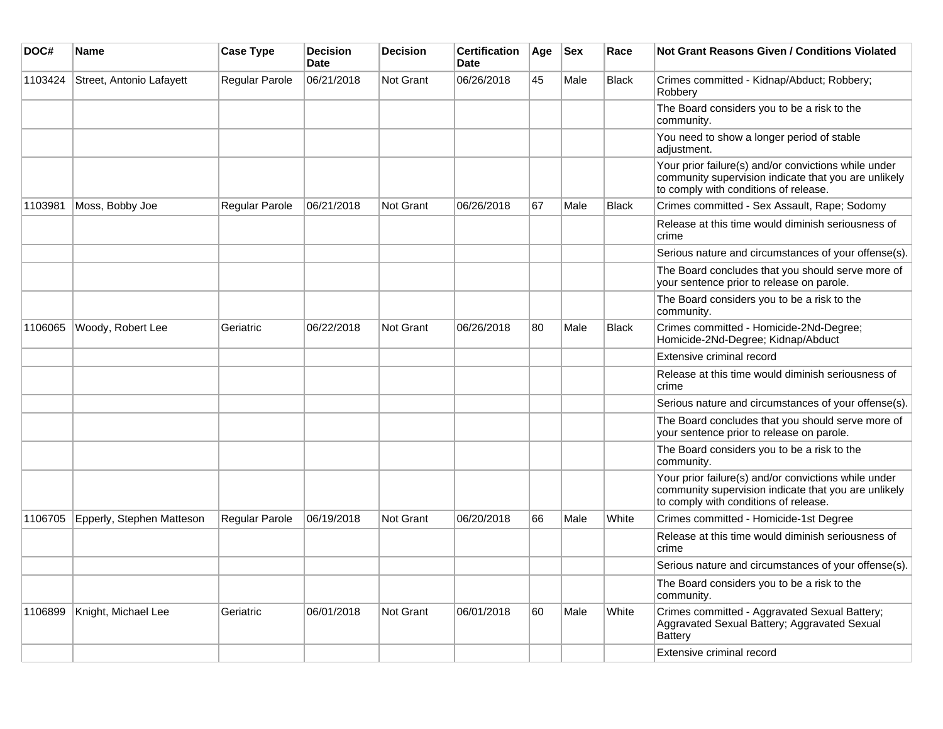| DOC#    | <b>Name</b>               | <b>Case Type</b>      | <b>Decision</b><br><b>Date</b> | <b>Decision</b> | <b>Certification</b><br><b>Date</b> | Age | <b>Sex</b> | Race         | <b>Not Grant Reasons Given / Conditions Violated</b>                                                                                                  |
|---------|---------------------------|-----------------------|--------------------------------|-----------------|-------------------------------------|-----|------------|--------------|-------------------------------------------------------------------------------------------------------------------------------------------------------|
| 1103424 | Street, Antonio Lafayett  | Regular Parole        | 06/21/2018                     | Not Grant       | 06/26/2018                          | 45  | Male       | <b>Black</b> | Crimes committed - Kidnap/Abduct; Robbery;<br>Robbery                                                                                                 |
|         |                           |                       |                                |                 |                                     |     |            |              | The Board considers you to be a risk to the<br>community.                                                                                             |
|         |                           |                       |                                |                 |                                     |     |            |              | You need to show a longer period of stable<br>adjustment.                                                                                             |
|         |                           |                       |                                |                 |                                     |     |            |              | Your prior failure(s) and/or convictions while under<br>community supervision indicate that you are unlikely<br>to comply with conditions of release. |
| 1103981 | Moss, Bobby Joe           | Regular Parole        | 06/21/2018                     | Not Grant       | 06/26/2018                          | 67  | Male       | <b>Black</b> | Crimes committed - Sex Assault, Rape; Sodomy                                                                                                          |
|         |                           |                       |                                |                 |                                     |     |            |              | Release at this time would diminish seriousness of<br>crime                                                                                           |
|         |                           |                       |                                |                 |                                     |     |            |              | Serious nature and circumstances of your offense(s).                                                                                                  |
|         |                           |                       |                                |                 |                                     |     |            |              | The Board concludes that you should serve more of<br>your sentence prior to release on parole.                                                        |
|         |                           |                       |                                |                 |                                     |     |            |              | The Board considers you to be a risk to the<br>community.                                                                                             |
| 1106065 | Woody, Robert Lee         | Geriatric             | 06/22/2018                     | Not Grant       | 06/26/2018                          | 80  | Male       | <b>Black</b> | Crimes committed - Homicide-2Nd-Degree;<br>Homicide-2Nd-Degree; Kidnap/Abduct                                                                         |
|         |                           |                       |                                |                 |                                     |     |            |              | Extensive criminal record                                                                                                                             |
|         |                           |                       |                                |                 |                                     |     |            |              | Release at this time would diminish seriousness of<br>crime                                                                                           |
|         |                           |                       |                                |                 |                                     |     |            |              | Serious nature and circumstances of your offense(s).                                                                                                  |
|         |                           |                       |                                |                 |                                     |     |            |              | The Board concludes that you should serve more of<br>your sentence prior to release on parole.                                                        |
|         |                           |                       |                                |                 |                                     |     |            |              | The Board considers you to be a risk to the<br>community.                                                                                             |
|         |                           |                       |                                |                 |                                     |     |            |              | Your prior failure(s) and/or convictions while under<br>community supervision indicate that you are unlikely<br>to comply with conditions of release. |
| 1106705 | Epperly, Stephen Matteson | <b>Regular Parole</b> | 06/19/2018                     | Not Grant       | 06/20/2018                          | 66  | Male       | White        | Crimes committed - Homicide-1st Degree                                                                                                                |
|         |                           |                       |                                |                 |                                     |     |            |              | Release at this time would diminish seriousness of<br>crime                                                                                           |
|         |                           |                       |                                |                 |                                     |     |            |              | Serious nature and circumstances of your offense(s).                                                                                                  |
|         |                           |                       |                                |                 |                                     |     |            |              | The Board considers you to be a risk to the<br>community.                                                                                             |
| 1106899 | Knight, Michael Lee       | Geriatric             | 06/01/2018                     | Not Grant       | 06/01/2018                          | 60  | Male       | White        | Crimes committed - Aggravated Sexual Battery;<br>Aggravated Sexual Battery; Aggravated Sexual<br><b>Battery</b>                                       |
|         |                           |                       |                                |                 |                                     |     |            |              | Extensive criminal record                                                                                                                             |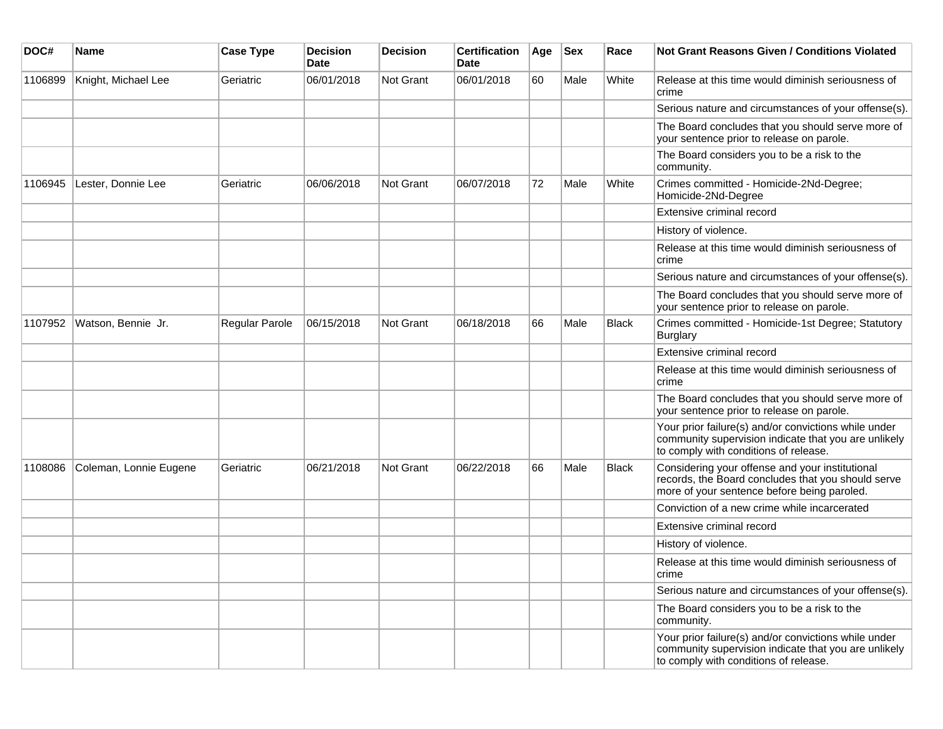| DOC#    | <b>Name</b>            | <b>Case Type</b> | <b>Decision</b><br><b>Date</b> | <b>Decision</b> | <b>Certification</b><br>Date | Age | <b>Sex</b> | Race         | Not Grant Reasons Given / Conditions Violated                                                                                                         |
|---------|------------------------|------------------|--------------------------------|-----------------|------------------------------|-----|------------|--------------|-------------------------------------------------------------------------------------------------------------------------------------------------------|
| 1106899 | Knight, Michael Lee    | Geriatric        | 06/01/2018                     | Not Grant       | 06/01/2018                   | 60  | Male       | White        | Release at this time would diminish seriousness of<br>crime                                                                                           |
|         |                        |                  |                                |                 |                              |     |            |              | Serious nature and circumstances of your offense(s).                                                                                                  |
|         |                        |                  |                                |                 |                              |     |            |              | The Board concludes that you should serve more of<br>your sentence prior to release on parole.                                                        |
|         |                        |                  |                                |                 |                              |     |            |              | The Board considers you to be a risk to the<br>community.                                                                                             |
| 1106945 | Lester, Donnie Lee     | Geriatric        | 06/06/2018                     | Not Grant       | 06/07/2018                   | 72  | Male       | White        | Crimes committed - Homicide-2Nd-Degree;<br>Homicide-2Nd-Degree                                                                                        |
|         |                        |                  |                                |                 |                              |     |            |              | Extensive criminal record                                                                                                                             |
|         |                        |                  |                                |                 |                              |     |            |              | History of violence.                                                                                                                                  |
|         |                        |                  |                                |                 |                              |     |            |              | Release at this time would diminish seriousness of<br>crime                                                                                           |
|         |                        |                  |                                |                 |                              |     |            |              | Serious nature and circumstances of your offense(s).                                                                                                  |
|         |                        |                  |                                |                 |                              |     |            |              | The Board concludes that you should serve more of<br>your sentence prior to release on parole.                                                        |
| 1107952 | Watson, Bennie Jr.     | Regular Parole   | 06/15/2018                     | Not Grant       | 06/18/2018                   | 66  | Male       | <b>Black</b> | Crimes committed - Homicide-1st Degree; Statutory<br><b>Burglary</b>                                                                                  |
|         |                        |                  |                                |                 |                              |     |            |              | Extensive criminal record                                                                                                                             |
|         |                        |                  |                                |                 |                              |     |            |              | Release at this time would diminish seriousness of<br>crime                                                                                           |
|         |                        |                  |                                |                 |                              |     |            |              | The Board concludes that you should serve more of<br>your sentence prior to release on parole.                                                        |
|         |                        |                  |                                |                 |                              |     |            |              | Your prior failure(s) and/or convictions while under<br>community supervision indicate that you are unlikely<br>to comply with conditions of release. |
| 1108086 | Coleman, Lonnie Eugene | Geriatric        | 06/21/2018                     | Not Grant       | 06/22/2018                   | 66  | Male       | <b>Black</b> | Considering your offense and your institutional<br>records, the Board concludes that you should serve<br>more of your sentence before being paroled.  |
|         |                        |                  |                                |                 |                              |     |            |              | Conviction of a new crime while incarcerated                                                                                                          |
|         |                        |                  |                                |                 |                              |     |            |              | Extensive criminal record                                                                                                                             |
|         |                        |                  |                                |                 |                              |     |            |              | History of violence.                                                                                                                                  |
|         |                        |                  |                                |                 |                              |     |            |              | Release at this time would diminish seriousness of<br>crime                                                                                           |
|         |                        |                  |                                |                 |                              |     |            |              | Serious nature and circumstances of your offense(s).                                                                                                  |
|         |                        |                  |                                |                 |                              |     |            |              | The Board considers you to be a risk to the<br>community.                                                                                             |
|         |                        |                  |                                |                 |                              |     |            |              | Your prior failure(s) and/or convictions while under<br>community supervision indicate that you are unlikely<br>to comply with conditions of release. |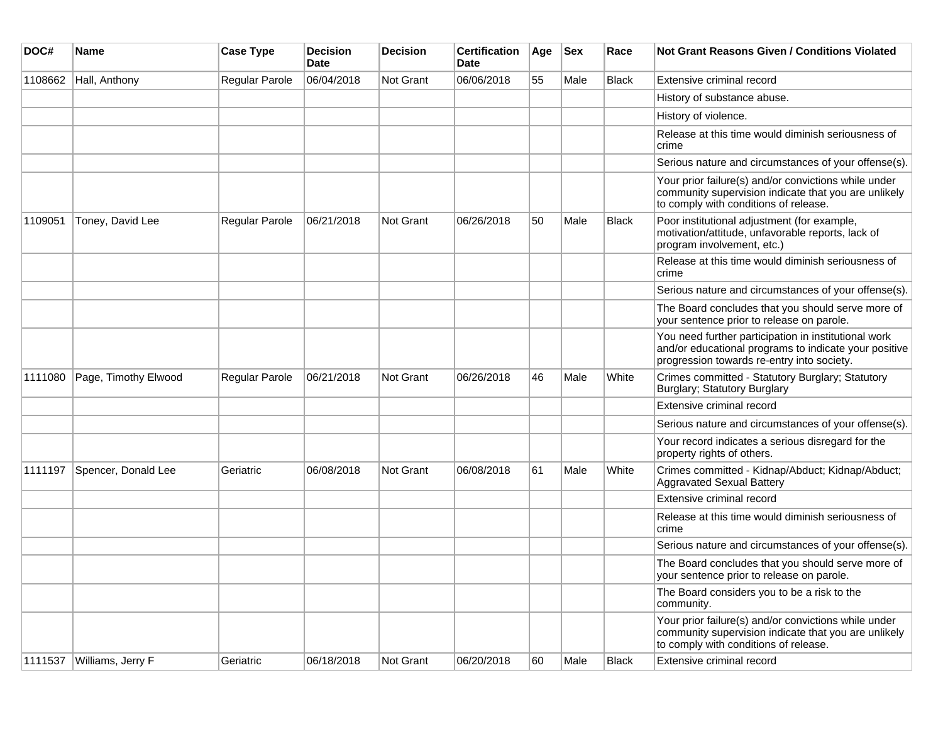| DOC#    | <b>Name</b>          | <b>Case Type</b> | <b>Decision</b><br><b>Date</b> | Decision         | <b>Certification</b><br>Date | Age | <b>Sex</b> | Race         | <b>Not Grant Reasons Given / Conditions Violated</b>                                                                                                        |
|---------|----------------------|------------------|--------------------------------|------------------|------------------------------|-----|------------|--------------|-------------------------------------------------------------------------------------------------------------------------------------------------------------|
| 1108662 | Hall, Anthony        | Regular Parole   | 06/04/2018                     | Not Grant        | 06/06/2018                   | 55  | Male       | <b>Black</b> | Extensive criminal record                                                                                                                                   |
|         |                      |                  |                                |                  |                              |     |            |              | History of substance abuse.                                                                                                                                 |
|         |                      |                  |                                |                  |                              |     |            |              | History of violence.                                                                                                                                        |
|         |                      |                  |                                |                  |                              |     |            |              | Release at this time would diminish seriousness of<br>crime                                                                                                 |
|         |                      |                  |                                |                  |                              |     |            |              | Serious nature and circumstances of your offense(s).                                                                                                        |
|         |                      |                  |                                |                  |                              |     |            |              | Your prior failure(s) and/or convictions while under<br>community supervision indicate that you are unlikely<br>to comply with conditions of release.       |
| 1109051 | Toney, David Lee     | Regular Parole   | 06/21/2018                     | <b>Not Grant</b> | 06/26/2018                   | 50  | Male       | <b>Black</b> | Poor institutional adjustment (for example,<br>motivation/attitude, unfavorable reports, lack of<br>program involvement, etc.)                              |
|         |                      |                  |                                |                  |                              |     |            |              | Release at this time would diminish seriousness of<br>crime                                                                                                 |
|         |                      |                  |                                |                  |                              |     |            |              | Serious nature and circumstances of your offense(s).                                                                                                        |
|         |                      |                  |                                |                  |                              |     |            |              | The Board concludes that you should serve more of<br>your sentence prior to release on parole.                                                              |
|         |                      |                  |                                |                  |                              |     |            |              | You need further participation in institutional work<br>and/or educational programs to indicate your positive<br>progression towards re-entry into society. |
| 1111080 | Page, Timothy Elwood | Regular Parole   | 06/21/2018                     | Not Grant        | 06/26/2018                   | 46  | Male       | White        | Crimes committed - Statutory Burglary; Statutory<br>Burglary; Statutory Burglary                                                                            |
|         |                      |                  |                                |                  |                              |     |            |              | Extensive criminal record                                                                                                                                   |
|         |                      |                  |                                |                  |                              |     |            |              | Serious nature and circumstances of your offense(s).                                                                                                        |
|         |                      |                  |                                |                  |                              |     |            |              | Your record indicates a serious disregard for the<br>property rights of others.                                                                             |
| 1111197 | Spencer, Donald Lee  | Geriatric        | 06/08/2018                     | <b>Not Grant</b> | 06/08/2018                   | 61  | Male       | White        | Crimes committed - Kidnap/Abduct; Kidnap/Abduct;<br><b>Aggravated Sexual Battery</b>                                                                        |
|         |                      |                  |                                |                  |                              |     |            |              | Extensive criminal record                                                                                                                                   |
|         |                      |                  |                                |                  |                              |     |            |              | Release at this time would diminish seriousness of<br>crime                                                                                                 |
|         |                      |                  |                                |                  |                              |     |            |              | Serious nature and circumstances of your offense(s).                                                                                                        |
|         |                      |                  |                                |                  |                              |     |            |              | The Board concludes that you should serve more of<br>your sentence prior to release on parole.                                                              |
|         |                      |                  |                                |                  |                              |     |            |              | The Board considers you to be a risk to the<br>community.                                                                                                   |
|         |                      |                  |                                |                  |                              |     |            |              | Your prior failure(s) and/or convictions while under<br>community supervision indicate that you are unlikely<br>to comply with conditions of release.       |
| 1111537 | Williams, Jerry F    | Geriatric        | 06/18/2018                     | Not Grant        | 06/20/2018                   | 60  | Male       | Black        | Extensive criminal record                                                                                                                                   |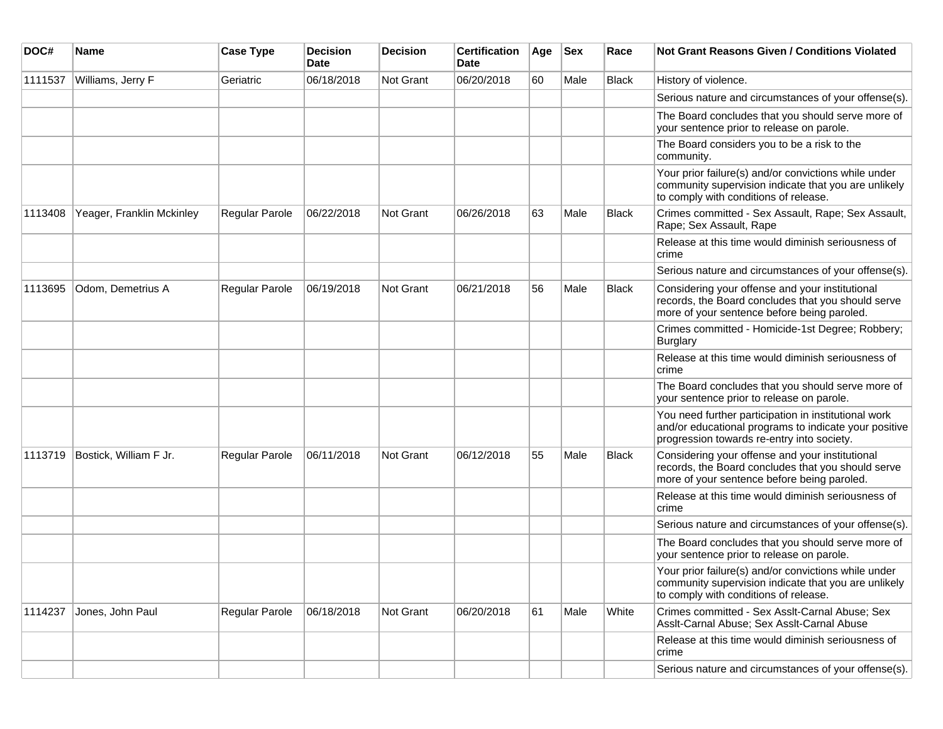| DOC#    | <b>Name</b>               | <b>Case Type</b> | <b>Decision</b><br>Date | <b>Decision</b> | <b>Certification</b><br>Date | Age | <b>Sex</b> | Race  | <b>Not Grant Reasons Given / Conditions Violated</b>                                                                                                        |
|---------|---------------------------|------------------|-------------------------|-----------------|------------------------------|-----|------------|-------|-------------------------------------------------------------------------------------------------------------------------------------------------------------|
| 1111537 | Williams, Jerry F         | Geriatric        | 06/18/2018              | Not Grant       | 06/20/2018                   | 60  | Male       | Black | History of violence.                                                                                                                                        |
|         |                           |                  |                         |                 |                              |     |            |       | Serious nature and circumstances of your offense(s).                                                                                                        |
|         |                           |                  |                         |                 |                              |     |            |       | The Board concludes that you should serve more of<br>your sentence prior to release on parole.                                                              |
|         |                           |                  |                         |                 |                              |     |            |       | The Board considers you to be a risk to the<br>community.                                                                                                   |
|         |                           |                  |                         |                 |                              |     |            |       | Your prior failure(s) and/or convictions while under<br>community supervision indicate that you are unlikely<br>to comply with conditions of release.       |
| 1113408 | Yeager, Franklin Mckinley | Regular Parole   | 06/22/2018              | Not Grant       | 06/26/2018                   | 63  | Male       | Black | Crimes committed - Sex Assault, Rape; Sex Assault,<br>Rape; Sex Assault, Rape                                                                               |
|         |                           |                  |                         |                 |                              |     |            |       | Release at this time would diminish seriousness of<br>crime                                                                                                 |
|         |                           |                  |                         |                 |                              |     |            |       | Serious nature and circumstances of your offense(s).                                                                                                        |
| 1113695 | Odom, Demetrius A         | Regular Parole   | 06/19/2018              | Not Grant       | 06/21/2018                   | 56  | Male       | Black | Considering your offense and your institutional<br>records, the Board concludes that you should serve<br>more of your sentence before being paroled.        |
|         |                           |                  |                         |                 |                              |     |            |       | Crimes committed - Homicide-1st Degree; Robbery;<br>Burglary                                                                                                |
|         |                           |                  |                         |                 |                              |     |            |       | Release at this time would diminish seriousness of<br>crime                                                                                                 |
|         |                           |                  |                         |                 |                              |     |            |       | The Board concludes that you should serve more of<br>your sentence prior to release on parole.                                                              |
|         |                           |                  |                         |                 |                              |     |            |       | You need further participation in institutional work<br>and/or educational programs to indicate your positive<br>progression towards re-entry into society. |
| 1113719 | Bostick, William F Jr.    | Regular Parole   | 06/11/2018              | Not Grant       | 06/12/2018                   | 55  | Male       | Black | Considering your offense and your institutional<br>records, the Board concludes that you should serve<br>more of your sentence before being paroled.        |
|         |                           |                  |                         |                 |                              |     |            |       | Release at this time would diminish seriousness of<br>crime                                                                                                 |
|         |                           |                  |                         |                 |                              |     |            |       | Serious nature and circumstances of your offense(s).                                                                                                        |
|         |                           |                  |                         |                 |                              |     |            |       | The Board concludes that you should serve more of<br>your sentence prior to release on parole.                                                              |
|         |                           |                  |                         |                 |                              |     |            |       | Your prior failure(s) and/or convictions while under<br>community supervision indicate that you are unlikely<br>to comply with conditions of release.       |
| 1114237 | Jones, John Paul          | Regular Parole   | 06/18/2018              | Not Grant       | 06/20/2018                   | 61  | Male       | White | Crimes committed - Sex Asslt-Carnal Abuse; Sex<br>Assit-Carnal Abuse: Sex Assit-Carnal Abuse                                                                |
|         |                           |                  |                         |                 |                              |     |            |       | Release at this time would diminish seriousness of<br>crime                                                                                                 |
|         |                           |                  |                         |                 |                              |     |            |       | Serious nature and circumstances of your offense(s).                                                                                                        |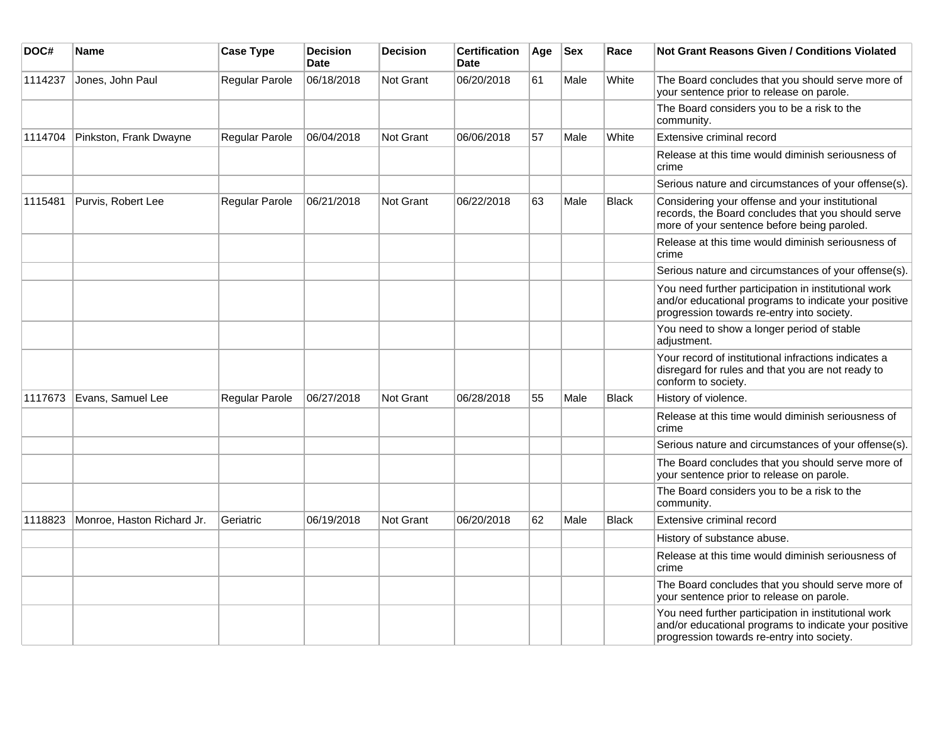| DOC#    | <b>Name</b>                | <b>Case Type</b> | <b>Decision</b><br><b>Date</b> | <b>Decision</b> | <b>Certification</b><br><b>Date</b> | Age | <b>Sex</b> | Race         | <b>Not Grant Reasons Given / Conditions Violated</b>                                                                                                        |
|---------|----------------------------|------------------|--------------------------------|-----------------|-------------------------------------|-----|------------|--------------|-------------------------------------------------------------------------------------------------------------------------------------------------------------|
| 1114237 | Jones, John Paul           | Regular Parole   | 06/18/2018                     | Not Grant       | 06/20/2018                          | 61  | Male       | White        | The Board concludes that you should serve more of<br>your sentence prior to release on parole.                                                              |
|         |                            |                  |                                |                 |                                     |     |            |              | The Board considers you to be a risk to the<br>community.                                                                                                   |
| 1114704 | Pinkston, Frank Dwayne     | Regular Parole   | 06/04/2018                     | Not Grant       | 06/06/2018                          | 57  | Male       | White        | Extensive criminal record                                                                                                                                   |
|         |                            |                  |                                |                 |                                     |     |            |              | Release at this time would diminish seriousness of<br>crime                                                                                                 |
|         |                            |                  |                                |                 |                                     |     |            |              | Serious nature and circumstances of your offense(s).                                                                                                        |
| 1115481 | Purvis, Robert Lee         | Regular Parole   | 06/21/2018                     | Not Grant       | 06/22/2018                          | 63  | Male       | <b>Black</b> | Considering your offense and your institutional<br>records, the Board concludes that you should serve<br>more of your sentence before being paroled.        |
|         |                            |                  |                                |                 |                                     |     |            |              | Release at this time would diminish seriousness of<br>crime                                                                                                 |
|         |                            |                  |                                |                 |                                     |     |            |              | Serious nature and circumstances of your offense(s).                                                                                                        |
|         |                            |                  |                                |                 |                                     |     |            |              | You need further participation in institutional work<br>and/or educational programs to indicate your positive<br>progression towards re-entry into society. |
|         |                            |                  |                                |                 |                                     |     |            |              | You need to show a longer period of stable<br>adjustment.                                                                                                   |
|         |                            |                  |                                |                 |                                     |     |            |              | Your record of institutional infractions indicates a<br>disregard for rules and that you are not ready to<br>conform to society.                            |
| 1117673 | Evans, Samuel Lee          | Regular Parole   | 06/27/2018                     | Not Grant       | 06/28/2018                          | 55  | Male       | <b>Black</b> | History of violence.                                                                                                                                        |
|         |                            |                  |                                |                 |                                     |     |            |              | Release at this time would diminish seriousness of<br>crime                                                                                                 |
|         |                            |                  |                                |                 |                                     |     |            |              | Serious nature and circumstances of your offense(s).                                                                                                        |
|         |                            |                  |                                |                 |                                     |     |            |              | The Board concludes that you should serve more of<br>your sentence prior to release on parole.                                                              |
|         |                            |                  |                                |                 |                                     |     |            |              | The Board considers you to be a risk to the<br>community.                                                                                                   |
| 1118823 | Monroe, Haston Richard Jr. | Geriatric        | 06/19/2018                     | Not Grant       | 06/20/2018                          | 62  | Male       | <b>Black</b> | Extensive criminal record                                                                                                                                   |
|         |                            |                  |                                |                 |                                     |     |            |              | History of substance abuse.                                                                                                                                 |
|         |                            |                  |                                |                 |                                     |     |            |              | Release at this time would diminish seriousness of<br>crime                                                                                                 |
|         |                            |                  |                                |                 |                                     |     |            |              | The Board concludes that you should serve more of<br>your sentence prior to release on parole.                                                              |
|         |                            |                  |                                |                 |                                     |     |            |              | You need further participation in institutional work<br>and/or educational programs to indicate your positive<br>progression towards re-entry into society. |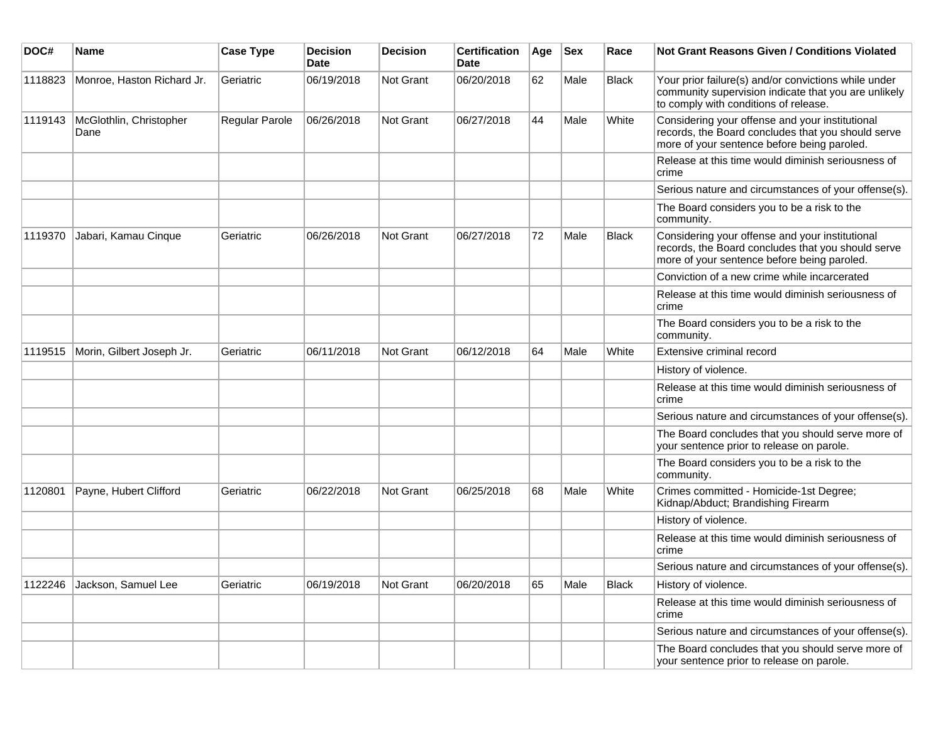| DOC#    | <b>Name</b>                     | <b>Case Type</b> | Decision<br><b>Date</b> | <b>Decision</b>  | <b>Certification</b><br>Date | Age | <b>Sex</b> | Race         | Not Grant Reasons Given / Conditions Violated                                                                                                         |
|---------|---------------------------------|------------------|-------------------------|------------------|------------------------------|-----|------------|--------------|-------------------------------------------------------------------------------------------------------------------------------------------------------|
| 1118823 | Monroe, Haston Richard Jr.      | Geriatric        | 06/19/2018              | Not Grant        | 06/20/2018                   | 62  | Male       | <b>Black</b> | Your prior failure(s) and/or convictions while under<br>community supervision indicate that you are unlikely<br>to comply with conditions of release. |
| 1119143 | McGlothlin, Christopher<br>Dane | Regular Parole   | 06/26/2018              | Not Grant        | 06/27/2018                   | 44  | Male       | White        | Considering your offense and your institutional<br>records, the Board concludes that you should serve<br>more of your sentence before being paroled.  |
|         |                                 |                  |                         |                  |                              |     |            |              | Release at this time would diminish seriousness of<br>crime                                                                                           |
|         |                                 |                  |                         |                  |                              |     |            |              | Serious nature and circumstances of your offense(s).                                                                                                  |
|         |                                 |                  |                         |                  |                              |     |            |              | The Board considers you to be a risk to the<br>community.                                                                                             |
| 1119370 | Jabari, Kamau Cinque            | Geriatric        | 06/26/2018              | Not Grant        | 06/27/2018                   | 72  | Male       | <b>Black</b> | Considering your offense and your institutional<br>records, the Board concludes that you should serve<br>more of your sentence before being paroled.  |
|         |                                 |                  |                         |                  |                              |     |            |              | Conviction of a new crime while incarcerated                                                                                                          |
|         |                                 |                  |                         |                  |                              |     |            |              | Release at this time would diminish seriousness of<br>crime                                                                                           |
|         |                                 |                  |                         |                  |                              |     |            |              | The Board considers you to be a risk to the<br>community.                                                                                             |
| 1119515 | Morin, Gilbert Joseph Jr.       | Geriatric        | 06/11/2018              | <b>Not Grant</b> | 06/12/2018                   | 64  | Male       | White        | Extensive criminal record                                                                                                                             |
|         |                                 |                  |                         |                  |                              |     |            |              | History of violence.                                                                                                                                  |
|         |                                 |                  |                         |                  |                              |     |            |              | Release at this time would diminish seriousness of<br>crime                                                                                           |
|         |                                 |                  |                         |                  |                              |     |            |              | Serious nature and circumstances of your offense(s).                                                                                                  |
|         |                                 |                  |                         |                  |                              |     |            |              | The Board concludes that you should serve more of<br>your sentence prior to release on parole.                                                        |
|         |                                 |                  |                         |                  |                              |     |            |              | The Board considers you to be a risk to the<br>community.                                                                                             |
| 1120801 | Payne, Hubert Clifford          | Geriatric        | 06/22/2018              | Not Grant        | 06/25/2018                   | 68  | Male       | White        | Crimes committed - Homicide-1st Degree;<br>Kidnap/Abduct; Brandishing Firearm                                                                         |
|         |                                 |                  |                         |                  |                              |     |            |              | History of violence.                                                                                                                                  |
|         |                                 |                  |                         |                  |                              |     |            |              | Release at this time would diminish seriousness of<br>crime                                                                                           |
|         |                                 |                  |                         |                  |                              |     |            |              | Serious nature and circumstances of your offense(s).                                                                                                  |
| 1122246 | Jackson, Samuel Lee             | Geriatric        | 06/19/2018              | Not Grant        | 06/20/2018                   | 65  | Male       | <b>Black</b> | History of violence.                                                                                                                                  |
|         |                                 |                  |                         |                  |                              |     |            |              | Release at this time would diminish seriousness of<br>crime                                                                                           |
|         |                                 |                  |                         |                  |                              |     |            |              | Serious nature and circumstances of your offense(s).                                                                                                  |
|         |                                 |                  |                         |                  |                              |     |            |              | The Board concludes that you should serve more of<br>your sentence prior to release on parole.                                                        |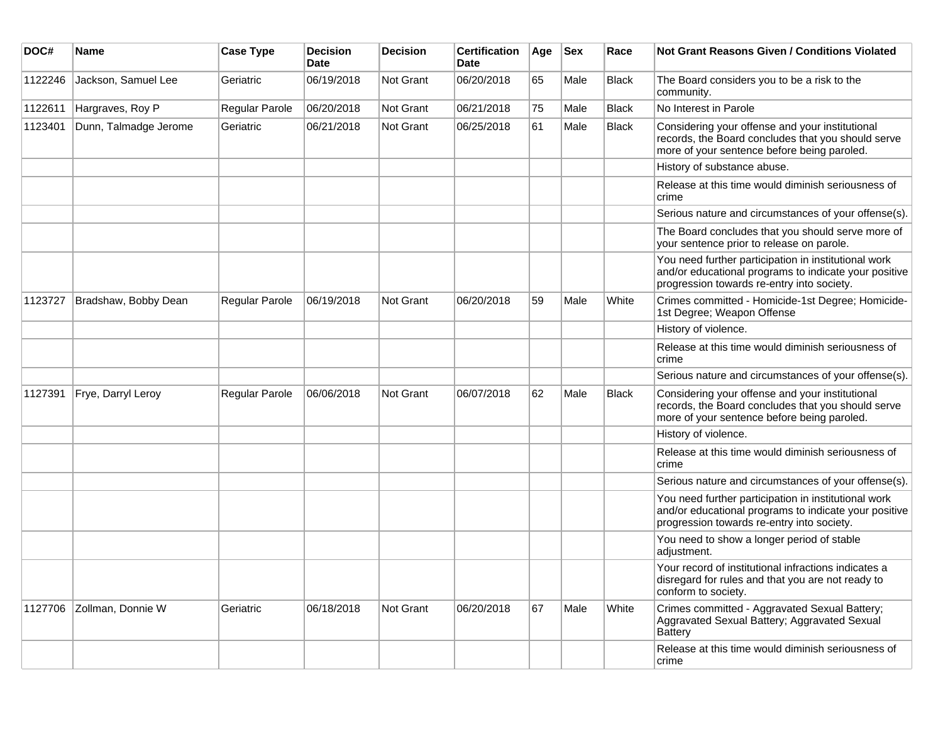| DOC#    | <b>Name</b>           | <b>Case Type</b> | Decision<br><b>Date</b> | <b>Decision</b>  | <b>Certification</b><br>Date | Age | <b>Sex</b> | Race         | Not Grant Reasons Given / Conditions Violated                                                                                                               |
|---------|-----------------------|------------------|-------------------------|------------------|------------------------------|-----|------------|--------------|-------------------------------------------------------------------------------------------------------------------------------------------------------------|
| 1122246 | Jackson, Samuel Lee   | Geriatric        | 06/19/2018              | Not Grant        | 06/20/2018                   | 65  | Male       | <b>Black</b> | The Board considers you to be a risk to the<br>community.                                                                                                   |
| 1122611 | Hargraves, Roy P      | Regular Parole   | 06/20/2018              | Not Grant        | 06/21/2018                   | 75  | Male       | <b>Black</b> | No Interest in Parole                                                                                                                                       |
| 1123401 | Dunn, Talmadge Jerome | Geriatric        | 06/21/2018              | Not Grant        | 06/25/2018                   | 61  | Male       | <b>Black</b> | Considering your offense and your institutional<br>records, the Board concludes that you should serve<br>more of your sentence before being paroled.        |
|         |                       |                  |                         |                  |                              |     |            |              | History of substance abuse.                                                                                                                                 |
|         |                       |                  |                         |                  |                              |     |            |              | Release at this time would diminish seriousness of<br>crime                                                                                                 |
|         |                       |                  |                         |                  |                              |     |            |              | Serious nature and circumstances of your offense(s).                                                                                                        |
|         |                       |                  |                         |                  |                              |     |            |              | The Board concludes that you should serve more of<br>your sentence prior to release on parole.                                                              |
|         |                       |                  |                         |                  |                              |     |            |              | You need further participation in institutional work<br>and/or educational programs to indicate your positive<br>progression towards re-entry into society. |
| 1123727 | Bradshaw, Bobby Dean  | Regular Parole   | 06/19/2018              | <b>Not Grant</b> | 06/20/2018                   | 59  | Male       | White        | Crimes committed - Homicide-1st Degree; Homicide-<br>1st Degree; Weapon Offense                                                                             |
|         |                       |                  |                         |                  |                              |     |            |              | History of violence.                                                                                                                                        |
|         |                       |                  |                         |                  |                              |     |            |              | Release at this time would diminish seriousness of<br>crime                                                                                                 |
|         |                       |                  |                         |                  |                              |     |            |              | Serious nature and circumstances of your offense(s).                                                                                                        |
| 1127391 | Frye, Darryl Leroy    | Regular Parole   | 06/06/2018              | Not Grant        | 06/07/2018                   | 62  | Male       | <b>Black</b> | Considering your offense and your institutional<br>records, the Board concludes that you should serve<br>more of your sentence before being paroled.        |
|         |                       |                  |                         |                  |                              |     |            |              | History of violence.                                                                                                                                        |
|         |                       |                  |                         |                  |                              |     |            |              | Release at this time would diminish seriousness of<br>crime                                                                                                 |
|         |                       |                  |                         |                  |                              |     |            |              | Serious nature and circumstances of your offense(s).                                                                                                        |
|         |                       |                  |                         |                  |                              |     |            |              | You need further participation in institutional work<br>and/or educational programs to indicate your positive<br>progression towards re-entry into society. |
|         |                       |                  |                         |                  |                              |     |            |              | You need to show a longer period of stable<br>adjustment.                                                                                                   |
|         |                       |                  |                         |                  |                              |     |            |              | Your record of institutional infractions indicates a<br>disregard for rules and that you are not ready to<br>conform to society.                            |
| 1127706 | Zollman, Donnie W     | Geriatric        | 06/18/2018              | Not Grant        | 06/20/2018                   | 67  | Male       | White        | Crimes committed - Aggravated Sexual Battery;<br>Aggravated Sexual Battery; Aggravated Sexual<br><b>Battery</b>                                             |
|         |                       |                  |                         |                  |                              |     |            |              | Release at this time would diminish seriousness of<br>crime                                                                                                 |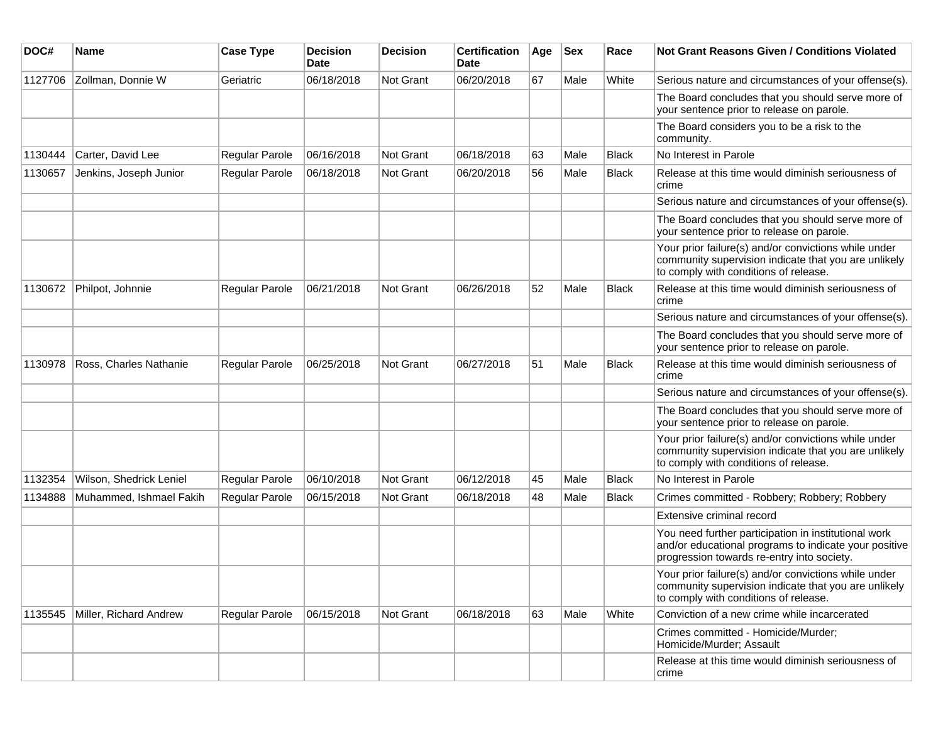| DOC#    | <b>Name</b>             | <b>Case Type</b> | <b>Decision</b><br>Date | <b>Decision</b> | <b>Certification</b><br>Date | Age | <b>Sex</b> | Race         | Not Grant Reasons Given / Conditions Violated                                                                                                               |
|---------|-------------------------|------------------|-------------------------|-----------------|------------------------------|-----|------------|--------------|-------------------------------------------------------------------------------------------------------------------------------------------------------------|
| 1127706 | Zollman, Donnie W       | Geriatric        | 06/18/2018              | Not Grant       | 06/20/2018                   | 67  | Male       | White        | Serious nature and circumstances of your offense(s).                                                                                                        |
|         |                         |                  |                         |                 |                              |     |            |              | The Board concludes that you should serve more of<br>your sentence prior to release on parole.                                                              |
|         |                         |                  |                         |                 |                              |     |            |              | The Board considers you to be a risk to the<br>community.                                                                                                   |
| 1130444 | Carter, David Lee       | Regular Parole   | 06/16/2018              | Not Grant       | 06/18/2018                   | 63  | Male       | <b>Black</b> | No Interest in Parole                                                                                                                                       |
| 1130657 | Jenkins, Joseph Junior  | Regular Parole   | 06/18/2018              | Not Grant       | 06/20/2018                   | 56  | Male       | <b>Black</b> | Release at this time would diminish seriousness of<br>crime                                                                                                 |
|         |                         |                  |                         |                 |                              |     |            |              | Serious nature and circumstances of your offense(s).                                                                                                        |
|         |                         |                  |                         |                 |                              |     |            |              | The Board concludes that you should serve more of<br>your sentence prior to release on parole.                                                              |
|         |                         |                  |                         |                 |                              |     |            |              | Your prior failure(s) and/or convictions while under<br>community supervision indicate that you are unlikely<br>to comply with conditions of release.       |
| 1130672 | Philpot, Johnnie        | Regular Parole   | 06/21/2018              | Not Grant       | 06/26/2018                   | 52  | Male       | <b>Black</b> | Release at this time would diminish seriousness of<br>crime                                                                                                 |
|         |                         |                  |                         |                 |                              |     |            |              | Serious nature and circumstances of your offense(s).                                                                                                        |
|         |                         |                  |                         |                 |                              |     |            |              | The Board concludes that you should serve more of<br>your sentence prior to release on parole.                                                              |
| 1130978 | Ross, Charles Nathanie  | Regular Parole   | 06/25/2018              | Not Grant       | 06/27/2018                   | 51  | Male       | <b>Black</b> | Release at this time would diminish seriousness of<br>crime                                                                                                 |
|         |                         |                  |                         |                 |                              |     |            |              | Serious nature and circumstances of your offense(s).                                                                                                        |
|         |                         |                  |                         |                 |                              |     |            |              | The Board concludes that you should serve more of<br>your sentence prior to release on parole.                                                              |
|         |                         |                  |                         |                 |                              |     |            |              | Your prior failure(s) and/or convictions while under<br>community supervision indicate that you are unlikely<br>to comply with conditions of release.       |
| 1132354 | Wilson, Shedrick Leniel | Regular Parole   | 06/10/2018              | Not Grant       | 06/12/2018                   | 45  | Male       | Black        | No Interest in Parole                                                                                                                                       |
| 1134888 | Muhammed, Ishmael Fakih | Regular Parole   | 06/15/2018              | Not Grant       | 06/18/2018                   | 48  | Male       | <b>Black</b> | Crimes committed - Robbery; Robbery; Robbery                                                                                                                |
|         |                         |                  |                         |                 |                              |     |            |              | Extensive criminal record                                                                                                                                   |
|         |                         |                  |                         |                 |                              |     |            |              | You need further participation in institutional work<br>and/or educational programs to indicate your positive<br>progression towards re-entry into society. |
|         |                         |                  |                         |                 |                              |     |            |              | Your prior failure(s) and/or convictions while under<br>community supervision indicate that you are unlikely<br>to comply with conditions of release.       |
| 1135545 | Miller, Richard Andrew  | Regular Parole   | 06/15/2018              | Not Grant       | 06/18/2018                   | 63  | Male       | White        | Conviction of a new crime while incarcerated                                                                                                                |
|         |                         |                  |                         |                 |                              |     |            |              | Crimes committed - Homicide/Murder;<br>Homicide/Murder; Assault                                                                                             |
|         |                         |                  |                         |                 |                              |     |            |              | Release at this time would diminish seriousness of<br>crime                                                                                                 |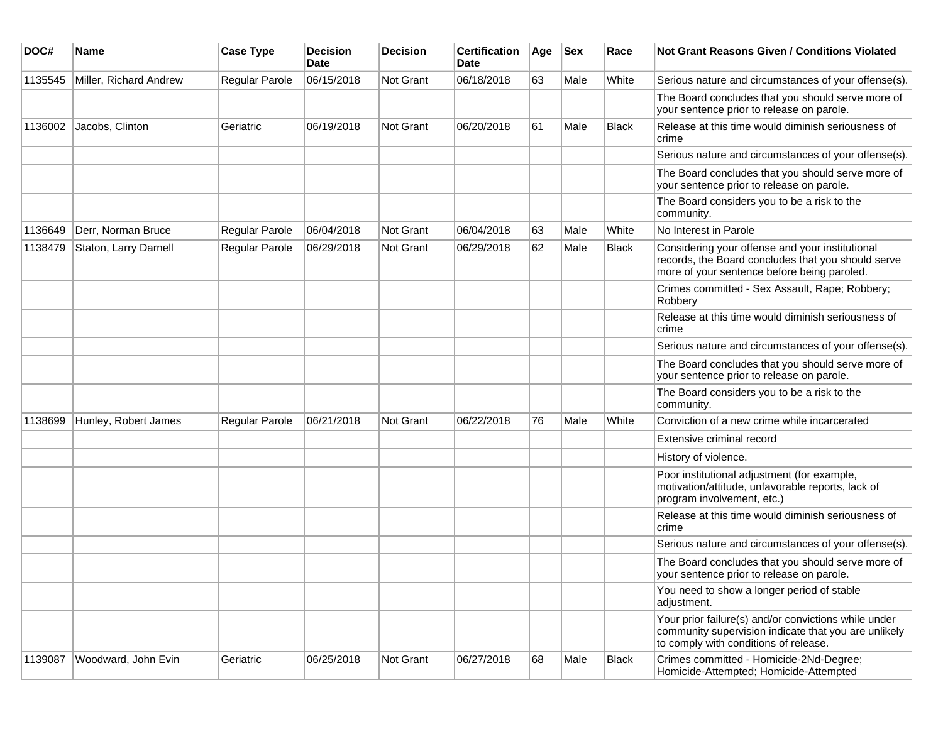| DOC#    | Name                   | <b>Case Type</b>      | <b>Decision</b><br>Date | <b>Decision</b>  | <b>Certification</b><br><b>Date</b> | Age | <b>Sex</b> | Race         | <b>Not Grant Reasons Given / Conditions Violated</b>                                                                                                  |
|---------|------------------------|-----------------------|-------------------------|------------------|-------------------------------------|-----|------------|--------------|-------------------------------------------------------------------------------------------------------------------------------------------------------|
| 1135545 | Miller, Richard Andrew | Regular Parole        | 06/15/2018              | Not Grant        | 06/18/2018                          | 63  | Male       | White        | Serious nature and circumstances of your offense(s).                                                                                                  |
|         |                        |                       |                         |                  |                                     |     |            |              | The Board concludes that you should serve more of<br>your sentence prior to release on parole.                                                        |
| 1136002 | Jacobs, Clinton        | Geriatric             | 06/19/2018              | Not Grant        | 06/20/2018                          | 61  | Male       | <b>Black</b> | Release at this time would diminish seriousness of<br>crime                                                                                           |
|         |                        |                       |                         |                  |                                     |     |            |              | Serious nature and circumstances of your offense(s).                                                                                                  |
|         |                        |                       |                         |                  |                                     |     |            |              | The Board concludes that you should serve more of<br>your sentence prior to release on parole.                                                        |
|         |                        |                       |                         |                  |                                     |     |            |              | The Board considers you to be a risk to the<br>community.                                                                                             |
| 1136649 | Derr, Norman Bruce     | <b>Regular Parole</b> | 06/04/2018              | <b>Not Grant</b> | 06/04/2018                          | 63  | Male       | White        | No Interest in Parole                                                                                                                                 |
| 1138479 | Staton, Larry Darnell  | Regular Parole        | 06/29/2018              | Not Grant        | 06/29/2018                          | 62  | Male       | <b>Black</b> | Considering your offense and your institutional<br>records, the Board concludes that you should serve<br>more of your sentence before being paroled.  |
|         |                        |                       |                         |                  |                                     |     |            |              | Crimes committed - Sex Assault, Rape; Robbery;<br>Robbery                                                                                             |
|         |                        |                       |                         |                  |                                     |     |            |              | Release at this time would diminish seriousness of<br>crime                                                                                           |
|         |                        |                       |                         |                  |                                     |     |            |              | Serious nature and circumstances of your offense(s).                                                                                                  |
|         |                        |                       |                         |                  |                                     |     |            |              | The Board concludes that you should serve more of<br>your sentence prior to release on parole.                                                        |
|         |                        |                       |                         |                  |                                     |     |            |              | The Board considers you to be a risk to the<br>community.                                                                                             |
| 1138699 | Hunley, Robert James   | Regular Parole        | 06/21/2018              | Not Grant        | 06/22/2018                          | 76  | Male       | White        | Conviction of a new crime while incarcerated                                                                                                          |
|         |                        |                       |                         |                  |                                     |     |            |              | Extensive criminal record                                                                                                                             |
|         |                        |                       |                         |                  |                                     |     |            |              | History of violence.                                                                                                                                  |
|         |                        |                       |                         |                  |                                     |     |            |              | Poor institutional adjustment (for example,<br>motivation/attitude, unfavorable reports, lack of<br>program involvement, etc.)                        |
|         |                        |                       |                         |                  |                                     |     |            |              | Release at this time would diminish seriousness of<br>crime                                                                                           |
|         |                        |                       |                         |                  |                                     |     |            |              | Serious nature and circumstances of your offense(s).                                                                                                  |
|         |                        |                       |                         |                  |                                     |     |            |              | The Board concludes that you should serve more of<br>your sentence prior to release on parole.                                                        |
|         |                        |                       |                         |                  |                                     |     |            |              | You need to show a longer period of stable<br>adjustment.                                                                                             |
|         |                        |                       |                         |                  |                                     |     |            |              | Your prior failure(s) and/or convictions while under<br>community supervision indicate that you are unlikely<br>to comply with conditions of release. |
| 1139087 | Woodward, John Evin    | Geriatric             | 06/25/2018              | <b>Not Grant</b> | 06/27/2018                          | 68  | Male       | Black        | Crimes committed - Homicide-2Nd-Degree;<br>Homicide-Attempted; Homicide-Attempted                                                                     |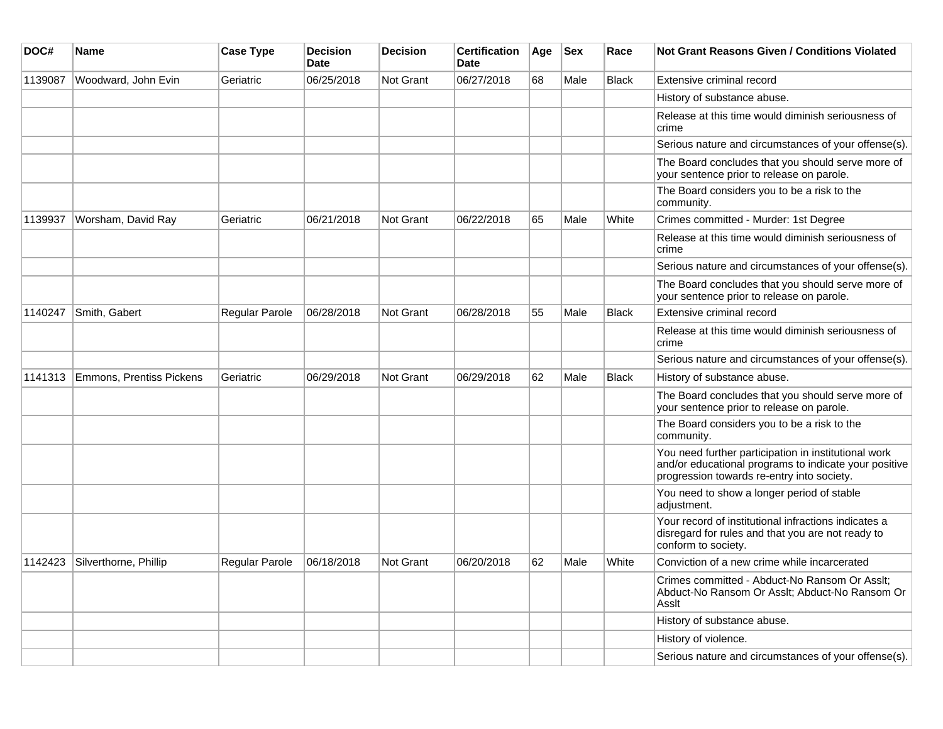| DOC#    | Name                     | <b>Case Type</b> | <b>Decision</b><br><b>Date</b> | <b>Decision</b>  | <b>Certification</b><br><b>Date</b> | Age | <b>Sex</b> | Race         | <b>Not Grant Reasons Given / Conditions Violated</b>                                                                                                        |
|---------|--------------------------|------------------|--------------------------------|------------------|-------------------------------------|-----|------------|--------------|-------------------------------------------------------------------------------------------------------------------------------------------------------------|
| 1139087 | Woodward, John Evin      | Geriatric        | 06/25/2018                     | <b>Not Grant</b> | 06/27/2018                          | 68  | Male       | <b>Black</b> | Extensive criminal record                                                                                                                                   |
|         |                          |                  |                                |                  |                                     |     |            |              | History of substance abuse.                                                                                                                                 |
|         |                          |                  |                                |                  |                                     |     |            |              | Release at this time would diminish seriousness of<br>crime                                                                                                 |
|         |                          |                  |                                |                  |                                     |     |            |              | Serious nature and circumstances of your offense(s).                                                                                                        |
|         |                          |                  |                                |                  |                                     |     |            |              | The Board concludes that you should serve more of<br>your sentence prior to release on parole.                                                              |
|         |                          |                  |                                |                  |                                     |     |            |              | The Board considers you to be a risk to the<br>community.                                                                                                   |
| 1139937 | Worsham, David Ray       | Geriatric        | 06/21/2018                     | <b>Not Grant</b> | 06/22/2018                          | 65  | Male       | White        | Crimes committed - Murder: 1st Degree                                                                                                                       |
|         |                          |                  |                                |                  |                                     |     |            |              | Release at this time would diminish seriousness of<br>crime                                                                                                 |
|         |                          |                  |                                |                  |                                     |     |            |              | Serious nature and circumstances of your offense(s).                                                                                                        |
|         |                          |                  |                                |                  |                                     |     |            |              | The Board concludes that you should serve more of<br>your sentence prior to release on parole.                                                              |
| 1140247 | Smith, Gabert            | Regular Parole   | 06/28/2018                     | <b>Not Grant</b> | 06/28/2018                          | 55  | Male       | <b>Black</b> | Extensive criminal record                                                                                                                                   |
|         |                          |                  |                                |                  |                                     |     |            |              | Release at this time would diminish seriousness of<br>crime                                                                                                 |
|         |                          |                  |                                |                  |                                     |     |            |              | Serious nature and circumstances of your offense(s).                                                                                                        |
| 1141313 | Emmons, Prentiss Pickens | Geriatric        | 06/29/2018                     | <b>Not Grant</b> | 06/29/2018                          | 62  | Male       | <b>Black</b> | History of substance abuse.                                                                                                                                 |
|         |                          |                  |                                |                  |                                     |     |            |              | The Board concludes that you should serve more of<br>your sentence prior to release on parole.                                                              |
|         |                          |                  |                                |                  |                                     |     |            |              | The Board considers you to be a risk to the<br>community.                                                                                                   |
|         |                          |                  |                                |                  |                                     |     |            |              | You need further participation in institutional work<br>and/or educational programs to indicate your positive<br>progression towards re-entry into society. |
|         |                          |                  |                                |                  |                                     |     |            |              | You need to show a longer period of stable<br>adjustment.                                                                                                   |
|         |                          |                  |                                |                  |                                     |     |            |              | Your record of institutional infractions indicates a<br>disregard for rules and that you are not ready to<br>conform to society.                            |
| 1142423 | Silverthorne, Phillip    | Regular Parole   | 06/18/2018                     | Not Grant        | 06/20/2018                          | 62  | Male       | White        | Conviction of a new crime while incarcerated                                                                                                                |
|         |                          |                  |                                |                  |                                     |     |            |              | Crimes committed - Abduct-No Ransom Or Asslt;<br>Abduct-No Ransom Or Asslt; Abduct-No Ransom Or<br>Asslt                                                    |
|         |                          |                  |                                |                  |                                     |     |            |              | History of substance abuse.                                                                                                                                 |
|         |                          |                  |                                |                  |                                     |     |            |              | History of violence.                                                                                                                                        |
|         |                          |                  |                                |                  |                                     |     |            |              | Serious nature and circumstances of your offense(s).                                                                                                        |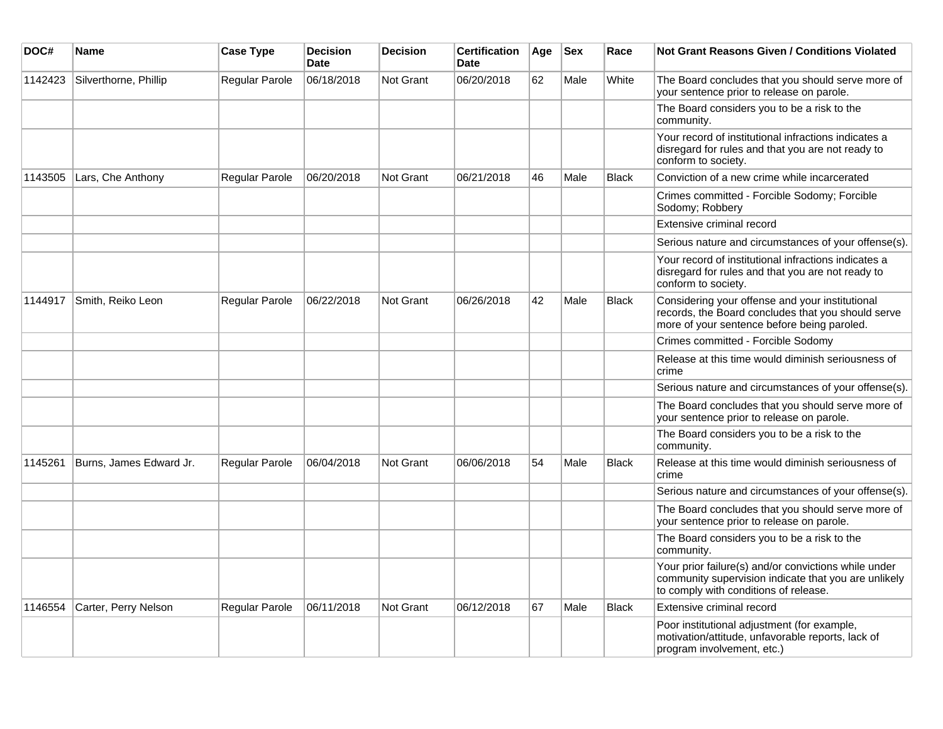| DOC#    | <b>Name</b>             | <b>Case Type</b> | <b>Decision</b><br><b>Date</b> | <b>Decision</b>  | <b>Certification</b><br><b>Date</b> | Age | <b>Sex</b> | Race         | Not Grant Reasons Given / Conditions Violated                                                                                                         |
|---------|-------------------------|------------------|--------------------------------|------------------|-------------------------------------|-----|------------|--------------|-------------------------------------------------------------------------------------------------------------------------------------------------------|
| 1142423 | Silverthorne, Phillip   | Regular Parole   | 06/18/2018                     | Not Grant        | 06/20/2018                          | 62  | Male       | White        | The Board concludes that you should serve more of<br>your sentence prior to release on parole.                                                        |
|         |                         |                  |                                |                  |                                     |     |            |              | The Board considers you to be a risk to the<br>community.                                                                                             |
|         |                         |                  |                                |                  |                                     |     |            |              | Your record of institutional infractions indicates a<br>disregard for rules and that you are not ready to<br>conform to society.                      |
| 1143505 | Lars, Che Anthony       | Regular Parole   | 06/20/2018                     | <b>Not Grant</b> | 06/21/2018                          | 46  | Male       | <b>Black</b> | Conviction of a new crime while incarcerated                                                                                                          |
|         |                         |                  |                                |                  |                                     |     |            |              | Crimes committed - Forcible Sodomy; Forcible<br>Sodomy; Robbery                                                                                       |
|         |                         |                  |                                |                  |                                     |     |            |              | Extensive criminal record                                                                                                                             |
|         |                         |                  |                                |                  |                                     |     |            |              | Serious nature and circumstances of your offense(s).                                                                                                  |
|         |                         |                  |                                |                  |                                     |     |            |              | Your record of institutional infractions indicates a<br>disregard for rules and that you are not ready to<br>conform to society.                      |
| 1144917 | Smith, Reiko Leon       | Regular Parole   | 06/22/2018                     | Not Grant        | 06/26/2018                          | 42  | Male       | <b>Black</b> | Considering your offense and your institutional<br>records, the Board concludes that you should serve<br>more of your sentence before being paroled.  |
|         |                         |                  |                                |                  |                                     |     |            |              | Crimes committed - Forcible Sodomy                                                                                                                    |
|         |                         |                  |                                |                  |                                     |     |            |              | Release at this time would diminish seriousness of<br>crime                                                                                           |
|         |                         |                  |                                |                  |                                     |     |            |              | Serious nature and circumstances of your offense(s).                                                                                                  |
|         |                         |                  |                                |                  |                                     |     |            |              | The Board concludes that you should serve more of<br>your sentence prior to release on parole.                                                        |
|         |                         |                  |                                |                  |                                     |     |            |              | The Board considers you to be a risk to the<br>community.                                                                                             |
| 1145261 | Burns, James Edward Jr. | Regular Parole   | 06/04/2018                     | Not Grant        | 06/06/2018                          | 54  | Male       | <b>Black</b> | Release at this time would diminish seriousness of<br>crime                                                                                           |
|         |                         |                  |                                |                  |                                     |     |            |              | Serious nature and circumstances of your offense(s).                                                                                                  |
|         |                         |                  |                                |                  |                                     |     |            |              | The Board concludes that you should serve more of<br>your sentence prior to release on parole.                                                        |
|         |                         |                  |                                |                  |                                     |     |            |              | The Board considers you to be a risk to the<br>community.                                                                                             |
|         |                         |                  |                                |                  |                                     |     |            |              | Your prior failure(s) and/or convictions while under<br>community supervision indicate that you are unlikely<br>to comply with conditions of release. |
| 1146554 | Carter, Perry Nelson    | Regular Parole   | 06/11/2018                     | Not Grant        | 06/12/2018                          | 67  | Male       | <b>Black</b> | Extensive criminal record                                                                                                                             |
|         |                         |                  |                                |                  |                                     |     |            |              | Poor institutional adjustment (for example,<br>motivation/attitude, unfavorable reports, lack of<br>program involvement, etc.)                        |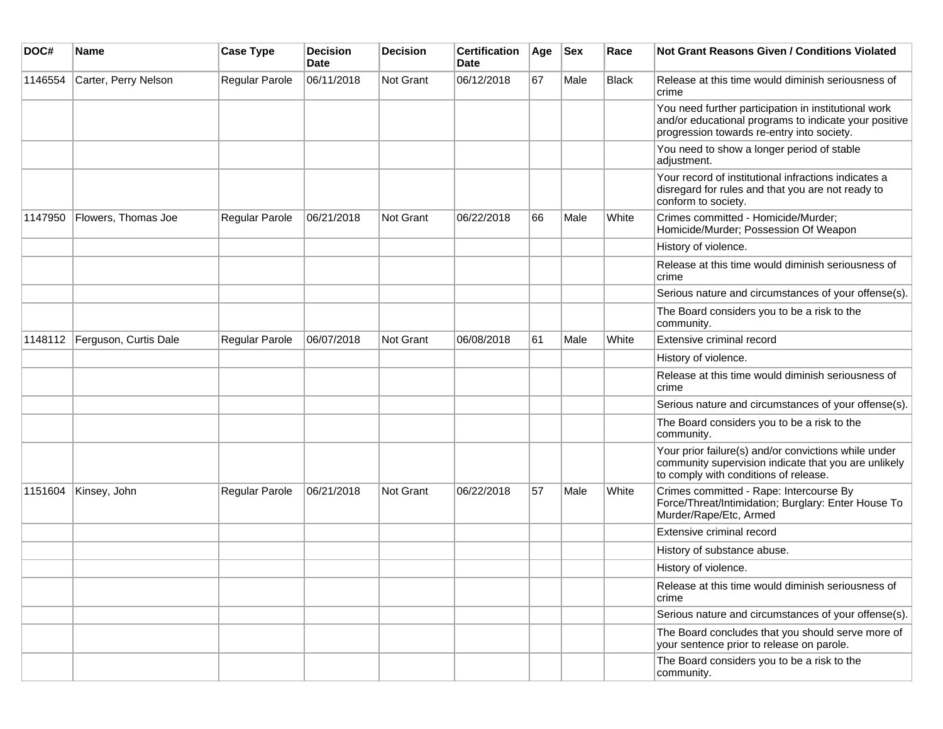| DOC#    | <b>Name</b>                   | <b>Case Type</b>      | <b>Decision</b><br><b>Date</b> | Decision  | <b>Certification</b><br>Date | Age | <b>Sex</b> | Race  | Not Grant Reasons Given / Conditions Violated                                                                                                               |
|---------|-------------------------------|-----------------------|--------------------------------|-----------|------------------------------|-----|------------|-------|-------------------------------------------------------------------------------------------------------------------------------------------------------------|
| 1146554 | Carter, Perry Nelson          | Regular Parole        | 06/11/2018                     | Not Grant | 06/12/2018                   | 67  | Male       | Black | Release at this time would diminish seriousness of<br>crime                                                                                                 |
|         |                               |                       |                                |           |                              |     |            |       | You need further participation in institutional work<br>and/or educational programs to indicate your positive<br>progression towards re-entry into society. |
|         |                               |                       |                                |           |                              |     |            |       | You need to show a longer period of stable<br>adjustment.                                                                                                   |
|         |                               |                       |                                |           |                              |     |            |       | Your record of institutional infractions indicates a<br>disregard for rules and that you are not ready to<br>conform to society.                            |
| 1147950 | Flowers, Thomas Joe           | <b>Regular Parole</b> | 06/21/2018                     | Not Grant | 06/22/2018                   | 66  | Male       | White | Crimes committed - Homicide/Murder;<br>Homicide/Murder; Possession Of Weapon                                                                                |
|         |                               |                       |                                |           |                              |     |            |       | History of violence.                                                                                                                                        |
|         |                               |                       |                                |           |                              |     |            |       | Release at this time would diminish seriousness of<br>crime                                                                                                 |
|         |                               |                       |                                |           |                              |     |            |       | Serious nature and circumstances of your offense(s).                                                                                                        |
|         |                               |                       |                                |           |                              |     |            |       | The Board considers you to be a risk to the<br>community.                                                                                                   |
|         | 1148112 Ferguson, Curtis Dale | Regular Parole        | 06/07/2018                     | Not Grant | 06/08/2018                   | 61  | Male       | White | Extensive criminal record                                                                                                                                   |
|         |                               |                       |                                |           |                              |     |            |       | History of violence.                                                                                                                                        |
|         |                               |                       |                                |           |                              |     |            |       | Release at this time would diminish seriousness of<br>crime                                                                                                 |
|         |                               |                       |                                |           |                              |     |            |       | Serious nature and circumstances of your offense(s).                                                                                                        |
|         |                               |                       |                                |           |                              |     |            |       | The Board considers you to be a risk to the<br>community.                                                                                                   |
|         |                               |                       |                                |           |                              |     |            |       | Your prior failure(s) and/or convictions while under<br>community supervision indicate that you are unlikely<br>to comply with conditions of release.       |
| 1151604 | Kinsey, John                  | Regular Parole        | 06/21/2018                     | Not Grant | 06/22/2018                   | 57  | Male       | White | Crimes committed - Rape: Intercourse By<br>Force/Threat/Intimidation; Burglary: Enter House To<br>Murder/Rape/Etc, Armed                                    |
|         |                               |                       |                                |           |                              |     |            |       | Extensive criminal record                                                                                                                                   |
|         |                               |                       |                                |           |                              |     |            |       | History of substance abuse.                                                                                                                                 |
|         |                               |                       |                                |           |                              |     |            |       | History of violence.                                                                                                                                        |
|         |                               |                       |                                |           |                              |     |            |       | Release at this time would diminish seriousness of<br>crime                                                                                                 |
|         |                               |                       |                                |           |                              |     |            |       | Serious nature and circumstances of your offense(s).                                                                                                        |
|         |                               |                       |                                |           |                              |     |            |       | The Board concludes that you should serve more of<br>your sentence prior to release on parole.                                                              |
|         |                               |                       |                                |           |                              |     |            |       | The Board considers you to be a risk to the<br>community.                                                                                                   |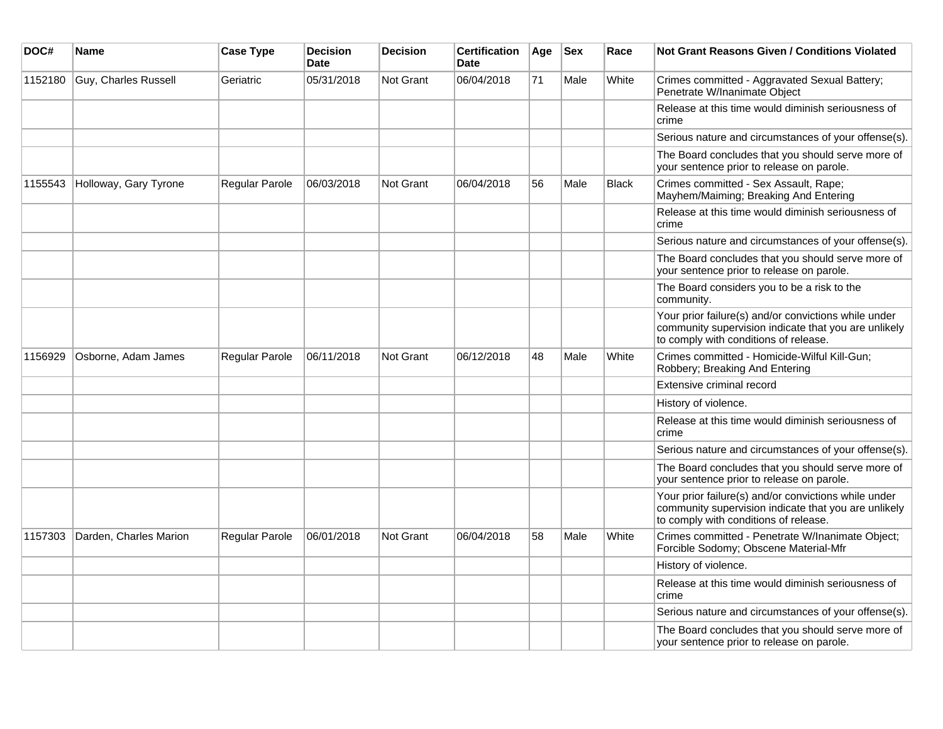| DOC#    | Name                   | <b>Case Type</b> | <b>Decision</b><br><b>Date</b> | <b>Decision</b> | <b>Certification</b><br>Date | Age | <b>Sex</b> | Race         | <b>Not Grant Reasons Given / Conditions Violated</b>                                                                                                  |
|---------|------------------------|------------------|--------------------------------|-----------------|------------------------------|-----|------------|--------------|-------------------------------------------------------------------------------------------------------------------------------------------------------|
| 1152180 | Guy, Charles Russell   | Geriatric        | 05/31/2018                     | Not Grant       | 06/04/2018                   | 71  | Male       | White        | Crimes committed - Aggravated Sexual Battery;<br>Penetrate W/Inanimate Object                                                                         |
|         |                        |                  |                                |                 |                              |     |            |              | Release at this time would diminish seriousness of<br>crime                                                                                           |
|         |                        |                  |                                |                 |                              |     |            |              | Serious nature and circumstances of your offense(s).                                                                                                  |
|         |                        |                  |                                |                 |                              |     |            |              | The Board concludes that you should serve more of<br>your sentence prior to release on parole.                                                        |
| 1155543 | Holloway, Gary Tyrone  | Regular Parole   | 06/03/2018                     | Not Grant       | 06/04/2018                   | 56  | Male       | <b>Black</b> | Crimes committed - Sex Assault, Rape;<br>Mayhem/Maiming; Breaking And Entering                                                                        |
|         |                        |                  |                                |                 |                              |     |            |              | Release at this time would diminish seriousness of<br>crime                                                                                           |
|         |                        |                  |                                |                 |                              |     |            |              | Serious nature and circumstances of your offense(s).                                                                                                  |
|         |                        |                  |                                |                 |                              |     |            |              | The Board concludes that you should serve more of<br>your sentence prior to release on parole.                                                        |
|         |                        |                  |                                |                 |                              |     |            |              | The Board considers you to be a risk to the<br>community.                                                                                             |
|         |                        |                  |                                |                 |                              |     |            |              | Your prior failure(s) and/or convictions while under<br>community supervision indicate that you are unlikely<br>to comply with conditions of release. |
| 1156929 | Osborne, Adam James    | Regular Parole   | 06/11/2018                     | Not Grant       | 06/12/2018                   | 48  | Male       | White        | Crimes committed - Homicide-Wilful Kill-Gun;<br>Robbery; Breaking And Entering                                                                        |
|         |                        |                  |                                |                 |                              |     |            |              | Extensive criminal record                                                                                                                             |
|         |                        |                  |                                |                 |                              |     |            |              | History of violence.                                                                                                                                  |
|         |                        |                  |                                |                 |                              |     |            |              | Release at this time would diminish seriousness of<br>crime                                                                                           |
|         |                        |                  |                                |                 |                              |     |            |              | Serious nature and circumstances of your offense(s).                                                                                                  |
|         |                        |                  |                                |                 |                              |     |            |              | The Board concludes that you should serve more of<br>your sentence prior to release on parole.                                                        |
|         |                        |                  |                                |                 |                              |     |            |              | Your prior failure(s) and/or convictions while under<br>community supervision indicate that you are unlikely<br>to comply with conditions of release. |
| 1157303 | Darden, Charles Marion | Regular Parole   | 06/01/2018                     | Not Grant       | 06/04/2018                   | 58  | Male       | White        | Crimes committed - Penetrate W/Inanimate Object;<br>Forcible Sodomy; Obscene Material-Mfr                                                             |
|         |                        |                  |                                |                 |                              |     |            |              | History of violence.                                                                                                                                  |
|         |                        |                  |                                |                 |                              |     |            |              | Release at this time would diminish seriousness of<br>crime                                                                                           |
|         |                        |                  |                                |                 |                              |     |            |              | Serious nature and circumstances of your offense(s).                                                                                                  |
|         |                        |                  |                                |                 |                              |     |            |              | The Board concludes that you should serve more of<br>your sentence prior to release on parole.                                                        |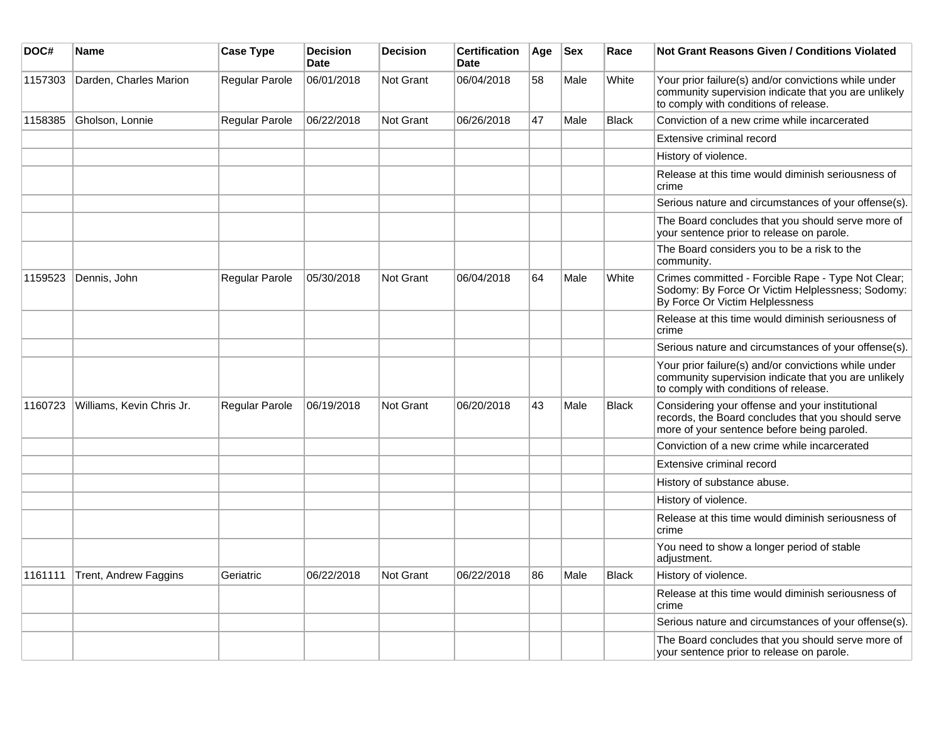| DOC#    | <b>Name</b>               | <b>Case Type</b> | <b>Decision</b><br>Date | <b>Decision</b>  | <b>Certification</b><br><b>Date</b> | Age | <b>Sex</b> | Race         | Not Grant Reasons Given / Conditions Violated                                                                                                         |
|---------|---------------------------|------------------|-------------------------|------------------|-------------------------------------|-----|------------|--------------|-------------------------------------------------------------------------------------------------------------------------------------------------------|
| 1157303 | Darden, Charles Marion    | Regular Parole   | 06/01/2018              | Not Grant        | 06/04/2018                          | 58  | Male       | White        | Your prior failure(s) and/or convictions while under<br>community supervision indicate that you are unlikely<br>to comply with conditions of release. |
| 1158385 | Gholson, Lonnie           | Regular Parole   | 06/22/2018              | Not Grant        | 06/26/2018                          | 47  | Male       | <b>Black</b> | Conviction of a new crime while incarcerated                                                                                                          |
|         |                           |                  |                         |                  |                                     |     |            |              | Extensive criminal record                                                                                                                             |
|         |                           |                  |                         |                  |                                     |     |            |              | History of violence.                                                                                                                                  |
|         |                           |                  |                         |                  |                                     |     |            |              | Release at this time would diminish seriousness of<br>crime                                                                                           |
|         |                           |                  |                         |                  |                                     |     |            |              | Serious nature and circumstances of your offense(s).                                                                                                  |
|         |                           |                  |                         |                  |                                     |     |            |              | The Board concludes that you should serve more of<br>your sentence prior to release on parole.                                                        |
|         |                           |                  |                         |                  |                                     |     |            |              | The Board considers you to be a risk to the<br>community.                                                                                             |
| 1159523 | Dennis, John              | Regular Parole   | 05/30/2018              | Not Grant        | 06/04/2018                          | 64  | Male       | White        | Crimes committed - Forcible Rape - Type Not Clear;<br>Sodomy: By Force Or Victim Helplessness; Sodomy:<br>By Force Or Victim Helplessness             |
|         |                           |                  |                         |                  |                                     |     |            |              | Release at this time would diminish seriousness of<br>crime                                                                                           |
|         |                           |                  |                         |                  |                                     |     |            |              | Serious nature and circumstances of your offense(s).                                                                                                  |
|         |                           |                  |                         |                  |                                     |     |            |              | Your prior failure(s) and/or convictions while under<br>community supervision indicate that you are unlikely<br>to comply with conditions of release. |
| 1160723 | Williams, Kevin Chris Jr. | Regular Parole   | 06/19/2018              | <b>Not Grant</b> | 06/20/2018                          | 43  | Male       | <b>Black</b> | Considering your offense and your institutional<br>records, the Board concludes that you should serve<br>more of your sentence before being paroled.  |
|         |                           |                  |                         |                  |                                     |     |            |              | Conviction of a new crime while incarcerated                                                                                                          |
|         |                           |                  |                         |                  |                                     |     |            |              | Extensive criminal record                                                                                                                             |
|         |                           |                  |                         |                  |                                     |     |            |              | History of substance abuse.                                                                                                                           |
|         |                           |                  |                         |                  |                                     |     |            |              | History of violence.                                                                                                                                  |
|         |                           |                  |                         |                  |                                     |     |            |              | Release at this time would diminish seriousness of<br>crime                                                                                           |
|         |                           |                  |                         |                  |                                     |     |            |              | You need to show a longer period of stable<br>adjustment.                                                                                             |
| 1161111 | Trent, Andrew Faggins     | Geriatric        | 06/22/2018              | <b>Not Grant</b> | 06/22/2018                          | 86  | Male       | <b>Black</b> | History of violence.                                                                                                                                  |
|         |                           |                  |                         |                  |                                     |     |            |              | Release at this time would diminish seriousness of<br>crime                                                                                           |
|         |                           |                  |                         |                  |                                     |     |            |              | Serious nature and circumstances of your offense(s).                                                                                                  |
|         |                           |                  |                         |                  |                                     |     |            |              | The Board concludes that you should serve more of<br>your sentence prior to release on parole.                                                        |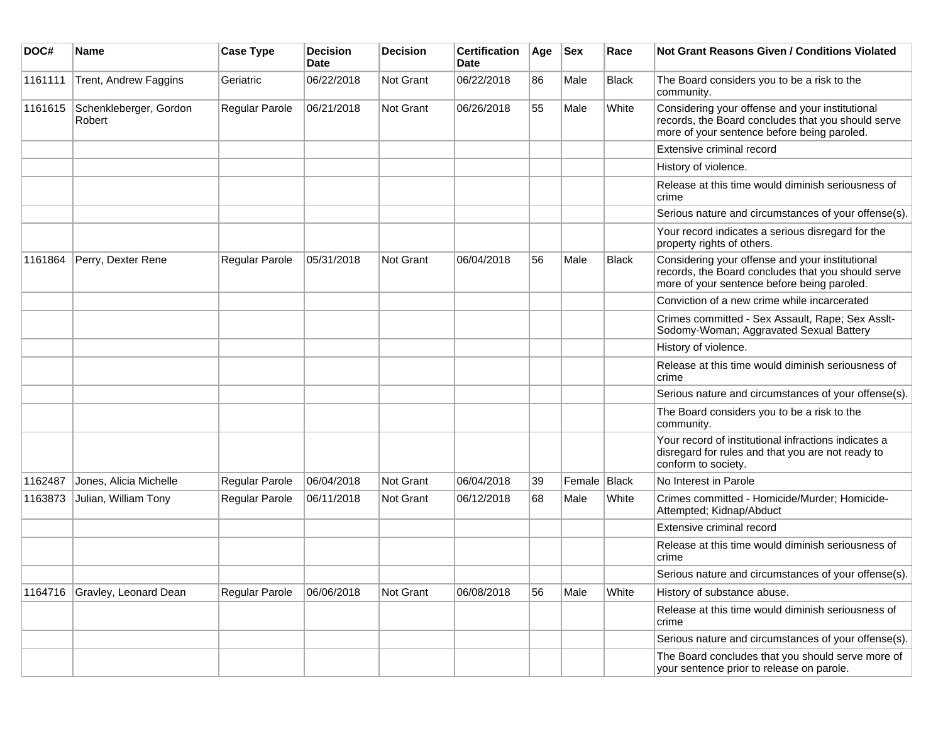| DOC#    | <b>Name</b>                      | <b>Case Type</b>      | <b>Decision</b><br><b>Date</b> | Decision  | <b>Certification</b><br><b>Date</b> | Age | <b>Sex</b>   | Race         | <b>Not Grant Reasons Given / Conditions Violated</b>                                                                                                 |
|---------|----------------------------------|-----------------------|--------------------------------|-----------|-------------------------------------|-----|--------------|--------------|------------------------------------------------------------------------------------------------------------------------------------------------------|
| 1161111 | Trent, Andrew Faggins            | Geriatric             | 06/22/2018                     | Not Grant | 06/22/2018                          | 86  | Male         | <b>Black</b> | The Board considers you to be a risk to the<br>community.                                                                                            |
| 1161615 | Schenkleberger, Gordon<br>Robert | Regular Parole        | 06/21/2018                     | Not Grant | 06/26/2018                          | 55  | Male         | White        | Considering your offense and your institutional<br>records, the Board concludes that you should serve<br>more of your sentence before being paroled. |
|         |                                  |                       |                                |           |                                     |     |              |              | Extensive criminal record                                                                                                                            |
|         |                                  |                       |                                |           |                                     |     |              |              | History of violence.                                                                                                                                 |
|         |                                  |                       |                                |           |                                     |     |              |              | Release at this time would diminish seriousness of<br>crime                                                                                          |
|         |                                  |                       |                                |           |                                     |     |              |              | Serious nature and circumstances of your offense(s).                                                                                                 |
|         |                                  |                       |                                |           |                                     |     |              |              | Your record indicates a serious disregard for the<br>property rights of others.                                                                      |
| 1161864 | Perry, Dexter Rene               | Regular Parole        | 05/31/2018                     | Not Grant | 06/04/2018                          | 56  | Male         | <b>Black</b> | Considering your offense and your institutional<br>records, the Board concludes that you should serve<br>more of your sentence before being paroled. |
|         |                                  |                       |                                |           |                                     |     |              |              | Conviction of a new crime while incarcerated                                                                                                         |
|         |                                  |                       |                                |           |                                     |     |              |              | Crimes committed - Sex Assault, Rape; Sex Asslt-<br>Sodomy-Woman; Aggravated Sexual Battery                                                          |
|         |                                  |                       |                                |           |                                     |     |              |              | History of violence.                                                                                                                                 |
|         |                                  |                       |                                |           |                                     |     |              |              | Release at this time would diminish seriousness of<br>crime                                                                                          |
|         |                                  |                       |                                |           |                                     |     |              |              | Serious nature and circumstances of your offense(s).                                                                                                 |
|         |                                  |                       |                                |           |                                     |     |              |              | The Board considers you to be a risk to the<br>community.                                                                                            |
|         |                                  |                       |                                |           |                                     |     |              |              | Your record of institutional infractions indicates a<br>disregard for rules and that you are not ready to<br>conform to society.                     |
| 1162487 | Jones, Alicia Michelle           | Regular Parole        | 06/04/2018                     | Not Grant | 06/04/2018                          | 39  | Female Black |              | No Interest in Parole                                                                                                                                |
| 1163873 | Julian, William Tony             | Regular Parole        | 06/11/2018                     | Not Grant | 06/12/2018                          | 68  | Male         | White        | Crimes committed - Homicide/Murder; Homicide-<br>Attempted; Kidnap/Abduct                                                                            |
|         |                                  |                       |                                |           |                                     |     |              |              | Extensive criminal record                                                                                                                            |
|         |                                  |                       |                                |           |                                     |     |              |              | Release at this time would diminish seriousness of<br>crime                                                                                          |
|         |                                  |                       |                                |           |                                     |     |              |              | Serious nature and circumstances of your offense(s).                                                                                                 |
| 1164716 | Gravley, Leonard Dean            | <b>Regular Parole</b> | 06/06/2018                     | Not Grant | 06/08/2018                          | 56  | Male         | White        | History of substance abuse.                                                                                                                          |
|         |                                  |                       |                                |           |                                     |     |              |              | Release at this time would diminish seriousness of<br>crime                                                                                          |
|         |                                  |                       |                                |           |                                     |     |              |              | Serious nature and circumstances of your offense(s).                                                                                                 |
|         |                                  |                       |                                |           |                                     |     |              |              | The Board concludes that you should serve more of<br>your sentence prior to release on parole.                                                       |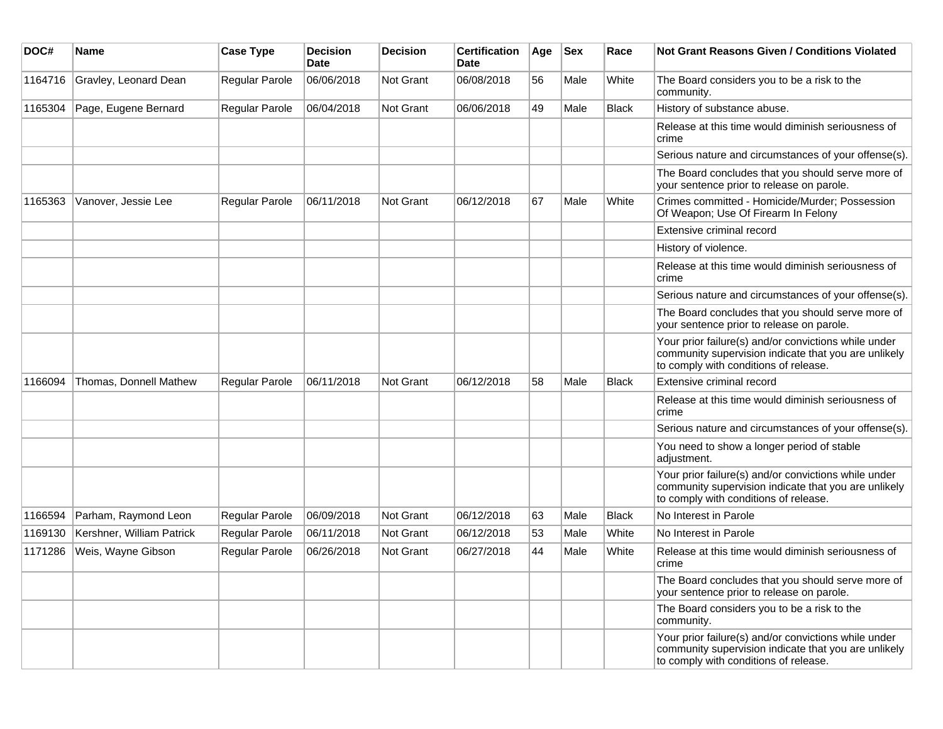| DOC#    | <b>Name</b>               | <b>Case Type</b>      | <b>Decision</b><br><b>Date</b> | <b>Decision</b>  | <b>Certification</b><br>Date | Age | <b>Sex</b> | Race         | <b>Not Grant Reasons Given / Conditions Violated</b>                                                                                                  |
|---------|---------------------------|-----------------------|--------------------------------|------------------|------------------------------|-----|------------|--------------|-------------------------------------------------------------------------------------------------------------------------------------------------------|
| 1164716 | Gravley, Leonard Dean     | Regular Parole        | 06/06/2018                     | <b>Not Grant</b> | 06/08/2018                   | 56  | Male       | White        | The Board considers you to be a risk to the<br>community.                                                                                             |
| 1165304 | Page, Eugene Bernard      | <b>Regular Parole</b> | 06/04/2018                     | Not Grant        | 06/06/2018                   | 49  | Male       | <b>Black</b> | History of substance abuse.                                                                                                                           |
|         |                           |                       |                                |                  |                              |     |            |              | Release at this time would diminish seriousness of<br>crime                                                                                           |
|         |                           |                       |                                |                  |                              |     |            |              | Serious nature and circumstances of your offense(s).                                                                                                  |
|         |                           |                       |                                |                  |                              |     |            |              | The Board concludes that you should serve more of<br>your sentence prior to release on parole.                                                        |
| 1165363 | Vanover, Jessie Lee       | <b>Regular Parole</b> | 06/11/2018                     | Not Grant        | 06/12/2018                   | 67  | Male       | White        | Crimes committed - Homicide/Murder; Possession<br>Of Weapon; Use Of Firearm In Felony                                                                 |
|         |                           |                       |                                |                  |                              |     |            |              | Extensive criminal record                                                                                                                             |
|         |                           |                       |                                |                  |                              |     |            |              | History of violence.                                                                                                                                  |
|         |                           |                       |                                |                  |                              |     |            |              | Release at this time would diminish seriousness of<br>crime                                                                                           |
|         |                           |                       |                                |                  |                              |     |            |              | Serious nature and circumstances of your offense(s).                                                                                                  |
|         |                           |                       |                                |                  |                              |     |            |              | The Board concludes that you should serve more of<br>your sentence prior to release on parole.                                                        |
|         |                           |                       |                                |                  |                              |     |            |              | Your prior failure(s) and/or convictions while under<br>community supervision indicate that you are unlikely<br>to comply with conditions of release. |
| 1166094 | Thomas, Donnell Mathew    | Regular Parole        | 06/11/2018                     | <b>Not Grant</b> | 06/12/2018                   | 58  | Male       | <b>Black</b> | Extensive criminal record                                                                                                                             |
|         |                           |                       |                                |                  |                              |     |            |              | Release at this time would diminish seriousness of<br>crime                                                                                           |
|         |                           |                       |                                |                  |                              |     |            |              | Serious nature and circumstances of your offense(s).                                                                                                  |
|         |                           |                       |                                |                  |                              |     |            |              | You need to show a longer period of stable<br>adjustment.                                                                                             |
|         |                           |                       |                                |                  |                              |     |            |              | Your prior failure(s) and/or convictions while under<br>community supervision indicate that you are unlikely<br>to comply with conditions of release. |
| 1166594 | Parham, Raymond Leon      | <b>Regular Parole</b> | 06/09/2018                     | <b>Not Grant</b> | 06/12/2018                   | 63  | Male       | <b>Black</b> | No Interest in Parole                                                                                                                                 |
| 1169130 | Kershner, William Patrick | Regular Parole        | 06/11/2018                     | Not Grant        | 06/12/2018                   | 53  | Male       | White        | No Interest in Parole                                                                                                                                 |
| 1171286 | Weis, Wayne Gibson        | Regular Parole        | 06/26/2018                     | <b>Not Grant</b> | 06/27/2018                   | 44  | Male       | White        | Release at this time would diminish seriousness of<br>crime                                                                                           |
|         |                           |                       |                                |                  |                              |     |            |              | The Board concludes that you should serve more of<br>your sentence prior to release on parole.                                                        |
|         |                           |                       |                                |                  |                              |     |            |              | The Board considers you to be a risk to the<br>community.                                                                                             |
|         |                           |                       |                                |                  |                              |     |            |              | Your prior failure(s) and/or convictions while under<br>community supervision indicate that you are unlikely<br>to comply with conditions of release. |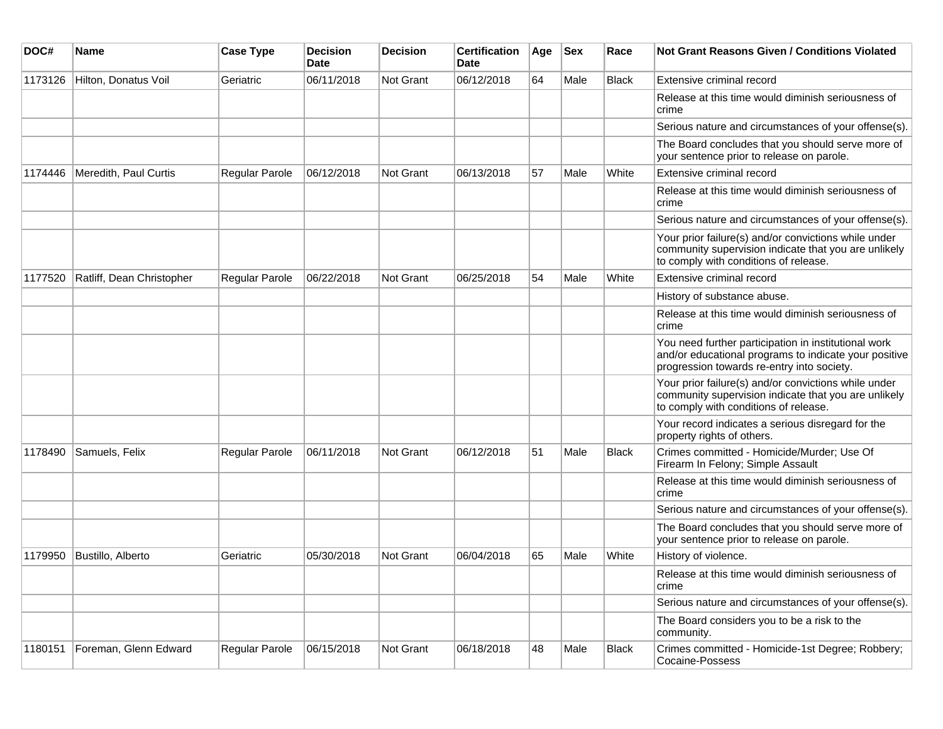| DOC#    | Name                      | <b>Case Type</b>      | <b>Decision</b><br>Date | <b>Decision</b> | <b>Certification</b><br>Date | Age | <b>Sex</b> | Race         | Not Grant Reasons Given / Conditions Violated                                                                                                               |
|---------|---------------------------|-----------------------|-------------------------|-----------------|------------------------------|-----|------------|--------------|-------------------------------------------------------------------------------------------------------------------------------------------------------------|
| 1173126 | Hilton, Donatus Voil      | Geriatric             | 06/11/2018              | Not Grant       | 06/12/2018                   | 64  | Male       | <b>Black</b> | Extensive criminal record                                                                                                                                   |
|         |                           |                       |                         |                 |                              |     |            |              | Release at this time would diminish seriousness of<br>crime                                                                                                 |
|         |                           |                       |                         |                 |                              |     |            |              | Serious nature and circumstances of your offense(s).                                                                                                        |
|         |                           |                       |                         |                 |                              |     |            |              | The Board concludes that you should serve more of<br>your sentence prior to release on parole.                                                              |
| 1174446 | Meredith, Paul Curtis     | <b>Regular Parole</b> | 06/12/2018              | Not Grant       | 06/13/2018                   | 57  | Male       | White        | Extensive criminal record                                                                                                                                   |
|         |                           |                       |                         |                 |                              |     |            |              | Release at this time would diminish seriousness of<br>crime                                                                                                 |
|         |                           |                       |                         |                 |                              |     |            |              | Serious nature and circumstances of your offense(s).                                                                                                        |
|         |                           |                       |                         |                 |                              |     |            |              | Your prior failure(s) and/or convictions while under<br>community supervision indicate that you are unlikely<br>to comply with conditions of release.       |
| 1177520 | Ratliff, Dean Christopher | Regular Parole        | 06/22/2018              | Not Grant       | 06/25/2018                   | 54  | Male       | White        | Extensive criminal record                                                                                                                                   |
|         |                           |                       |                         |                 |                              |     |            |              | History of substance abuse.                                                                                                                                 |
|         |                           |                       |                         |                 |                              |     |            |              | Release at this time would diminish seriousness of<br>crime                                                                                                 |
|         |                           |                       |                         |                 |                              |     |            |              | You need further participation in institutional work<br>and/or educational programs to indicate your positive<br>progression towards re-entry into society. |
|         |                           |                       |                         |                 |                              |     |            |              | Your prior failure(s) and/or convictions while under<br>community supervision indicate that you are unlikely<br>to comply with conditions of release.       |
|         |                           |                       |                         |                 |                              |     |            |              | Your record indicates a serious disregard for the<br>property rights of others.                                                                             |
| 1178490 | Samuels, Felix            | <b>Regular Parole</b> | 06/11/2018              | Not Grant       | 06/12/2018                   | 51  | Male       | <b>Black</b> | Crimes committed - Homicide/Murder; Use Of<br>Firearm In Felony; Simple Assault                                                                             |
|         |                           |                       |                         |                 |                              |     |            |              | Release at this time would diminish seriousness of<br>crime                                                                                                 |
|         |                           |                       |                         |                 |                              |     |            |              | Serious nature and circumstances of your offense(s).                                                                                                        |
|         |                           |                       |                         |                 |                              |     |            |              | The Board concludes that you should serve more of<br>your sentence prior to release on parole.                                                              |
| 1179950 | Bustillo, Alberto         | Geriatric             | 05/30/2018              | Not Grant       | 06/04/2018                   | 65  | Male       | White        | History of violence.                                                                                                                                        |
|         |                           |                       |                         |                 |                              |     |            |              | Release at this time would diminish seriousness of<br>crime                                                                                                 |
|         |                           |                       |                         |                 |                              |     |            |              | Serious nature and circumstances of your offense(s).                                                                                                        |
|         |                           |                       |                         |                 |                              |     |            |              | The Board considers you to be a risk to the<br>community.                                                                                                   |
| 1180151 | Foreman, Glenn Edward     | Regular Parole        | 06/15/2018              | Not Grant       | 06/18/2018                   | 48  | Male       | Black        | Crimes committed - Homicide-1st Degree; Robbery;<br>Cocaine-Possess                                                                                         |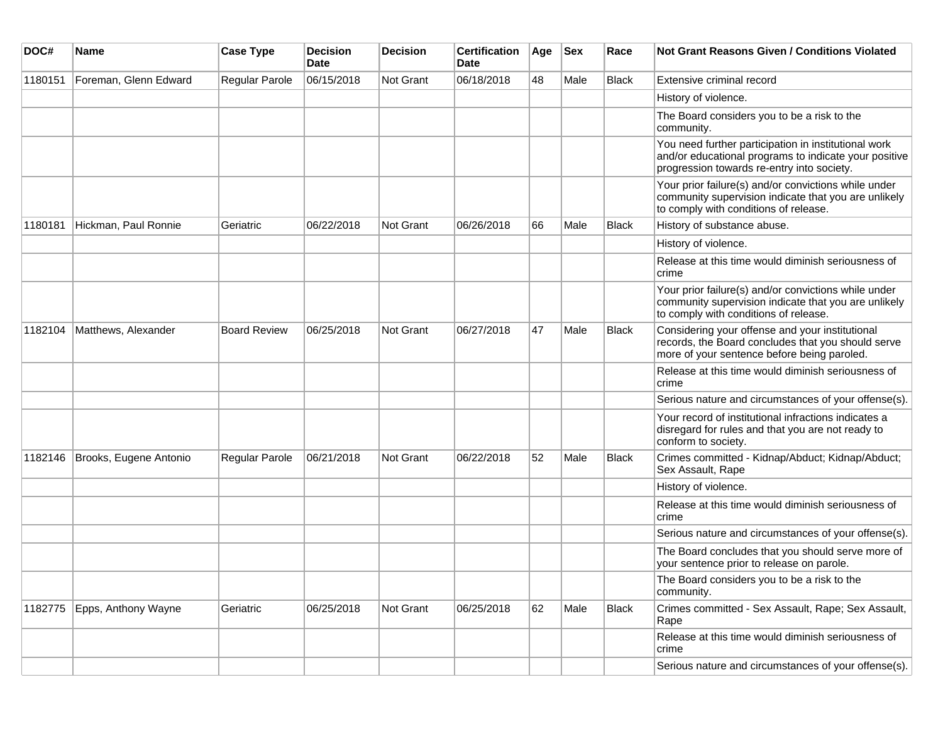| DOC#    | <b>Name</b>            | <b>Case Type</b>      | <b>Decision</b><br><b>Date</b> | <b>Decision</b>  | <b>Certification</b><br><b>Date</b> | Age | <b>Sex</b> | Race         | <b>Not Grant Reasons Given / Conditions Violated</b>                                                                                                        |
|---------|------------------------|-----------------------|--------------------------------|------------------|-------------------------------------|-----|------------|--------------|-------------------------------------------------------------------------------------------------------------------------------------------------------------|
| 1180151 | Foreman, Glenn Edward  | Regular Parole        | 06/15/2018                     | <b>Not Grant</b> | 06/18/2018                          | 48  | Male       | Black        | Extensive criminal record                                                                                                                                   |
|         |                        |                       |                                |                  |                                     |     |            |              | History of violence.                                                                                                                                        |
|         |                        |                       |                                |                  |                                     |     |            |              | The Board considers you to be a risk to the<br>community.                                                                                                   |
|         |                        |                       |                                |                  |                                     |     |            |              | You need further participation in institutional work<br>and/or educational programs to indicate your positive<br>progression towards re-entry into society. |
|         |                        |                       |                                |                  |                                     |     |            |              | Your prior failure(s) and/or convictions while under<br>community supervision indicate that you are unlikely<br>to comply with conditions of release.       |
| 1180181 | Hickman, Paul Ronnie   | Geriatric             | 06/22/2018                     | Not Grant        | 06/26/2018                          | 66  | Male       | <b>Black</b> | History of substance abuse.                                                                                                                                 |
|         |                        |                       |                                |                  |                                     |     |            |              | History of violence.                                                                                                                                        |
|         |                        |                       |                                |                  |                                     |     |            |              | Release at this time would diminish seriousness of<br>crime                                                                                                 |
|         |                        |                       |                                |                  |                                     |     |            |              | Your prior failure(s) and/or convictions while under<br>community supervision indicate that you are unlikely<br>to comply with conditions of release.       |
| 1182104 | Matthews, Alexander    | <b>Board Review</b>   | 06/25/2018                     | Not Grant        | 06/27/2018                          | 47  | Male       | <b>Black</b> | Considering your offense and your institutional<br>records, the Board concludes that you should serve<br>more of your sentence before being paroled.        |
|         |                        |                       |                                |                  |                                     |     |            |              | Release at this time would diminish seriousness of<br>crime                                                                                                 |
|         |                        |                       |                                |                  |                                     |     |            |              | Serious nature and circumstances of your offense(s).                                                                                                        |
|         |                        |                       |                                |                  |                                     |     |            |              | Your record of institutional infractions indicates a<br>disregard for rules and that you are not ready to<br>conform to society.                            |
| 1182146 | Brooks, Eugene Antonio | <b>Regular Parole</b> | 06/21/2018                     | <b>Not Grant</b> | 06/22/2018                          | 52  | Male       | <b>Black</b> | Crimes committed - Kidnap/Abduct; Kidnap/Abduct;<br>Sex Assault, Rape                                                                                       |
|         |                        |                       |                                |                  |                                     |     |            |              | History of violence.                                                                                                                                        |
|         |                        |                       |                                |                  |                                     |     |            |              | Release at this time would diminish seriousness of<br>crime                                                                                                 |
|         |                        |                       |                                |                  |                                     |     |            |              | Serious nature and circumstances of your offense(s).                                                                                                        |
|         |                        |                       |                                |                  |                                     |     |            |              | The Board concludes that you should serve more of<br>your sentence prior to release on parole.                                                              |
|         |                        |                       |                                |                  |                                     |     |            |              | The Board considers you to be a risk to the<br>community.                                                                                                   |
| 1182775 | Epps, Anthony Wayne    | Geriatric             | 06/25/2018                     | Not Grant        | 06/25/2018                          | 62  | Male       | Black        | Crimes committed - Sex Assault, Rape; Sex Assault,<br>Rape                                                                                                  |
|         |                        |                       |                                |                  |                                     |     |            |              | Release at this time would diminish seriousness of<br>crime                                                                                                 |
|         |                        |                       |                                |                  |                                     |     |            |              | Serious nature and circumstances of your offense(s).                                                                                                        |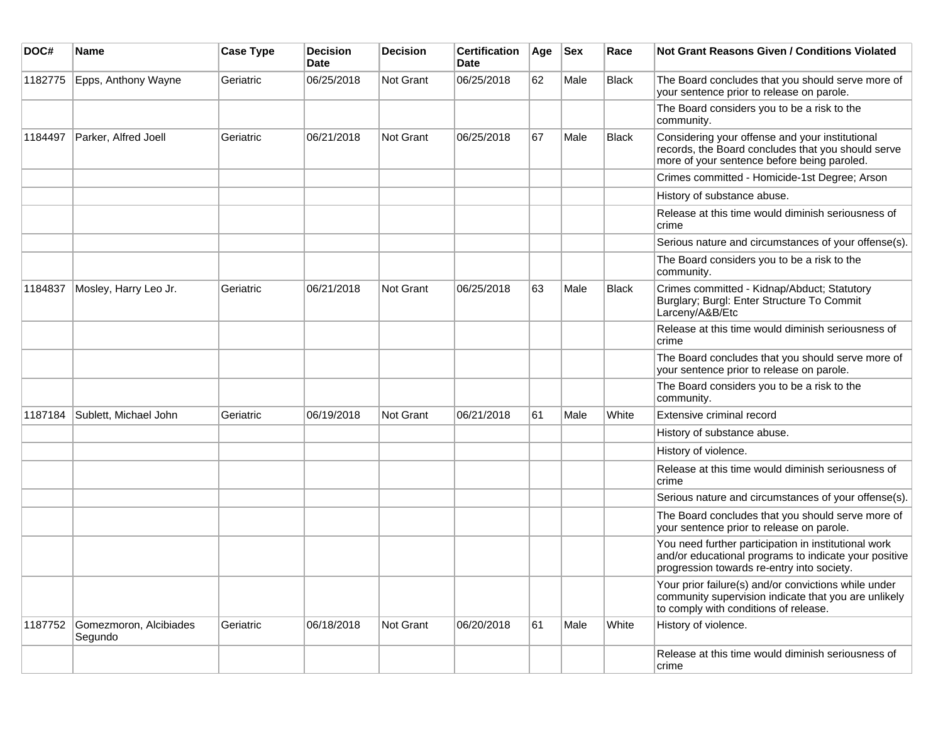| DOC#    | <b>Name</b>                       | <b>Case Type</b> | Decision<br><b>Date</b> | Decision  | <b>Certification</b><br>Date | Age | <b>Sex</b> | Race         | Not Grant Reasons Given / Conditions Violated                                                                                                               |
|---------|-----------------------------------|------------------|-------------------------|-----------|------------------------------|-----|------------|--------------|-------------------------------------------------------------------------------------------------------------------------------------------------------------|
| 1182775 | Epps, Anthony Wayne               | Geriatric        | 06/25/2018              | Not Grant | 06/25/2018                   | 62  | Male       | <b>Black</b> | The Board concludes that you should serve more of<br>your sentence prior to release on parole.                                                              |
|         |                                   |                  |                         |           |                              |     |            |              | The Board considers you to be a risk to the<br>community.                                                                                                   |
| 1184497 | Parker, Alfred Joell              | Geriatric        | 06/21/2018              | Not Grant | 06/25/2018                   | 67  | Male       | <b>Black</b> | Considering your offense and your institutional<br>records, the Board concludes that you should serve<br>more of your sentence before being paroled.        |
|         |                                   |                  |                         |           |                              |     |            |              | Crimes committed - Homicide-1st Degree; Arson                                                                                                               |
|         |                                   |                  |                         |           |                              |     |            |              | History of substance abuse.                                                                                                                                 |
|         |                                   |                  |                         |           |                              |     |            |              | Release at this time would diminish seriousness of<br>crime                                                                                                 |
|         |                                   |                  |                         |           |                              |     |            |              | Serious nature and circumstances of your offense(s).                                                                                                        |
|         |                                   |                  |                         |           |                              |     |            |              | The Board considers you to be a risk to the<br>community.                                                                                                   |
| 1184837 | Mosley, Harry Leo Jr.             | Geriatric        | 06/21/2018              | Not Grant | 06/25/2018                   | 63  | Male       | <b>Black</b> | Crimes committed - Kidnap/Abduct; Statutory<br>Burglary; Burgl: Enter Structure To Commit<br>Larceny/A&B/Etc                                                |
|         |                                   |                  |                         |           |                              |     |            |              | Release at this time would diminish seriousness of<br>crime                                                                                                 |
|         |                                   |                  |                         |           |                              |     |            |              | The Board concludes that you should serve more of<br>your sentence prior to release on parole.                                                              |
|         |                                   |                  |                         |           |                              |     |            |              | The Board considers you to be a risk to the<br>community.                                                                                                   |
| 1187184 | Sublett, Michael John             | Geriatric        | 06/19/2018              | Not Grant | 06/21/2018                   | 61  | Male       | White        | Extensive criminal record                                                                                                                                   |
|         |                                   |                  |                         |           |                              |     |            |              | History of substance abuse.                                                                                                                                 |
|         |                                   |                  |                         |           |                              |     |            |              | History of violence.                                                                                                                                        |
|         |                                   |                  |                         |           |                              |     |            |              | Release at this time would diminish seriousness of<br>crime                                                                                                 |
|         |                                   |                  |                         |           |                              |     |            |              | Serious nature and circumstances of your offense(s).                                                                                                        |
|         |                                   |                  |                         |           |                              |     |            |              | The Board concludes that you should serve more of<br>your sentence prior to release on parole.                                                              |
|         |                                   |                  |                         |           |                              |     |            |              | You need further participation in institutional work<br>and/or educational programs to indicate your positive<br>progression towards re-entry into society. |
|         |                                   |                  |                         |           |                              |     |            |              | Your prior failure(s) and/or convictions while under<br>community supervision indicate that you are unlikely<br>to comply with conditions of release.       |
| 1187752 | Gomezmoron, Alcibiades<br>Segundo | Geriatric        | 06/18/2018              | Not Grant | 06/20/2018                   | 61  | Male       | White        | History of violence.                                                                                                                                        |
|         |                                   |                  |                         |           |                              |     |            |              | Release at this time would diminish seriousness of<br>crime                                                                                                 |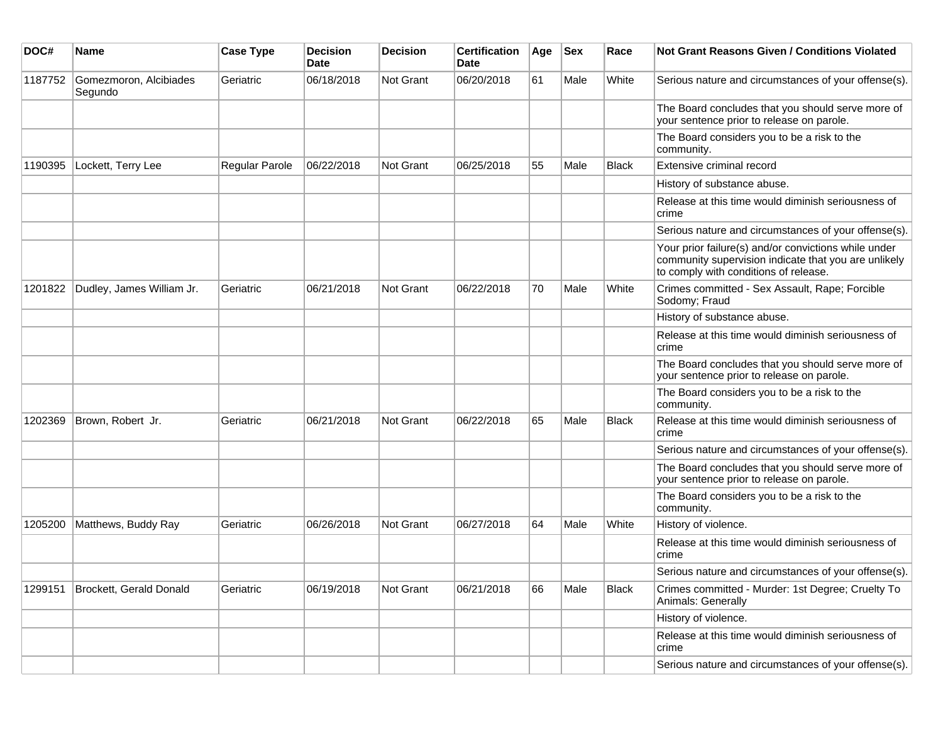| DOC#    | Name                              | <b>Case Type</b> | <b>Decision</b><br>Date | <b>Decision</b> | <b>Certification</b><br><b>Date</b> | Age | <b>Sex</b> | Race         | <b>Not Grant Reasons Given / Conditions Violated</b>                                                                                                  |
|---------|-----------------------------------|------------------|-------------------------|-----------------|-------------------------------------|-----|------------|--------------|-------------------------------------------------------------------------------------------------------------------------------------------------------|
| 1187752 | Gomezmoron, Alcibiades<br>Segundo | Geriatric        | 06/18/2018              | Not Grant       | 06/20/2018                          | 61  | Male       | White        | Serious nature and circumstances of your offense(s).                                                                                                  |
|         |                                   |                  |                         |                 |                                     |     |            |              | The Board concludes that you should serve more of<br>your sentence prior to release on parole.                                                        |
|         |                                   |                  |                         |                 |                                     |     |            |              | The Board considers you to be a risk to the<br>community.                                                                                             |
| 1190395 | Lockett, Terry Lee                | Regular Parole   | 06/22/2018              | Not Grant       | 06/25/2018                          | 55  | Male       | <b>Black</b> | Extensive criminal record                                                                                                                             |
|         |                                   |                  |                         |                 |                                     |     |            |              | History of substance abuse.                                                                                                                           |
|         |                                   |                  |                         |                 |                                     |     |            |              | Release at this time would diminish seriousness of<br>crime                                                                                           |
|         |                                   |                  |                         |                 |                                     |     |            |              | Serious nature and circumstances of your offense(s).                                                                                                  |
|         |                                   |                  |                         |                 |                                     |     |            |              | Your prior failure(s) and/or convictions while under<br>community supervision indicate that you are unlikely<br>to comply with conditions of release. |
| 1201822 | Dudley, James William Jr.         | Geriatric        | 06/21/2018              | Not Grant       | 06/22/2018                          | 70  | Male       | White        | Crimes committed - Sex Assault, Rape; Forcible<br>Sodomy; Fraud                                                                                       |
|         |                                   |                  |                         |                 |                                     |     |            |              | History of substance abuse.                                                                                                                           |
|         |                                   |                  |                         |                 |                                     |     |            |              | Release at this time would diminish seriousness of<br>crime                                                                                           |
|         |                                   |                  |                         |                 |                                     |     |            |              | The Board concludes that you should serve more of<br>your sentence prior to release on parole.                                                        |
|         |                                   |                  |                         |                 |                                     |     |            |              | The Board considers you to be a risk to the<br>community.                                                                                             |
| 1202369 | Brown, Robert Jr.                 | Geriatric        | 06/21/2018              | Not Grant       | 06/22/2018                          | 65  | Male       | <b>Black</b> | Release at this time would diminish seriousness of<br>crime                                                                                           |
|         |                                   |                  |                         |                 |                                     |     |            |              | Serious nature and circumstances of your offense(s).                                                                                                  |
|         |                                   |                  |                         |                 |                                     |     |            |              | The Board concludes that you should serve more of<br>your sentence prior to release on parole.                                                        |
|         |                                   |                  |                         |                 |                                     |     |            |              | The Board considers you to be a risk to the<br>community.                                                                                             |
| 1205200 | Matthews, Buddy Ray               | Geriatric        | 06/26/2018              | Not Grant       | 06/27/2018                          | 64  | Male       | White        | History of violence.                                                                                                                                  |
|         |                                   |                  |                         |                 |                                     |     |            |              | Release at this time would diminish seriousness of<br>crime                                                                                           |
|         |                                   |                  |                         |                 |                                     |     |            |              | Serious nature and circumstances of your offense(s).                                                                                                  |
|         | 1299151   Brockett, Gerald Donald | Geriatric        | 06/19/2018              | Not Grant       | 06/21/2018                          | 66  | Male       | <b>Black</b> | Crimes committed - Murder: 1st Degree; Cruelty To<br>Animals: Generally                                                                               |
|         |                                   |                  |                         |                 |                                     |     |            |              | History of violence.                                                                                                                                  |
|         |                                   |                  |                         |                 |                                     |     |            |              | Release at this time would diminish seriousness of<br>crime                                                                                           |
|         |                                   |                  |                         |                 |                                     |     |            |              | Serious nature and circumstances of your offense(s).                                                                                                  |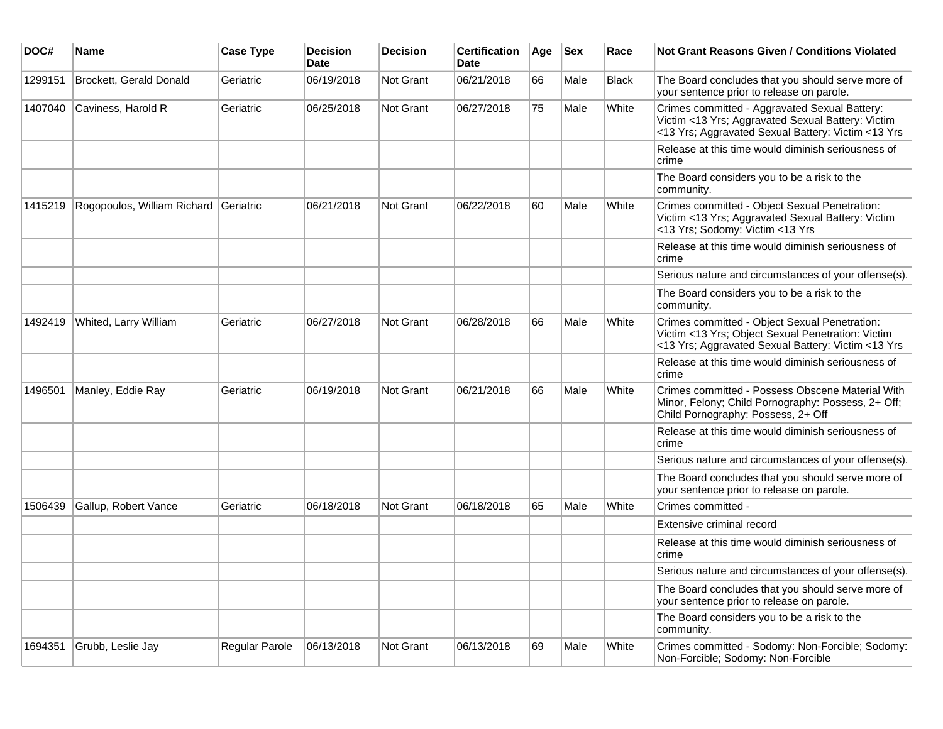| DOC#    | Name                                  | <b>Case Type</b> | <b>Decision</b><br><b>Date</b> | Decision  | <b>Certification</b><br><b>Date</b> | Age | <b>Sex</b> | Race         | <b>Not Grant Reasons Given / Conditions Violated</b>                                                                                                     |
|---------|---------------------------------------|------------------|--------------------------------|-----------|-------------------------------------|-----|------------|--------------|----------------------------------------------------------------------------------------------------------------------------------------------------------|
| 1299151 | Brockett, Gerald Donald               | Geriatric        | 06/19/2018                     | Not Grant | 06/21/2018                          | 66  | Male       | <b>Black</b> | The Board concludes that you should serve more of<br>your sentence prior to release on parole.                                                           |
| 1407040 | Caviness, Harold R                    | Geriatric        | 06/25/2018                     | Not Grant | 06/27/2018                          | 75  | Male       | White        | Crimes committed - Aggravated Sexual Battery:<br>Victim <13 Yrs; Aggravated Sexual Battery: Victim<br><13 Yrs; Aggravated Sexual Battery: Victim <13 Yrs |
|         |                                       |                  |                                |           |                                     |     |            |              | Release at this time would diminish seriousness of<br>crime                                                                                              |
|         |                                       |                  |                                |           |                                     |     |            |              | The Board considers you to be a risk to the<br>community.                                                                                                |
| 1415219 | Rogopoulos, William Richard Geriatric |                  | 06/21/2018                     | Not Grant | 06/22/2018                          | 60  | Male       | White        | Crimes committed - Object Sexual Penetration:<br>Victim <13 Yrs; Aggravated Sexual Battery: Victim<br><13 Yrs; Sodomy: Victim <13 Yrs                    |
|         |                                       |                  |                                |           |                                     |     |            |              | Release at this time would diminish seriousness of<br>crime                                                                                              |
|         |                                       |                  |                                |           |                                     |     |            |              | Serious nature and circumstances of your offense(s).                                                                                                     |
|         |                                       |                  |                                |           |                                     |     |            |              | The Board considers you to be a risk to the<br>community.                                                                                                |
| 1492419 | Whited, Larry William                 | Geriatric        | 06/27/2018                     | Not Grant | 06/28/2018                          | 66  | Male       | White        | Crimes committed - Object Sexual Penetration:<br>Victim <13 Yrs; Object Sexual Penetration: Victim<br><13 Yrs; Aggravated Sexual Battery: Victim <13 Yrs |
|         |                                       |                  |                                |           |                                     |     |            |              | Release at this time would diminish seriousness of<br>crime                                                                                              |
| 1496501 | Manley, Eddie Ray                     | Geriatric        | 06/19/2018                     | Not Grant | 06/21/2018                          | 66  | Male       | White        | Crimes committed - Possess Obscene Material With<br>Minor, Felony; Child Pornography: Possess, 2+ Off;<br>Child Pornography: Possess, 2+ Off             |
|         |                                       |                  |                                |           |                                     |     |            |              | Release at this time would diminish seriousness of<br>crime                                                                                              |
|         |                                       |                  |                                |           |                                     |     |            |              | Serious nature and circumstances of your offense(s).                                                                                                     |
|         |                                       |                  |                                |           |                                     |     |            |              | The Board concludes that you should serve more of<br>your sentence prior to release on parole.                                                           |
| 1506439 | Gallup, Robert Vance                  | Geriatric        | 06/18/2018                     | Not Grant | 06/18/2018                          | 65  | Male       | White        | Crimes committed -                                                                                                                                       |
|         |                                       |                  |                                |           |                                     |     |            |              | Extensive criminal record                                                                                                                                |
|         |                                       |                  |                                |           |                                     |     |            |              | Release at this time would diminish seriousness of<br>crime                                                                                              |
|         |                                       |                  |                                |           |                                     |     |            |              | Serious nature and circumstances of your offense(s).                                                                                                     |
|         |                                       |                  |                                |           |                                     |     |            |              | The Board concludes that you should serve more of<br>your sentence prior to release on parole.                                                           |
|         |                                       |                  |                                |           |                                     |     |            |              | The Board considers you to be a risk to the<br>community.                                                                                                |
| 1694351 | Grubb, Leslie Jay                     | Regular Parole   | 06/13/2018                     | Not Grant | 06/13/2018                          | 69  | Male       | White        | Crimes committed - Sodomy: Non-Forcible; Sodomy:<br>Non-Forcible; Sodomy: Non-Forcible                                                                   |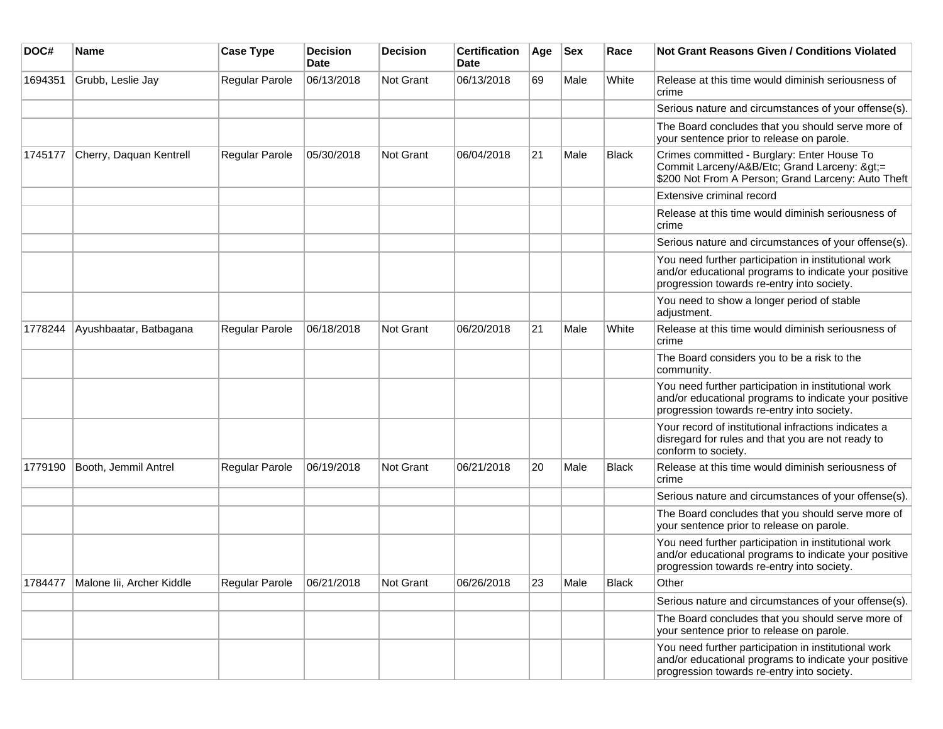| DOC#    | <b>Name</b>               | <b>Case Type</b>      | <b>Decision</b><br><b>Date</b> | <b>Decision</b> | <b>Certification</b><br>Date | Age | <b>Sex</b> | Race         | Not Grant Reasons Given / Conditions Violated                                                                                                               |
|---------|---------------------------|-----------------------|--------------------------------|-----------------|------------------------------|-----|------------|--------------|-------------------------------------------------------------------------------------------------------------------------------------------------------------|
| 1694351 | Grubb, Leslie Jay         | Regular Parole        | 06/13/2018                     | Not Grant       | 06/13/2018                   | 69  | Male       | White        | Release at this time would diminish seriousness of<br>crime                                                                                                 |
|         |                           |                       |                                |                 |                              |     |            |              | Serious nature and circumstances of your offense(s).                                                                                                        |
|         |                           |                       |                                |                 |                              |     |            |              | The Board concludes that you should serve more of<br>your sentence prior to release on parole.                                                              |
| 1745177 | Cherry, Daquan Kentrell   | Regular Parole        | 05/30/2018                     | Not Grant       | 06/04/2018                   | 21  | Male       | <b>Black</b> | Crimes committed - Burglary: Enter House To<br>Commit Larceny/A&B/Etc; Grand Larceny: >=<br>\$200 Not From A Person; Grand Larceny: Auto Theft              |
|         |                           |                       |                                |                 |                              |     |            |              | Extensive criminal record                                                                                                                                   |
|         |                           |                       |                                |                 |                              |     |            |              | Release at this time would diminish seriousness of<br>crime                                                                                                 |
|         |                           |                       |                                |                 |                              |     |            |              | Serious nature and circumstances of your offense(s).                                                                                                        |
|         |                           |                       |                                |                 |                              |     |            |              | You need further participation in institutional work<br>and/or educational programs to indicate your positive<br>progression towards re-entry into society. |
|         |                           |                       |                                |                 |                              |     |            |              | You need to show a longer period of stable<br>adjustment.                                                                                                   |
| 1778244 | Ayushbaatar, Batbagana    | <b>Regular Parole</b> | 06/18/2018                     | Not Grant       | 06/20/2018                   | 21  | Male       | White        | Release at this time would diminish seriousness of<br>crime                                                                                                 |
|         |                           |                       |                                |                 |                              |     |            |              | The Board considers you to be a risk to the<br>community.                                                                                                   |
|         |                           |                       |                                |                 |                              |     |            |              | You need further participation in institutional work<br>and/or educational programs to indicate your positive<br>progression towards re-entry into society. |
|         |                           |                       |                                |                 |                              |     |            |              | Your record of institutional infractions indicates a<br>disregard for rules and that you are not ready to<br>conform to society.                            |
| 1779190 | Booth, Jemmil Antrel      | Regular Parole        | 06/19/2018                     | Not Grant       | 06/21/2018                   | 20  | Male       | <b>Black</b> | Release at this time would diminish seriousness of<br>crime                                                                                                 |
|         |                           |                       |                                |                 |                              |     |            |              | Serious nature and circumstances of your offense(s).                                                                                                        |
|         |                           |                       |                                |                 |                              |     |            |              | The Board concludes that you should serve more of<br>your sentence prior to release on parole.                                                              |
|         |                           |                       |                                |                 |                              |     |            |              | You need further participation in institutional work<br>and/or educational programs to indicate your positive<br>progression towards re-entry into society. |
| 1784477 | Malone Iii, Archer Kiddle | Regular Parole        | 06/21/2018                     | Not Grant       | 06/26/2018                   | 23  | Male       | Black        | Other                                                                                                                                                       |
|         |                           |                       |                                |                 |                              |     |            |              | Serious nature and circumstances of your offense(s).                                                                                                        |
|         |                           |                       |                                |                 |                              |     |            |              | The Board concludes that you should serve more of<br>your sentence prior to release on parole.                                                              |
|         |                           |                       |                                |                 |                              |     |            |              | You need further participation in institutional work<br>and/or educational programs to indicate your positive<br>progression towards re-entry into society. |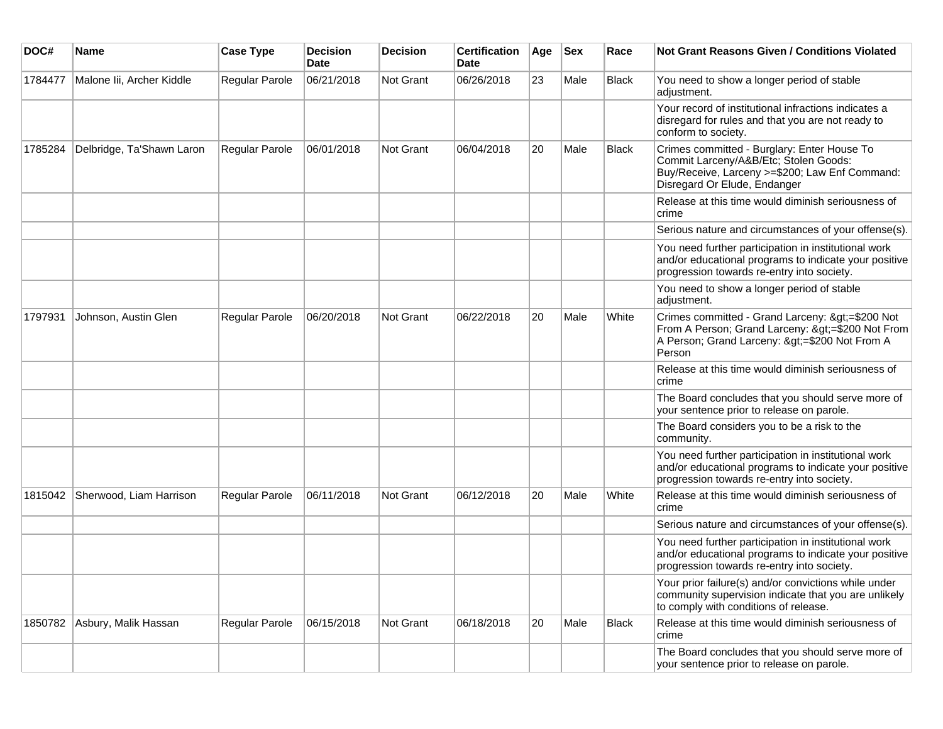| DOC#    | <b>Name</b>               | <b>Case Type</b> | <b>Decision</b><br><b>Date</b> | <b>Decision</b>  | <b>Certification</b><br><b>Date</b> | Age | <b>Sex</b> | Race         | <b>Not Grant Reasons Given / Conditions Violated</b>                                                                                                                   |
|---------|---------------------------|------------------|--------------------------------|------------------|-------------------------------------|-----|------------|--------------|------------------------------------------------------------------------------------------------------------------------------------------------------------------------|
| 1784477 | Malone lii, Archer Kiddle | Regular Parole   | 06/21/2018                     | <b>Not Grant</b> | 06/26/2018                          | 23  | Male       | Black        | You need to show a longer period of stable<br>adjustment.                                                                                                              |
|         |                           |                  |                                |                  |                                     |     |            |              | Your record of institutional infractions indicates a<br>disregard for rules and that you are not ready to<br>conform to society.                                       |
| 1785284 | Delbridge, Ta'Shawn Laron | Regular Parole   | 06/01/2018                     | Not Grant        | 06/04/2018                          | 20  | Male       | Black        | Crimes committed - Burglary: Enter House To<br>Commit Larceny/A&B/Etc; Stolen Goods:<br>Buy/Receive, Larceny >=\$200; Law Enf Command:<br>Disregard Or Elude, Endanger |
|         |                           |                  |                                |                  |                                     |     |            |              | Release at this time would diminish seriousness of<br>crime                                                                                                            |
|         |                           |                  |                                |                  |                                     |     |            |              | Serious nature and circumstances of your offense(s).                                                                                                                   |
|         |                           |                  |                                |                  |                                     |     |            |              | You need further participation in institutional work<br>and/or educational programs to indicate your positive<br>progression towards re-entry into society.            |
|         |                           |                  |                                |                  |                                     |     |            |              | You need to show a longer period of stable<br>adjustment.                                                                                                              |
| 1797931 | Johnson, Austin Glen      | Regular Parole   | 06/20/2018                     | <b>Not Grant</b> | 06/22/2018                          | 20  | Male       | White        | Crimes committed - Grand Larceny: >=\$200 Not<br>From A Person; Grand Larceny: >=\$200 Not From<br>A Person; Grand Larceny: >=\$200 Not From A<br>Person               |
|         |                           |                  |                                |                  |                                     |     |            |              | Release at this time would diminish seriousness of<br>crime                                                                                                            |
|         |                           |                  |                                |                  |                                     |     |            |              | The Board concludes that you should serve more of<br>your sentence prior to release on parole.                                                                         |
|         |                           |                  |                                |                  |                                     |     |            |              | The Board considers you to be a risk to the<br>community.                                                                                                              |
|         |                           |                  |                                |                  |                                     |     |            |              | You need further participation in institutional work<br>and/or educational programs to indicate your positive<br>progression towards re-entry into society.            |
| 1815042 | Sherwood, Liam Harrison   | Regular Parole   | 06/11/2018                     | <b>Not Grant</b> | 06/12/2018                          | 20  | Male       | White        | Release at this time would diminish seriousness of<br><b>crime</b>                                                                                                     |
|         |                           |                  |                                |                  |                                     |     |            |              | Serious nature and circumstances of your offense(s).                                                                                                                   |
|         |                           |                  |                                |                  |                                     |     |            |              | You need further participation in institutional work<br>and/or educational programs to indicate your positive<br>progression towards re-entry into society.            |
|         |                           |                  |                                |                  |                                     |     |            |              | Your prior failure(s) and/or convictions while under<br>community supervision indicate that you are unlikely<br>to comply with conditions of release.                  |
| 1850782 | Asbury, Malik Hassan      | Regular Parole   | 06/15/2018                     | <b>Not Grant</b> | 06/18/2018                          | 20  | Male       | <b>Black</b> | Release at this time would diminish seriousness of<br>crime                                                                                                            |
|         |                           |                  |                                |                  |                                     |     |            |              | The Board concludes that you should serve more of<br>your sentence prior to release on parole.                                                                         |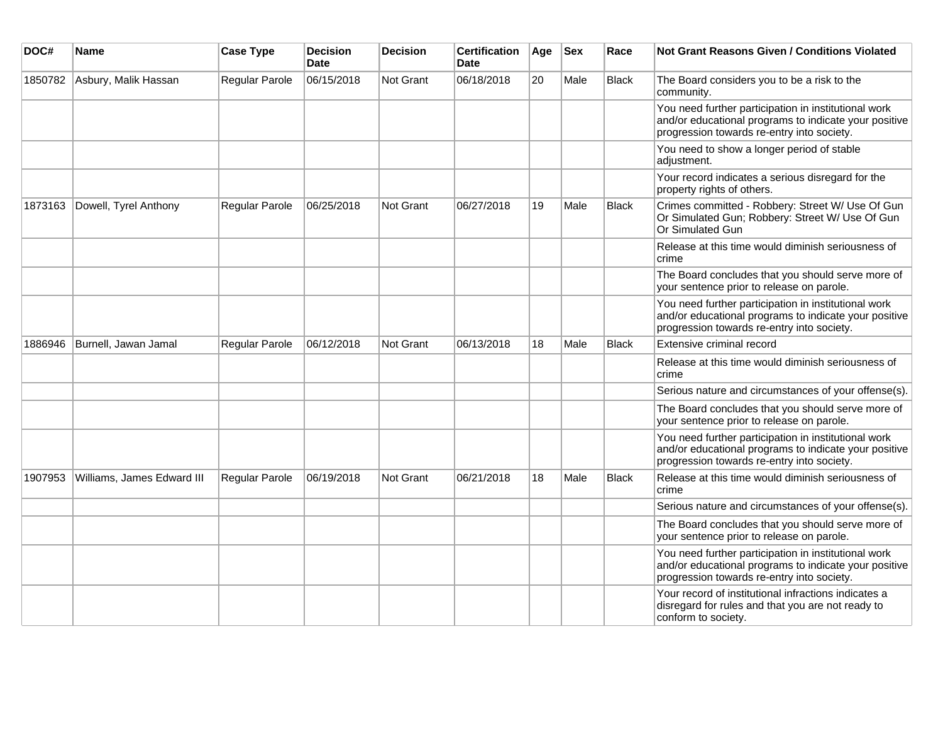| DOC#    | <b>Name</b>                  | <b>Case Type</b> | <b>Decision</b><br><b>Date</b> | <b>Decision</b>  | <b>Certification</b><br><b>Date</b> | Age | <b>Sex</b> | Race         | <b>Not Grant Reasons Given / Conditions Violated</b>                                                                                                        |
|---------|------------------------------|------------------|--------------------------------|------------------|-------------------------------------|-----|------------|--------------|-------------------------------------------------------------------------------------------------------------------------------------------------------------|
|         | 1850782 Asbury, Malik Hassan | Regular Parole   | 06/15/2018                     | <b>Not Grant</b> | 06/18/2018                          | 20  | Male       | <b>Black</b> | The Board considers you to be a risk to the<br>community.                                                                                                   |
|         |                              |                  |                                |                  |                                     |     |            |              | You need further participation in institutional work<br>and/or educational programs to indicate your positive<br>progression towards re-entry into society. |
|         |                              |                  |                                |                  |                                     |     |            |              | You need to show a longer period of stable<br>adjustment.                                                                                                   |
|         |                              |                  |                                |                  |                                     |     |            |              | Your record indicates a serious disregard for the<br>property rights of others.                                                                             |
| 1873163 | Dowell, Tyrel Anthony        | Regular Parole   | 06/25/2018                     | Not Grant        | 06/27/2018                          | 19  | Male       | Black        | Crimes committed - Robbery: Street W/ Use Of Gun<br>Or Simulated Gun; Robbery: Street W/ Use Of Gun<br>Or Simulated Gun                                     |
|         |                              |                  |                                |                  |                                     |     |            |              | Release at this time would diminish seriousness of<br>crime                                                                                                 |
|         |                              |                  |                                |                  |                                     |     |            |              | The Board concludes that you should serve more of<br>your sentence prior to release on parole.                                                              |
|         |                              |                  |                                |                  |                                     |     |            |              | You need further participation in institutional work<br>and/or educational programs to indicate your positive<br>progression towards re-entry into society. |
| 1886946 | Burnell, Jawan Jamal         | Regular Parole   | 06/12/2018                     | Not Grant        | 06/13/2018                          | 18  | Male       | <b>Black</b> | Extensive criminal record                                                                                                                                   |
|         |                              |                  |                                |                  |                                     |     |            |              | Release at this time would diminish seriousness of<br>crime                                                                                                 |
|         |                              |                  |                                |                  |                                     |     |            |              | Serious nature and circumstances of your offense(s).                                                                                                        |
|         |                              |                  |                                |                  |                                     |     |            |              | The Board concludes that you should serve more of<br>your sentence prior to release on parole.                                                              |
|         |                              |                  |                                |                  |                                     |     |            |              | You need further participation in institutional work<br>and/or educational programs to indicate your positive<br>progression towards re-entry into society. |
| 1907953 | Williams, James Edward III   | Regular Parole   | 06/19/2018                     | <b>Not Grant</b> | 06/21/2018                          | 18  | Male       | <b>Black</b> | Release at this time would diminish seriousness of<br>crime                                                                                                 |
|         |                              |                  |                                |                  |                                     |     |            |              | Serious nature and circumstances of your offense(s).                                                                                                        |
|         |                              |                  |                                |                  |                                     |     |            |              | The Board concludes that you should serve more of<br>your sentence prior to release on parole.                                                              |
|         |                              |                  |                                |                  |                                     |     |            |              | You need further participation in institutional work<br>and/or educational programs to indicate your positive<br>progression towards re-entry into society. |
|         |                              |                  |                                |                  |                                     |     |            |              | Your record of institutional infractions indicates a<br>disregard for rules and that you are not ready to<br>conform to society.                            |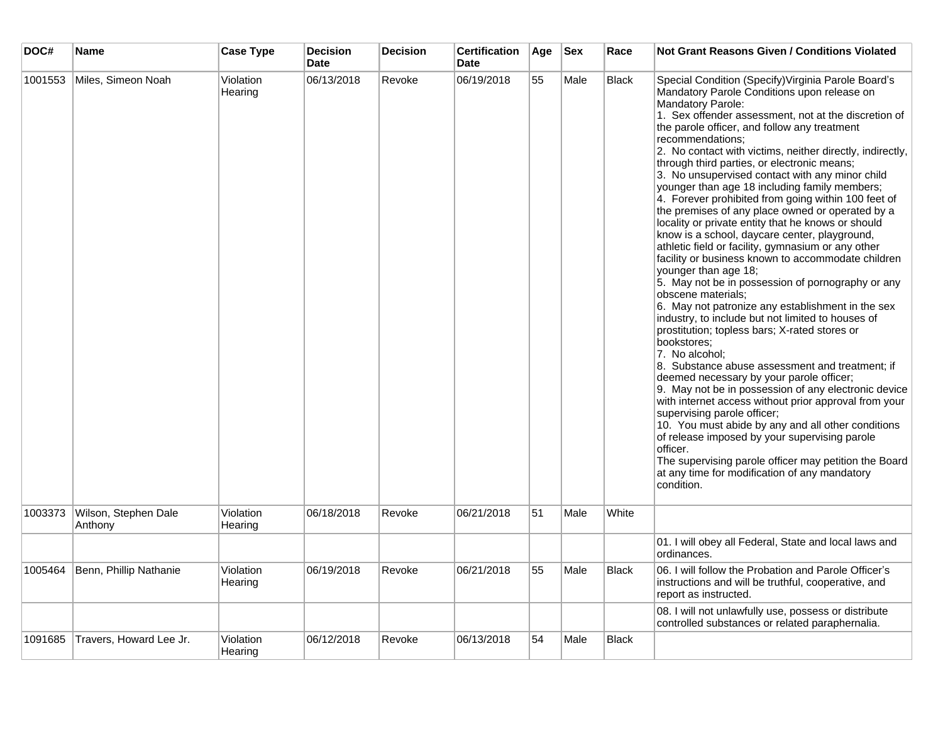| DOC#    | Name                            | <b>Case Type</b>     | <b>Decision</b><br><b>Date</b> | <b>Decision</b> | <b>Certification</b><br><b>Date</b> | Age | Sex  | Race         | Not Grant Reasons Given / Conditions Violated                                                                                                                                                                                                                                                                                                                                                                                                                                                                                                                                                                                                                                                                                                                                                                                                                                                                                                                                                                                                                                                                                                                                                                                                                                                                                                                                                                                                                                                                                                                                              |
|---------|---------------------------------|----------------------|--------------------------------|-----------------|-------------------------------------|-----|------|--------------|--------------------------------------------------------------------------------------------------------------------------------------------------------------------------------------------------------------------------------------------------------------------------------------------------------------------------------------------------------------------------------------------------------------------------------------------------------------------------------------------------------------------------------------------------------------------------------------------------------------------------------------------------------------------------------------------------------------------------------------------------------------------------------------------------------------------------------------------------------------------------------------------------------------------------------------------------------------------------------------------------------------------------------------------------------------------------------------------------------------------------------------------------------------------------------------------------------------------------------------------------------------------------------------------------------------------------------------------------------------------------------------------------------------------------------------------------------------------------------------------------------------------------------------------------------------------------------------------|
| 1001553 | Miles, Simeon Noah              | Violation<br>Hearing | 06/13/2018                     | Revoke          | 06/19/2018                          | 55  | Male | <b>Black</b> | Special Condition (Specify) Virginia Parole Board's<br>Mandatory Parole Conditions upon release on<br>Mandatory Parole:<br>1. Sex offender assessment, not at the discretion of<br>the parole officer, and follow any treatment<br>recommendations;<br>2. No contact with victims, neither directly, indirectly,<br>through third parties, or electronic means;<br>3. No unsupervised contact with any minor child<br>younger than age 18 including family members;<br>4. Forever prohibited from going within 100 feet of<br>the premises of any place owned or operated by a<br>locality or private entity that he knows or should<br>know is a school, daycare center, playground,<br>athletic field or facility, gymnasium or any other<br>facility or business known to accommodate children<br>younger than age 18;<br>5. May not be in possession of pornography or any<br>obscene materials:<br>6. May not patronize any establishment in the sex<br>industry, to include but not limited to houses of<br>prostitution; topless bars; X-rated stores or<br>bookstores;<br>7. No alcohol;<br>8. Substance abuse assessment and treatment; if<br>deemed necessary by your parole officer;<br>9. May not be in possession of any electronic device<br>with internet access without prior approval from your<br>supervising parole officer;<br>10. You must abide by any and all other conditions<br>of release imposed by your supervising parole<br>officer.<br>The supervising parole officer may petition the Board<br>at any time for modification of any mandatory<br>condition. |
| 1003373 | Wilson, Stephen Dale<br>Anthony | Violation<br>Hearing | 06/18/2018                     | Revoke          | 06/21/2018                          | 51  | Male | White        |                                                                                                                                                                                                                                                                                                                                                                                                                                                                                                                                                                                                                                                                                                                                                                                                                                                                                                                                                                                                                                                                                                                                                                                                                                                                                                                                                                                                                                                                                                                                                                                            |
|         |                                 |                      |                                |                 |                                     |     |      |              | 01. I will obey all Federal, State and local laws and<br>ordinances.                                                                                                                                                                                                                                                                                                                                                                                                                                                                                                                                                                                                                                                                                                                                                                                                                                                                                                                                                                                                                                                                                                                                                                                                                                                                                                                                                                                                                                                                                                                       |
| 1005464 | Benn, Phillip Nathanie          | Violation<br>Hearing | 06/19/2018                     | Revoke          | 06/21/2018                          | 55  | Male | Black        | 06. I will follow the Probation and Parole Officer's<br>instructions and will be truthful, cooperative, and<br>report as instructed.                                                                                                                                                                                                                                                                                                                                                                                                                                                                                                                                                                                                                                                                                                                                                                                                                                                                                                                                                                                                                                                                                                                                                                                                                                                                                                                                                                                                                                                       |
|         |                                 |                      |                                |                 |                                     |     |      |              | 08. I will not unlawfully use, possess or distribute<br>controlled substances or related paraphernalia.                                                                                                                                                                                                                                                                                                                                                                                                                                                                                                                                                                                                                                                                                                                                                                                                                                                                                                                                                                                                                                                                                                                                                                                                                                                                                                                                                                                                                                                                                    |
| 1091685 | Travers, Howard Lee Jr.         | Violation<br>Hearing | 06/12/2018                     | Revoke          | 06/13/2018                          | 54  | Male | <b>Black</b> |                                                                                                                                                                                                                                                                                                                                                                                                                                                                                                                                                                                                                                                                                                                                                                                                                                                                                                                                                                                                                                                                                                                                                                                                                                                                                                                                                                                                                                                                                                                                                                                            |